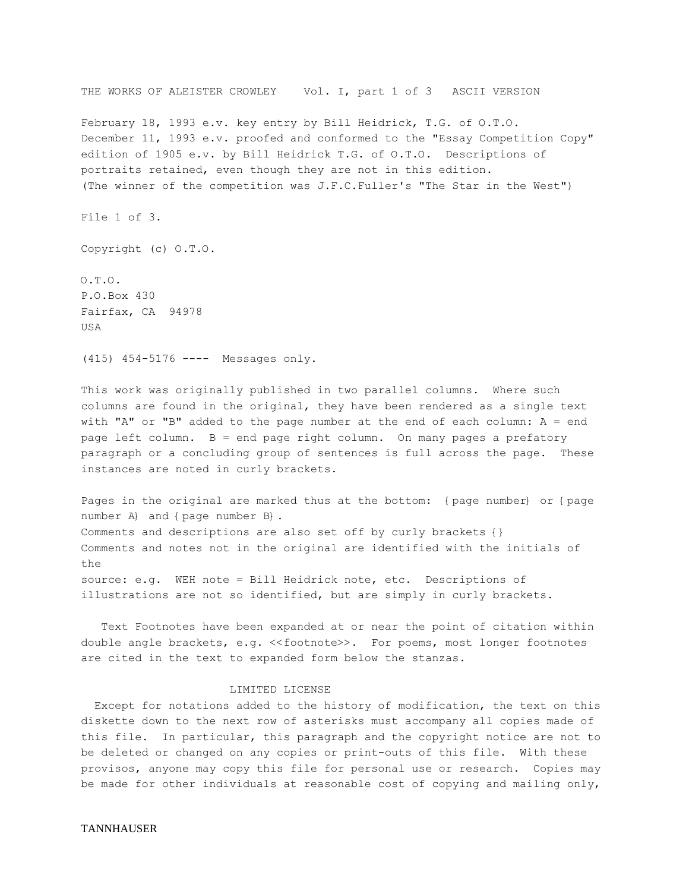THE WORKS OF ALEISTER CROWLEY Vol. I, part 1 of 3 ASCII VERSION February 18, 1993 e.v. key entry by Bill Heidrick, T.G. of O.T.O. December 11, 1993 e.v. proofed and conformed to the "Essay Competition Copy" edition of 1905 e.v. by Bill Heidrick T.G. of O.T.O. Descriptions of portraits retained, even though they are not in this edition. (The winner of the competition was J.F.C.Fuller's "The Star in the West") File 1 of 3. Copyright (c) O.T.O. O.T.O. P.O.Box 430

Fairfax, CA 94978 USA

(415) 454-5176 ---- Messages only.

This work was originally published in two parallel columns. Where such columns are found in the original, they have been rendered as a single text with "A" or "B" added to the page number at the end of each column:  $A = end$ page left column. B = end page right column. On many pages a prefatory paragraph or a concluding group of sentences is full across the page. These instances are noted in curly brackets.

Pages in the original are marked thus at the bottom: {page number} or {page number A} and {page number B}. Comments and descriptions are also set off by curly brackets {} Comments and notes not in the original are identified with the initials of the source: e.g. WEH note = Bill Heidrick note, etc. Descriptions of illustrations are not so identified, but are simply in curly brackets.

 Text Footnotes have been expanded at or near the point of citation within double angle brackets, e.g. << footnote>>. For poems, most longer footnotes are cited in the text to expanded form below the stanzas.

### LIMITED LICENSE

 Except for notations added to the history of modification, the text on this diskette down to the next row of asterisks must accompany all copies made of this file. In particular, this paragraph and the copyright notice are not to be deleted or changed on any copies or print-outs of this file. With these provisos, anyone may copy this file for personal use or research. Copies may be made for other individuals at reasonable cost of copying and mailing only,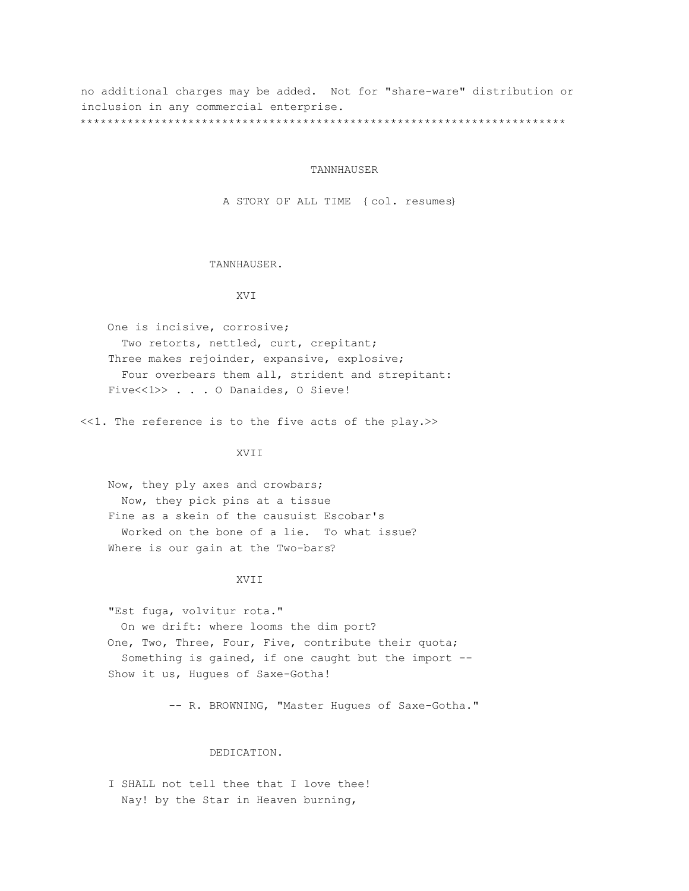no additional charges may be added. Not for "share-ware" distribution or inclusion in any commercial enterprise. \*\*\*\*\*\*\*\*\*\*\*\*\*\*\*\*\*\*\*\*\*\*\*\*\*\*\*\*\*\*\*\*\*\*\*\*\*\*\*\*\*\*\*\*\*\*\*\*\*\*\*\*\*\*\*\*\*\*\*\*\*\*\*\*\*\*\*\*\*\*\*\*

#### TANNHAUSER

A STORY OF ALL TIME {col. resumes}

#### TANNHAUSER.

## XVI

 One is incisive, corrosive; Two retorts, nettled, curt, crepitant; Three makes rejoinder, expansive, explosive; Four overbears them all, strident and strepitant: Five<<1>> . . . O Danaides, O Sieve!

<<1. The reference is to the five acts of the play.>>

# XVII

 Now, they ply axes and crowbars; Now, they pick pins at a tissue Fine as a skein of the causuist Escobar's Worked on the bone of a lie. To what issue? Where is our gain at the Two-bars?

### XVII

 "Est fuga, volvitur rota." On we drift: where looms the dim port? One, Two, Three, Four, Five, contribute their quota; Something is gained, if one caught but the import -- Show it us, Hugues of Saxe-Gotha!

-- R. BROWNING, "Master Hugues of Saxe-Gotha."

# DEDICATION.

 I SHALL not tell thee that I love thee! Nay! by the Star in Heaven burning,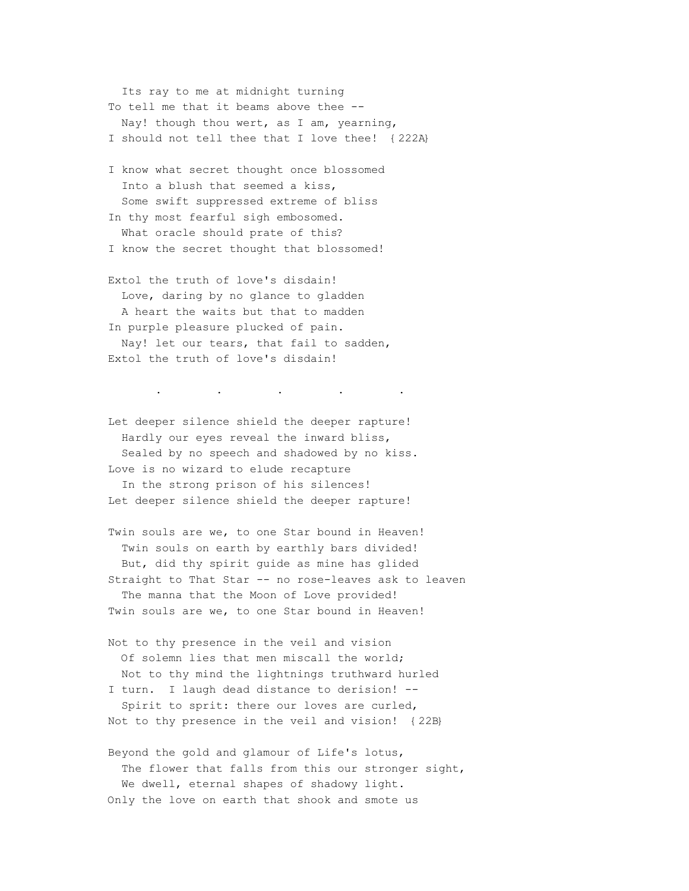Its ray to me at midnight turning To tell me that it beams above thee -- Nay! though thou wert, as I am, yearning, I should not tell thee that I love thee! {222A}

 I know what secret thought once blossomed Into a blush that seemed a kiss, Some swift suppressed extreme of bliss In thy most fearful sigh embosomed. What oracle should prate of this? I know the secret thought that blossomed!

 Extol the truth of love's disdain! Love, daring by no glance to gladden A heart the waits but that to madden In purple pleasure plucked of pain. Nay! let our tears, that fail to sadden, Extol the truth of love's disdain!

. . . . .

 Let deeper silence shield the deeper rapture! Hardly our eyes reveal the inward bliss, Sealed by no speech and shadowed by no kiss. Love is no wizard to elude recapture In the strong prison of his silences! Let deeper silence shield the deeper rapture!

Twin souls are we, to one Star bound in Heaven! Twin souls on earth by earthly bars divided! But, did thy spirit guide as mine has glided Straight to That Star -- no rose-leaves ask to leaven The manna that the Moon of Love provided! Twin souls are we, to one Star bound in Heaven!

 Not to thy presence in the veil and vision Of solemn lies that men miscall the world; Not to thy mind the lightnings truthward hurled I turn. I laugh dead distance to derision! -- Spirit to sprit: there our loves are curled, Not to thy presence in the veil and vision! {22B}

 Beyond the gold and glamour of Life's lotus, The flower that falls from this our stronger sight, We dwell, eternal shapes of shadowy light. Only the love on earth that shook and smote us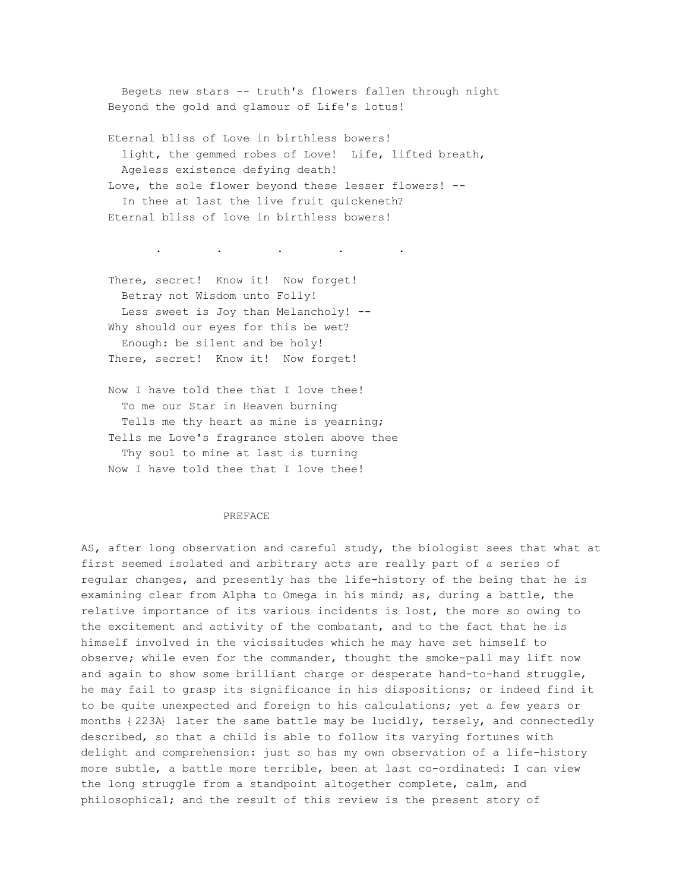Begets new stars -- truth's flowers fallen through night Beyond the gold and glamour of Life's lotus!

 Eternal bliss of Love in birthless bowers! light, the gemmed robes of Love! Life, lifted breath, Ageless existence defying death! Love, the sole flower beyond these lesser flowers! -- In thee at last the live fruit quickeneth? Eternal bliss of love in birthless bowers!

There, secret! Know it! Now forget! Betray not Wisdom unto Folly! Less sweet is Joy than Melancholy! -- Why should our eyes for this be wet? Enough: be silent and be holy! There, secret! Know it! Now forget!

. . . . .

 Now I have told thee that I love thee! To me our Star in Heaven burning Tells me thy heart as mine is yearning; Tells me Love's fragrance stolen above thee Thy soul to mine at last is turning Now I have told thee that I love thee!

#### PREFACE

AS, after long observation and careful study, the biologist sees that what at first seemed isolated and arbitrary acts are really part of a series of regular changes, and presently has the life-history of the being that he is examining clear from Alpha to Omega in his mind; as, during a battle, the relative importance of its various incidents is lost, the more so owing to the excitement and activity of the combatant, and to the fact that he is himself involved in the vicissitudes which he may have set himself to observe; while even for the commander, thought the smoke-pall may lift now and again to show some brilliant charge or desperate hand-to-hand struggle, he may fail to grasp its significance in his dispositions; or indeed find it to be quite unexpected and foreign to his calculations; yet a few years or months {223A} later the same battle may be lucidly, tersely, and connectedly described, so that a child is able to follow its varying fortunes with delight and comprehension: just so has my own observation of a life-history more subtle, a battle more terrible, been at last co-ordinated: I can view the long struggle from a standpoint altogether complete, calm, and philosophical; and the result of this review is the present story of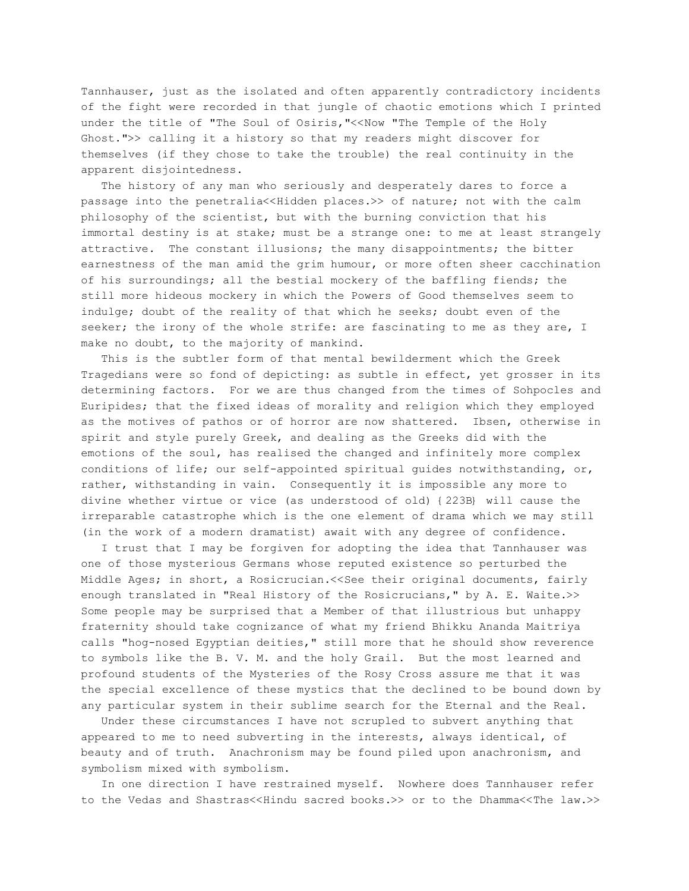Tannhauser, just as the isolated and often apparently contradictory incidents of the fight were recorded in that jungle of chaotic emotions which I printed under the title of "The Soul of Osiris, "<<Now "The Temple of the Holy Ghost.">> calling it a history so that my readers might discover for themselves (if they chose to take the trouble) the real continuity in the apparent disjointedness.

 The history of any man who seriously and desperately dares to force a passage into the penetralia<<Hidden places.>> of nature; not with the calm philosophy of the scientist, but with the burning conviction that his immortal destiny is at stake; must be a strange one: to me at least strangely attractive. The constant illusions; the many disappointments; the bitter earnestness of the man amid the grim humour, or more often sheer cacchination of his surroundings; all the bestial mockery of the baffling fiends; the still more hideous mockery in which the Powers of Good themselves seem to indulge; doubt of the reality of that which he seeks; doubt even of the seeker; the irony of the whole strife: are fascinating to me as they are, I make no doubt, to the majority of mankind.

 This is the subtler form of that mental bewilderment which the Greek Tragedians were so fond of depicting: as subtle in effect, yet grosser in its determining factors. For we are thus changed from the times of Sohpocles and Euripides; that the fixed ideas of morality and religion which they employed as the motives of pathos or of horror are now shattered. Ibsen, otherwise in spirit and style purely Greek, and dealing as the Greeks did with the emotions of the soul, has realised the changed and infinitely more complex conditions of life; our self-appointed spiritual guides notwithstanding, or, rather, withstanding in vain. Consequently it is impossible any more to divine whether virtue or vice (as understood of old) {223B} will cause the irreparable catastrophe which is the one element of drama which we may still (in the work of a modern dramatist) await with any degree of confidence.

 I trust that I may be forgiven for adopting the idea that Tannhauser was one of those mysterious Germans whose reputed existence so perturbed the Middle Ages; in short, a Rosicrucian.<<See their original documents, fairly enough translated in "Real History of the Rosicrucians," by A. E. Waite.>> Some people may be surprised that a Member of that illustrious but unhappy fraternity should take cognizance of what my friend Bhikku Ananda Maitriya calls "hog-nosed Egyptian deities," still more that he should show reverence to symbols like the B. V. M. and the holy Grail. But the most learned and profound students of the Mysteries of the Rosy Cross assure me that it was the special excellence of these mystics that the declined to be bound down by any particular system in their sublime search for the Eternal and the Real.

 Under these circumstances I have not scrupled to subvert anything that appeared to me to need subverting in the interests, always identical, of beauty and of truth. Anachronism may be found piled upon anachronism, and symbolism mixed with symbolism.

 In one direction I have restrained myself. Nowhere does Tannhauser refer to the Vedas and Shastras<<Hindu sacred books.>> or to the Dhamma<<The law.>>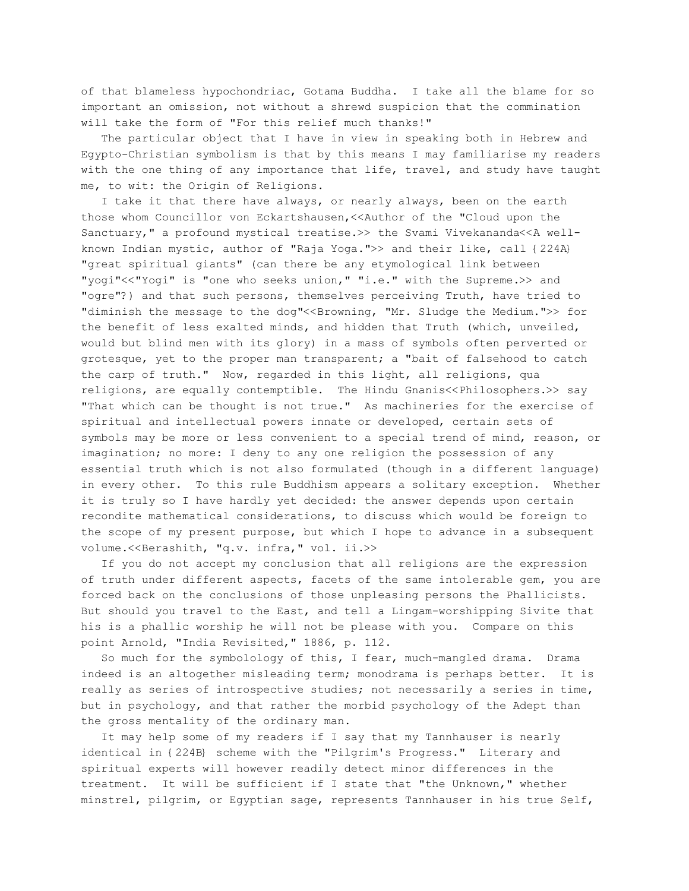of that blameless hypochondriac, Gotama Buddha. I take all the blame for so important an omission, not without a shrewd suspicion that the commination will take the form of "For this relief much thanks!"

 The particular object that I have in view in speaking both in Hebrew and Egypto-Christian symbolism is that by this means I may familiarise my readers with the one thing of any importance that life, travel, and study have taught me, to wit: the Origin of Religions.

 I take it that there have always, or nearly always, been on the earth those whom Councillor von Eckartshausen,<<Author of the "Cloud upon the Sanctuary," a profound mystical treatise.>> the Svami Vivekananda<<A wellknown Indian mystic, author of "Raja Yoga.">> and their like, call {224A} "great spiritual giants" (can there be any etymological link between "yogi"<<"Yogi" is "one who seeks union," "i.e." with the Supreme.>> and "ogre"?) and that such persons, themselves perceiving Truth, have tried to "diminish the message to the dog"<<Browning, "Mr. Sludge the Medium.">> for the benefit of less exalted minds, and hidden that Truth (which, unveiled, would but blind men with its glory) in a mass of symbols often perverted or grotesque, yet to the proper man transparent; a "bait of falsehood to catch the carp of truth." Now, regarded in this light, all religions, qua religions, are equally contemptible. The Hindu Gnanis<<Philosophers.>> say "That which can be thought is not true." As machineries for the exercise of spiritual and intellectual powers innate or developed, certain sets of symbols may be more or less convenient to a special trend of mind, reason, or imagination; no more: I deny to any one religion the possession of any essential truth which is not also formulated (though in a different language) in every other. To this rule Buddhism appears a solitary exception. Whether it is truly so I have hardly yet decided: the answer depends upon certain recondite mathematical considerations, to discuss which would be foreign to the scope of my present purpose, but which I hope to advance in a subsequent volume.<<Berashith, "q.v. infra," vol. ii.>>

 If you do not accept my conclusion that all religions are the expression of truth under different aspects, facets of the same intolerable gem, you are forced back on the conclusions of those unpleasing persons the Phallicists. But should you travel to the East, and tell a Lingam-worshipping Sivite that his is a phallic worship he will not be please with you. Compare on this point Arnold, "India Revisited," 1886, p. 112.

 So much for the symbolology of this, I fear, much-mangled drama. Drama indeed is an altogether misleading term; monodrama is perhaps better. It is really as series of introspective studies; not necessarily a series in time, but in psychology, and that rather the morbid psychology of the Adept than the gross mentality of the ordinary man.

 It may help some of my readers if I say that my Tannhauser is nearly identical in {224B} scheme with the "Pilgrim's Progress." Literary and spiritual experts will however readily detect minor differences in the treatment. It will be sufficient if I state that "the Unknown," whether minstrel, pilgrim, or Egyptian sage, represents Tannhauser in his true Self,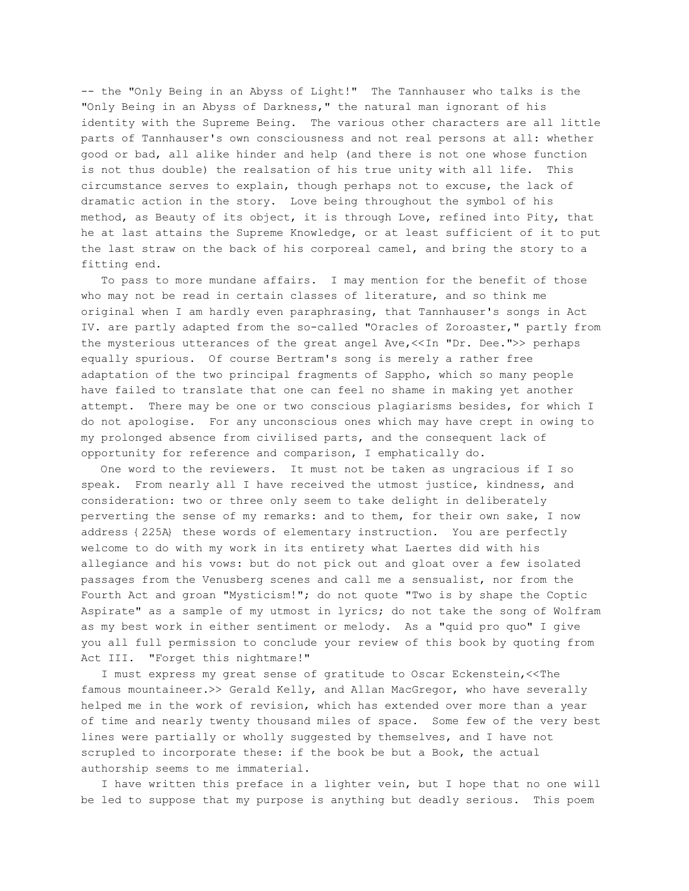-- the "Only Being in an Abyss of Light!" The Tannhauser who talks is the "Only Being in an Abyss of Darkness," the natural man ignorant of his identity with the Supreme Being. The various other characters are all little parts of Tannhauser's own consciousness and not real persons at all: whether good or bad, all alike hinder and help (and there is not one whose function is not thus double) the realsation of his true unity with all life. This circumstance serves to explain, though perhaps not to excuse, the lack of dramatic action in the story. Love being throughout the symbol of his method, as Beauty of its object, it is through Love, refined into Pity, that he at last attains the Supreme Knowledge, or at least sufficient of it to put the last straw on the back of his corporeal camel, and bring the story to a fitting end.

 To pass to more mundane affairs. I may mention for the benefit of those who may not be read in certain classes of literature, and so think me original when I am hardly even paraphrasing, that Tannhauser's songs in Act IV. are partly adapted from the so-called "Oracles of Zoroaster," partly from the mysterious utterances of the great angel Ave, << In "Dr. Dee.">> perhaps equally spurious. Of course Bertram's song is merely a rather free adaptation of the two principal fragments of Sappho, which so many people have failed to translate that one can feel no shame in making yet another attempt. There may be one or two conscious plagiarisms besides, for which I do not apologise. For any unconscious ones which may have crept in owing to my prolonged absence from civilised parts, and the consequent lack of opportunity for reference and comparison, I emphatically do.

 One word to the reviewers. It must not be taken as ungracious if I so speak. From nearly all I have received the utmost justice, kindness, and consideration: two or three only seem to take delight in deliberately perverting the sense of my remarks: and to them, for their own sake, I now address {225A} these words of elementary instruction. You are perfectly welcome to do with my work in its entirety what Laertes did with his allegiance and his vows: but do not pick out and gloat over a few isolated passages from the Venusberg scenes and call me a sensualist, nor from the Fourth Act and groan "Mysticism!"; do not quote "Two is by shape the Coptic Aspirate" as a sample of my utmost in lyrics; do not take the song of Wolfram as my best work in either sentiment or melody. As a "quid pro quo" I give you all full permission to conclude your review of this book by quoting from Act III. "Forget this nightmare!"

 I must express my great sense of gratitude to Oscar Eckenstein,<<The famous mountaineer.>> Gerald Kelly, and Allan MacGregor, who have severally helped me in the work of revision, which has extended over more than a year of time and nearly twenty thousand miles of space. Some few of the very best lines were partially or wholly suggested by themselves, and I have not scrupled to incorporate these: if the book be but a Book, the actual authorship seems to me immaterial.

 I have written this preface in a lighter vein, but I hope that no one will be led to suppose that my purpose is anything but deadly serious. This poem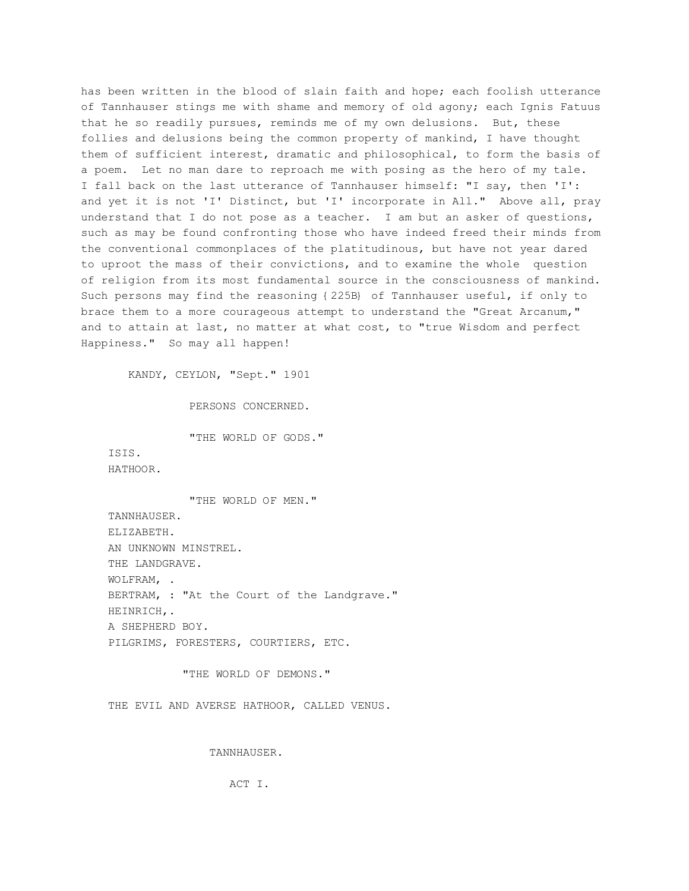has been written in the blood of slain faith and hope; each foolish utterance of Tannhauser stings me with shame and memory of old agony; each Ignis Fatuus that he so readily pursues, reminds me of my own delusions. But, these follies and delusions being the common property of mankind, I have thought them of sufficient interest, dramatic and philosophical, to form the basis of a poem. Let no man dare to reproach me with posing as the hero of my tale. I fall back on the last utterance of Tannhauser himself: "I say, then 'I': and yet it is not 'I' Distinct, but 'I' incorporate in All." Above all, pray understand that I do not pose as a teacher. I am but an asker of questions, such as may be found confronting those who have indeed freed their minds from the conventional commonplaces of the platitudinous, but have not year dared to uproot the mass of their convictions, and to examine the whole question of religion from its most fundamental source in the consciousness of mankind. Such persons may find the reasoning {225B} of Tannhauser useful, if only to brace them to a more courageous attempt to understand the "Great Arcanum," and to attain at last, no matter at what cost, to "true Wisdom and perfect Happiness." So may all happen!

KANDY, CEYLON, "Sept." 1901

PERSONS CONCERNED.

 "THE WORLD OF GODS." ISIS. HATHOOR.

 "THE WORLD OF MEN." TANNHAUSER. ELIZABETH. AN UNKNOWN MINSTREL. THE LANDGRAVE. WOLFRAM, . BERTRAM, : "At the Court of the Landgrave." HEINRICH,. A SHEPHERD BOY. PILGRIMS, FORESTERS, COURTIERS, ETC.

"THE WORLD OF DEMONS."

THE EVIL AND AVERSE HATHOOR, CALLED VENUS.

TANNHAUSER.

ACT I.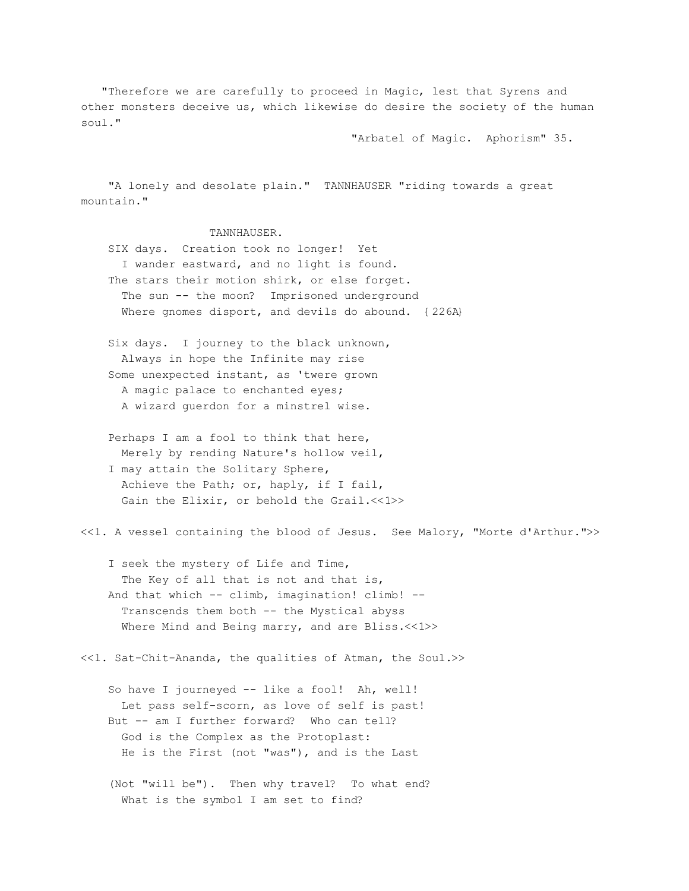"Therefore we are carefully to proceed in Magic, lest that Syrens and other monsters deceive us, which likewise do desire the society of the human soul."

"Arbatel of Magic. Aphorism" 35.

 "A lonely and desolate plain." TANNHAUSER "riding towards a great mountain."

## TANNHAUSER.

 SIX days. Creation took no longer! Yet I wander eastward, and no light is found. The stars their motion shirk, or else forget. The sun -- the moon? Imprisoned underground Where gnomes disport, and devils do abound. {226A}

 Six days. I journey to the black unknown, Always in hope the Infinite may rise Some unexpected instant, as 'twere grown A magic palace to enchanted eyes; A wizard guerdon for a minstrel wise.

 Perhaps I am a fool to think that here, Merely by rending Nature's hollow veil,

 I may attain the Solitary Sphere, Achieve the Path; or, haply, if I fail, Gain the Elixir, or behold the Grail. << 1>>

<<1. A vessel containing the blood of Jesus. See Malory, "Morte d'Arthur.">>

 I seek the mystery of Life and Time, The Key of all that is not and that is, And that which -- climb, imagination! climb! -- Transcends them both -- the Mystical abyss Where Mind and Being marry, and are Bliss. << 1>>

<<1. Sat-Chit-Ananda, the qualities of Atman, the Soul.>>

So have I journeyed -- like a fool! Ah, well! Let pass self-scorn, as love of self is past! But -- am I further forward? Who can tell? God is the Complex as the Protoplast: He is the First (not "was"), and is the Last

 (Not "will be"). Then why travel? To what end? What is the symbol I am set to find?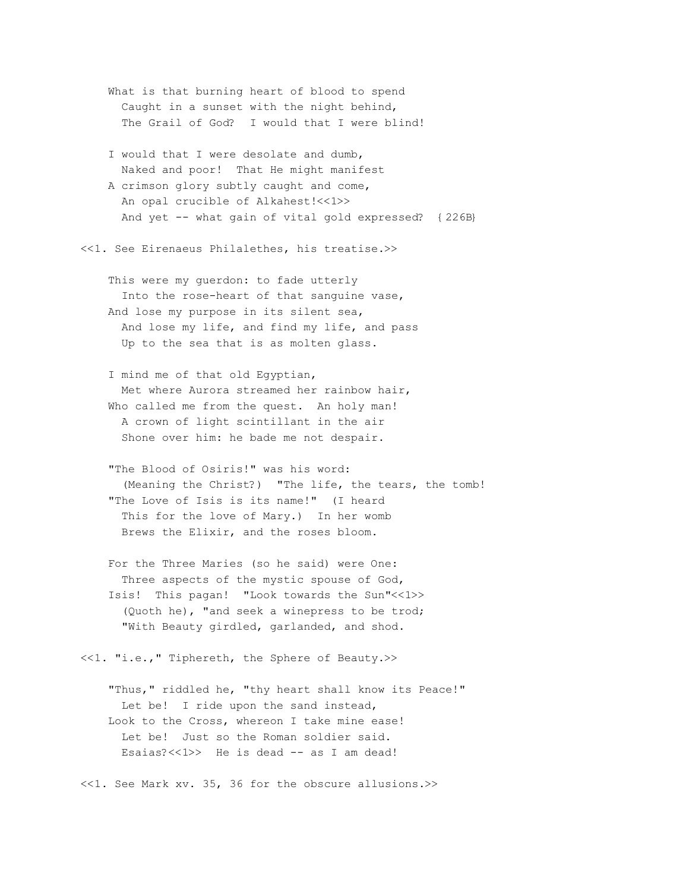What is that burning heart of blood to spend Caught in a sunset with the night behind, The Grail of God? I would that I were blind! I would that I were desolate and dumb, Naked and poor! That He might manifest A crimson glory subtly caught and come, An opal crucible of Alkahest!<<1>> And yet -- what gain of vital gold expressed? {226B} <<1. See Eirenaeus Philalethes, his treatise.>> This were my guerdon: to fade utterly Into the rose-heart of that sanguine vase, And lose my purpose in its silent sea, And lose my life, and find my life, and pass Up to the sea that is as molten glass. I mind me of that old Egyptian, Met where Aurora streamed her rainbow hair, Who called me from the quest. An holy man! A crown of light scintillant in the air Shone over him: he bade me not despair. "The Blood of Osiris!" was his word: (Meaning the Christ?) "The life, the tears, the tomb! "The Love of Isis is its name!" (I heard This for the love of Mary.) In her womb Brews the Elixir, and the roses bloom. For the Three Maries (so he said) were One: Three aspects of the mystic spouse of God, Isis! This pagan! "Look towards the Sun"<<1>> (Quoth he), "and seek a winepress to be trod; "With Beauty girdled, garlanded, and shod. <<1. "i.e.," Tiphereth, the Sphere of Beauty.>> "Thus," riddled he, "thy heart shall know its Peace!" Let be! I ride upon the sand instead, Look to the Cross, whereon I take mine ease! Let be! Just so the Roman soldier said. Esaias?<<1>> He is dead -- as I am dead!

<<1. See Mark xv. 35, 36 for the obscure allusions.>>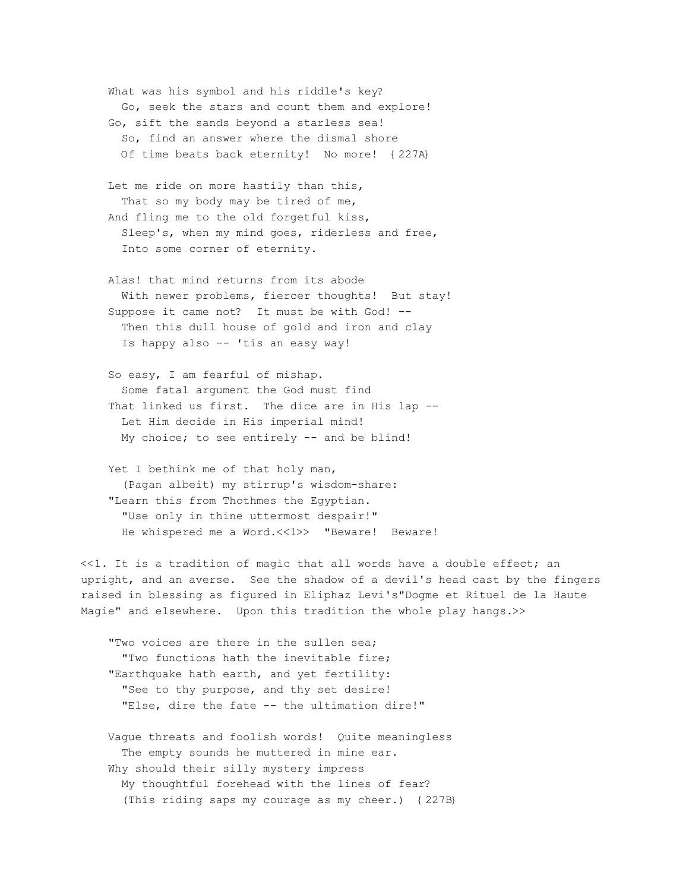What was his symbol and his riddle's key? Go, seek the stars and count them and explore! Go, sift the sands beyond a starless sea! So, find an answer where the dismal shore Of time beats back eternity! No more! {227A}

 Let me ride on more hastily than this, That so my body may be tired of me, And fling me to the old forgetful kiss, Sleep's, when my mind goes, riderless and free, Into some corner of eternity.

 Alas! that mind returns from its abode With newer problems, fiercer thoughts! But stay! Suppose it came not? It must be with God! -- Then this dull house of gold and iron and clay Is happy also -- 'tis an easy way!

 So easy, I am fearful of mishap. Some fatal argument the God must find That linked us first. The dice are in His lap -- Let Him decide in His imperial mind! My choice; to see entirely -- and be blind!

Yet I bethink me of that holy man, (Pagan albeit) my stirrup's wisdom-share: "Learn this from Thothmes the Egyptian. "Use only in thine uttermost despair!" He whispered me a Word. << 1>> "Beware! Beware!

<<1. It is a tradition of magic that all words have a double effect; an upright, and an averse. See the shadow of a devil's head cast by the fingers raised in blessing as figured in Eliphaz Levi's"Dogme et Rituel de la Haute Magie" and elsewhere. Upon this tradition the whole play hangs.>>

 "Two voices are there in the sullen sea; "Two functions hath the inevitable fire; "Earthquake hath earth, and yet fertility: "See to thy purpose, and thy set desire! "Else, dire the fate -- the ultimation dire!"

 Vague threats and foolish words! Quite meaningless The empty sounds he muttered in mine ear. Why should their silly mystery impress My thoughtful forehead with the lines of fear? (This riding saps my courage as my cheer.) {227B}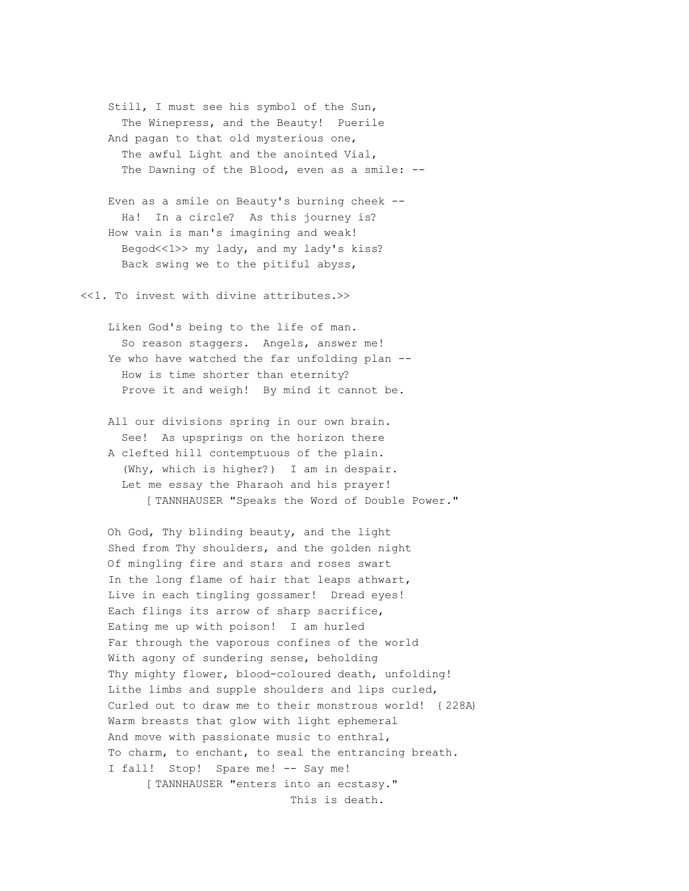Still, I must see his symbol of the Sun, The Winepress, and the Beauty! Puerile And pagan to that old mysterious one, The awful Light and the anointed Vial, The Dawning of the Blood, even as a smile: --

 Even as a smile on Beauty's burning cheek -- Ha! In a circle? As this journey is? How vain is man's imagining and weak! Begod<<1>> my lady, and my lady's kiss? Back swing we to the pitiful abyss,

<<1. To invest with divine attributes.>>

 Liken God's being to the life of man. So reason staggers. Angels, answer me! Ye who have watched the far unfolding plan -- How is time shorter than eternity? Prove it and weigh! By mind it cannot be.

 All our divisions spring in our own brain. See! As upsprings on the horizon there A clefted hill contemptuous of the plain. (Why, which is higher?) I am in despair. Let me essay the Pharaoh and his prayer! [TANNHAUSER "Speaks the Word of Double Power."

 Oh God, Thy blinding beauty, and the light Shed from Thy shoulders, and the golden night Of mingling fire and stars and roses swart In the long flame of hair that leaps athwart, Live in each tingling gossamer! Dread eyes! Each flings its arrow of sharp sacrifice, Eating me up with poison! I am hurled Far through the vaporous confines of the world With agony of sundering sense, beholding Thy mighty flower, blood-coloured death, unfolding! Lithe limbs and supple shoulders and lips curled, Curled out to draw me to their monstrous world! {228A} Warm breasts that glow with light ephemeral And move with passionate music to enthral, To charm, to enchant, to seal the entrancing breath. I fall! Stop! Spare me! -- Say me! [TANNHAUSER "enters into an ecstasy." This is death.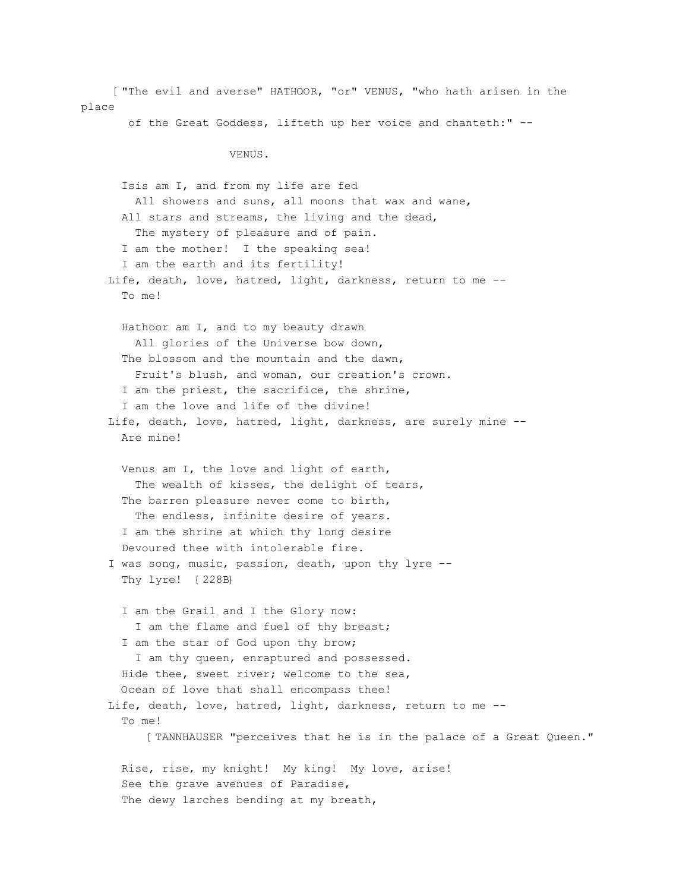["The evil and averse" HATHOOR, "or" VENUS, "who hath arisen in the place

of the Great Goddess, lifteth up her voice and chanteth:" --

VENUS.

 Isis am I, and from my life are fed All showers and suns, all moons that wax and wane, All stars and streams, the living and the dead, The mystery of pleasure and of pain. I am the mother! I the speaking sea! I am the earth and its fertility! Life, death, love, hatred, light, darkness, return to me -- To me! Hathoor am I, and to my beauty drawn All glories of the Universe bow down, The blossom and the mountain and the dawn, Fruit's blush, and woman, our creation's crown. I am the priest, the sacrifice, the shrine, I am the love and life of the divine! Life, death, love, hatred, light, darkness, are surely mine -- Are mine! Venus am I, the love and light of earth, The wealth of kisses, the delight of tears, The barren pleasure never come to birth, The endless, infinite desire of years. I am the shrine at which thy long desire Devoured thee with intolerable fire. I was song, music, passion, death, upon thy lyre -- Thy lyre! {228B} I am the Grail and I the Glory now: I am the flame and fuel of thy breast; I am the star of God upon thy brow; I am thy queen, enraptured and possessed. Hide thee, sweet river; welcome to the sea, Ocean of love that shall encompass thee! Life, death, love, hatred, light, darkness, return to me -- To me! [TANNHAUSER "perceives that he is in the palace of a Great Queen." Rise, rise, my knight! My king! My love, arise! See the grave avenues of Paradise, The dewy larches bending at my breath,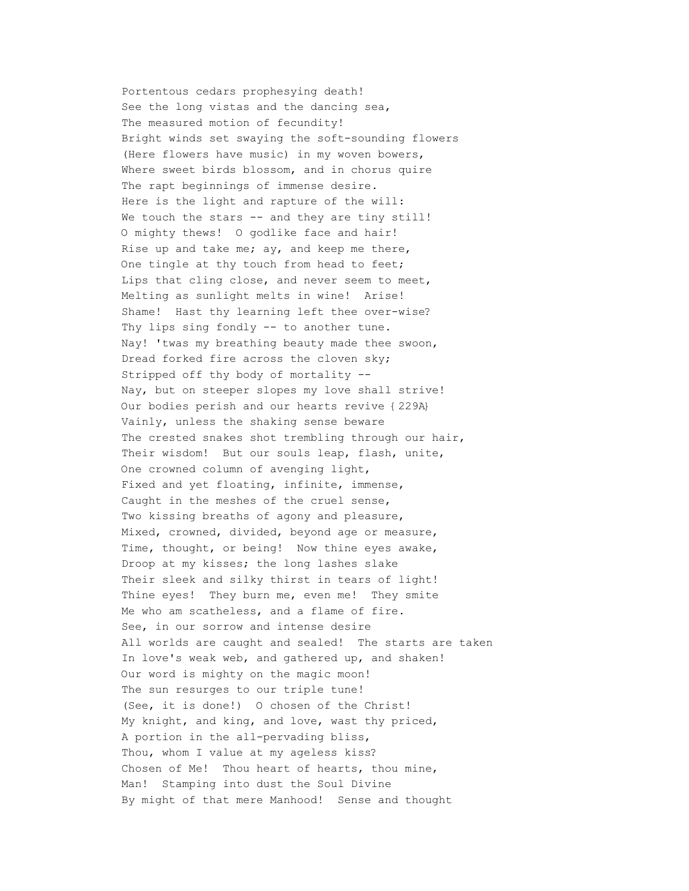Portentous cedars prophesying death! See the long vistas and the dancing sea, The measured motion of fecundity! Bright winds set swaying the soft-sounding flowers (Here flowers have music) in my woven bowers, Where sweet birds blossom, and in chorus quire The rapt beginnings of immense desire. Here is the light and rapture of the will: We touch the stars -- and they are tiny still! O mighty thews! O godlike face and hair! Rise up and take me; ay, and keep me there, One tingle at thy touch from head to feet; Lips that cling close, and never seem to meet, Melting as sunlight melts in wine! Arise! Shame! Hast thy learning left thee over-wise? Thy lips sing fondly -- to another tune. Nay! 'twas my breathing beauty made thee swoon, Dread forked fire across the cloven sky; Stripped off thy body of mortality -- Nay, but on steeper slopes my love shall strive! Our bodies perish and our hearts revive {229A} Vainly, unless the shaking sense beware The crested snakes shot trembling through our hair, Their wisdom! But our souls leap, flash, unite, One crowned column of avenging light, Fixed and yet floating, infinite, immense, Caught in the meshes of the cruel sense, Two kissing breaths of agony and pleasure, Mixed, crowned, divided, beyond age or measure, Time, thought, or being! Now thine eyes awake, Droop at my kisses; the long lashes slake Their sleek and silky thirst in tears of light! Thine eyes! They burn me, even me! They smite Me who am scatheless, and a flame of fire. See, in our sorrow and intense desire All worlds are caught and sealed! The starts are taken In love's weak web, and gathered up, and shaken! Our word is mighty on the magic moon! The sun resurges to our triple tune! (See, it is done!) O chosen of the Christ! My knight, and king, and love, wast thy priced, A portion in the all-pervading bliss, Thou, whom I value at my ageless kiss? Chosen of Me! Thou heart of hearts, thou mine, Man! Stamping into dust the Soul Divine By might of that mere Manhood! Sense and thought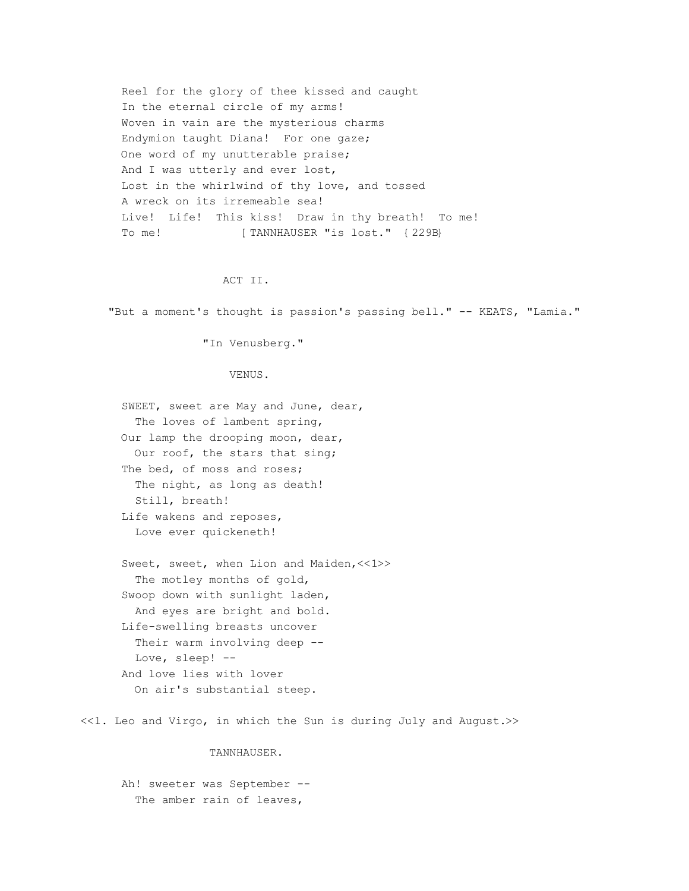Reel for the glory of thee kissed and caught In the eternal circle of my arms! Woven in vain are the mysterious charms Endymion taught Diana! For one gaze; One word of my unutterable praise; And I was utterly and ever lost, Lost in the whirlwind of thy love, and tossed A wreck on its irremeable sea! Live! Life! This kiss! Draw in thy breath! To me! To me! [TANNHAUSER "is lost." {229B}

# ACT II.

"But a moment's thought is passion's passing bell." -- KEATS, "Lamia."

"In Venusberg."

## VENUS.

 SWEET, sweet are May and June, dear, The loves of lambent spring, Our lamp the drooping moon, dear, Our roof, the stars that sing; The bed, of moss and roses; The night, as long as death! Still, breath! Life wakens and reposes, Love ever quickeneth!

 Sweet, sweet, when Lion and Maiden,<<1>> The motley months of gold, Swoop down with sunlight laden, And eyes are bright and bold. Life-swelling breasts uncover Their warm involving deep -- Love, sleep! -- And love lies with lover On air's substantial steep.

<<1. Leo and Virgo, in which the Sun is during July and August.>>

#### TANNHAUSER.

 Ah! sweeter was September -- The amber rain of leaves,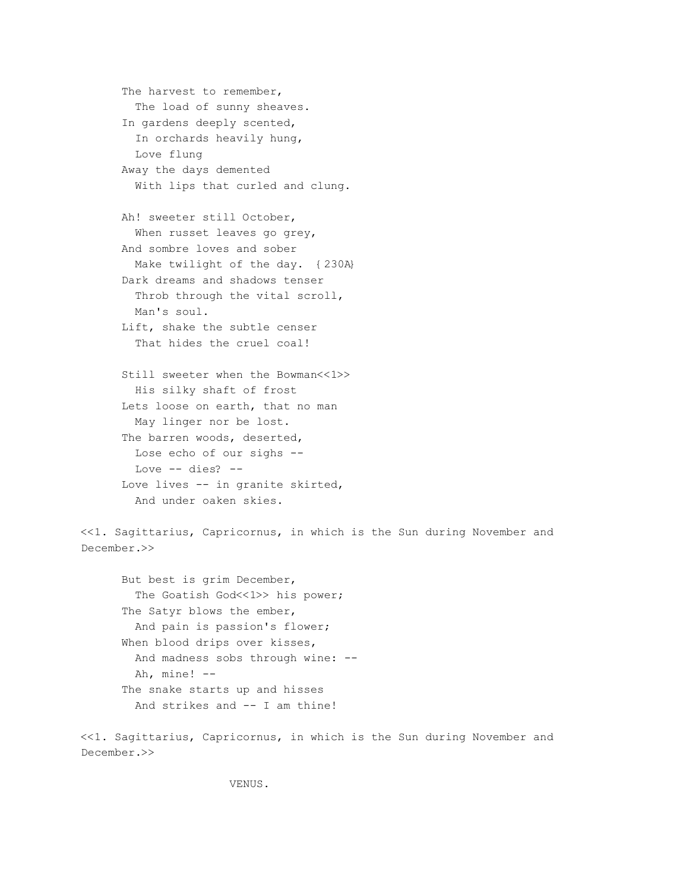The harvest to remember, The load of sunny sheaves. In gardens deeply scented, In orchards heavily hung, Love flung Away the days demented With lips that curled and clung. Ah! sweeter still October, When russet leaves go grey, And sombre loves and sober Make twilight of the day. {230A} Dark dreams and shadows tenser Throb through the vital scroll, Man's soul. Lift, shake the subtle censer That hides the cruel coal! Still sweeter when the Bowman<<1>> His silky shaft of frost Lets loose on earth, that no man May linger nor be lost. The barren woods, deserted, Lose echo of our sighs -- Love -- dies? -- Love lives -- in granite skirted, And under oaken skies.

<<1. Sagittarius, Capricornus, in which is the Sun during November and December.>>

 But best is grim December, The Goatish God<<1>> his power; The Satyr blows the ember, And pain is passion's flower; When blood drips over kisses, And madness sobs through wine: -- Ah, mine! -- The snake starts up and hisses And strikes and -- I am thine!

<<1. Sagittarius, Capricornus, in which is the Sun during November and December.>>

VENUS.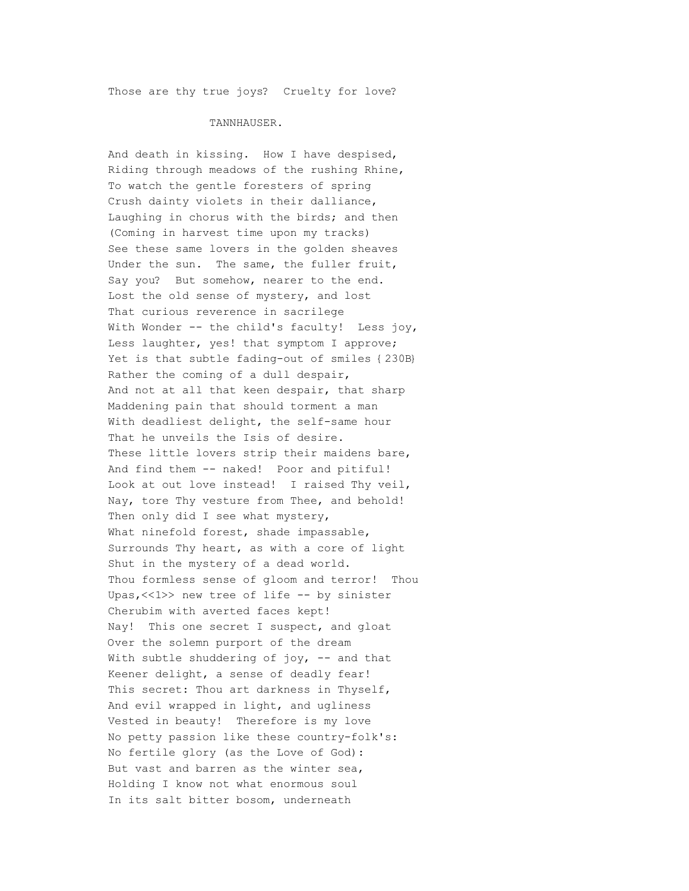Those are thy true joys? Cruelty for love?

### TANNHAUSER.

 And death in kissing. How I have despised, Riding through meadows of the rushing Rhine, To watch the gentle foresters of spring Crush dainty violets in their dalliance, Laughing in chorus with the birds; and then (Coming in harvest time upon my tracks) See these same lovers in the golden sheaves Under the sun. The same, the fuller fruit, Say you? But somehow, nearer to the end. Lost the old sense of mystery, and lost That curious reverence in sacrilege With Wonder -- the child's faculty! Less joy, Less laughter, yes! that symptom I approve; Yet is that subtle fading-out of smiles {230B} Rather the coming of a dull despair, And not at all that keen despair, that sharp Maddening pain that should torment a man With deadliest delight, the self-same hour That he unveils the Isis of desire. These little lovers strip their maidens bare, And find them -- naked! Poor and pitiful! Look at out love instead! I raised Thy veil, Nay, tore Thy vesture from Thee, and behold! Then only did I see what mystery, What ninefold forest, shade impassable, Surrounds Thy heart, as with a core of light Shut in the mystery of a dead world. Thou formless sense of gloom and terror! Thou Upas,<<1>> new tree of life -- by sinister Cherubim with averted faces kept! Nay! This one secret I suspect, and gloat Over the solemn purport of the dream With subtle shuddering of joy,  $-$  and that Keener delight, a sense of deadly fear! This secret: Thou art darkness in Thyself, And evil wrapped in light, and ugliness Vested in beauty! Therefore is my love No petty passion like these country-folk's: No fertile glory (as the Love of God): But vast and barren as the winter sea, Holding I know not what enormous soul In its salt bitter bosom, underneath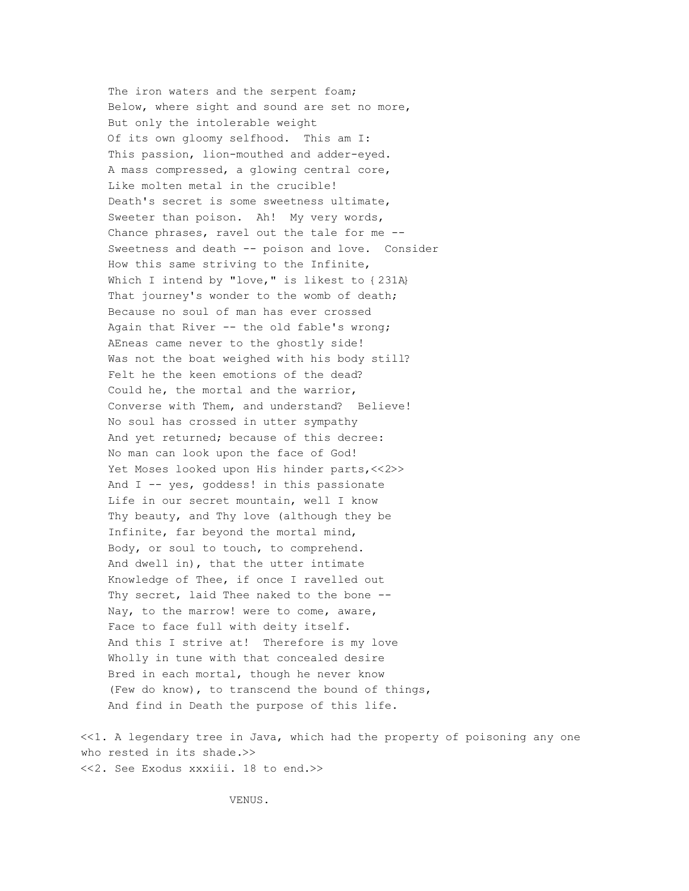The iron waters and the serpent foam; Below, where sight and sound are set no more, But only the intolerable weight Of its own gloomy selfhood. This am I: This passion, lion-mouthed and adder-eyed. A mass compressed, a glowing central core, Like molten metal in the crucible! Death's secret is some sweetness ultimate, Sweeter than poison. Ah! My very words, Chance phrases, ravel out the tale for me -- Sweetness and death -- poison and love. Consider How this same striving to the Infinite, Which I intend by "love," is likest to {231A} That journey's wonder to the womb of death; Because no soul of man has ever crossed Again that River -- the old fable's wrong; AEneas came never to the ghostly side! Was not the boat weighed with his body still? Felt he the keen emotions of the dead? Could he, the mortal and the warrior, Converse with Them, and understand? Believe! No soul has crossed in utter sympathy And yet returned; because of this decree: No man can look upon the face of God! Yet Moses looked upon His hinder parts, << 2>> And I -- yes, goddess! in this passionate Life in our secret mountain, well I know Thy beauty, and Thy love (although they be Infinite, far beyond the mortal mind, Body, or soul to touch, to comprehend. And dwell in), that the utter intimate Knowledge of Thee, if once I ravelled out Thy secret, laid Thee naked to the bone -- Nay, to the marrow! were to come, aware, Face to face full with deity itself. And this I strive at! Therefore is my love Wholly in tune with that concealed desire Bred in each mortal, though he never know (Few do know), to transcend the bound of things, And find in Death the purpose of this life.

<<1. A legendary tree in Java, which had the property of poisoning any one who rested in its shade.>> <<2. See Exodus xxxiii. 18 to end.>>

VENUS.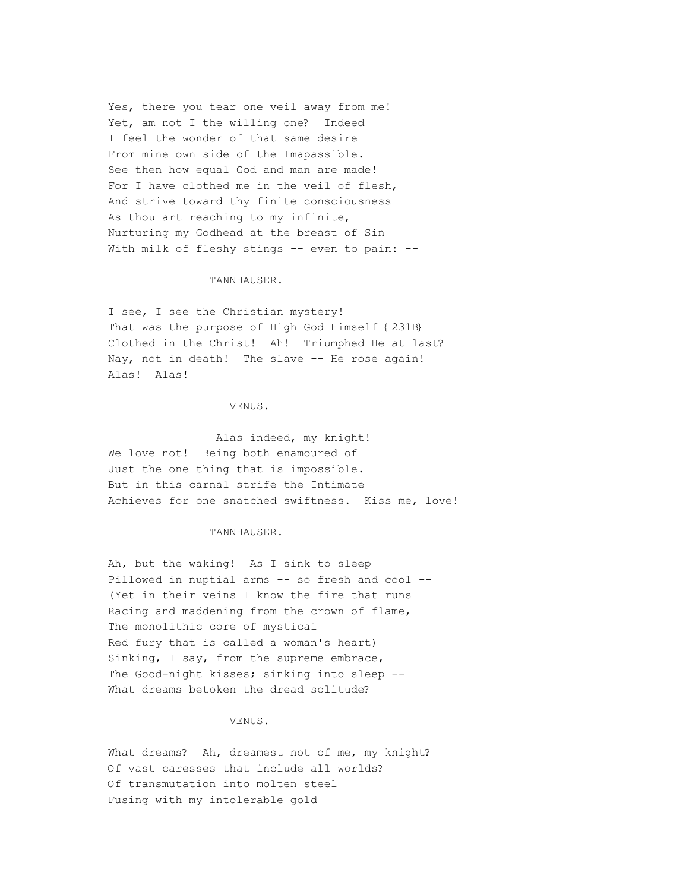Yes, there you tear one veil away from me! Yet, am not I the willing one? Indeed I feel the wonder of that same desire From mine own side of the Imapassible. See then how equal God and man are made! For I have clothed me in the veil of flesh, And strive toward thy finite consciousness As thou art reaching to my infinite, Nurturing my Godhead at the breast of Sin With milk of fleshy stings -- even to pain: --

# TANNHAUSER.

 I see, I see the Christian mystery! That was the purpose of High God Himself {231B} Clothed in the Christ! Ah! Triumphed He at last? Nay, not in death! The slave -- He rose again! Alas! Alas!

#### VENUS.

 Alas indeed, my knight! We love not! Being both enamoured of Just the one thing that is impossible. But in this carnal strife the Intimate Achieves for one snatched swiftness. Kiss me, love!

# TANNHAUSER.

 Ah, but the waking! As I sink to sleep Pillowed in nuptial arms -- so fresh and cool -- (Yet in their veins I know the fire that runs Racing and maddening from the crown of flame, The monolithic core of mystical Red fury that is called a woman's heart) Sinking, I say, from the supreme embrace, The Good-night kisses; sinking into sleep --What dreams betoken the dread solitude?

#### VENUS.

What dreams? Ah, dreamest not of me, my knight? Of vast caresses that include all worlds? Of transmutation into molten steel Fusing with my intolerable gold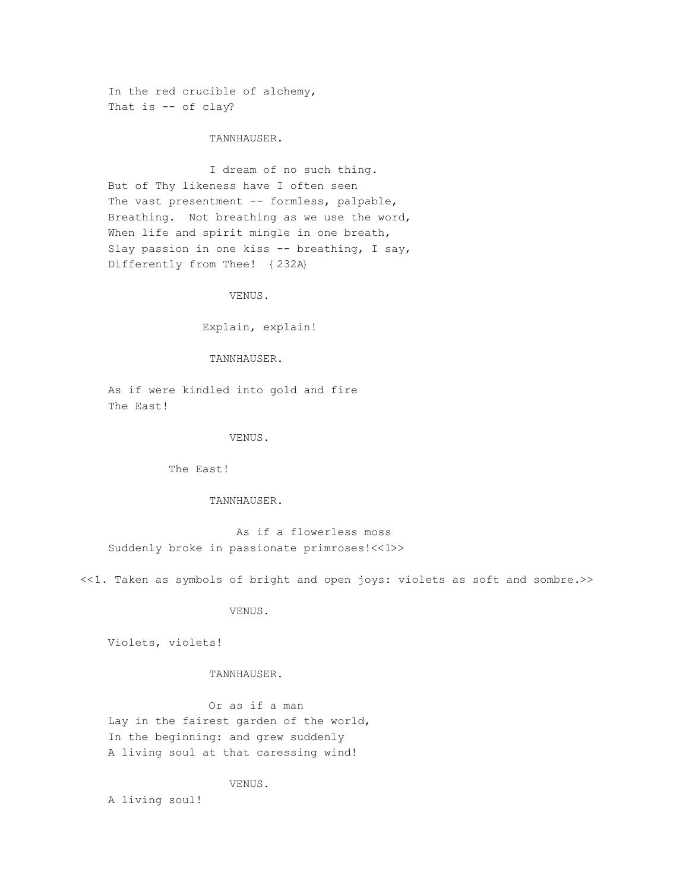In the red crucible of alchemy, That is -- of clay?

TANNHAUSER.

 I dream of no such thing. But of Thy likeness have I often seen The vast presentment -- formless, palpable, Breathing. Not breathing as we use the word, When life and spirit mingle in one breath, Slay passion in one kiss -- breathing, I say, Differently from Thee! {232A}

VENUS.

Explain, explain!

TANNHAUSER.

 As if were kindled into gold and fire The East!

VENUS.

The East!

TANNHAUSER.

 As if a flowerless moss Suddenly broke in passionate primroses!<<1>>

<<1. Taken as symbols of bright and open joys: violets as soft and sombre.>>

VENUS.

Violets, violets!

TANNHAUSER.

 Or as if a man Lay in the fairest garden of the world, In the beginning: and grew suddenly A living soul at that caressing wind!

VENUS.

A living soul!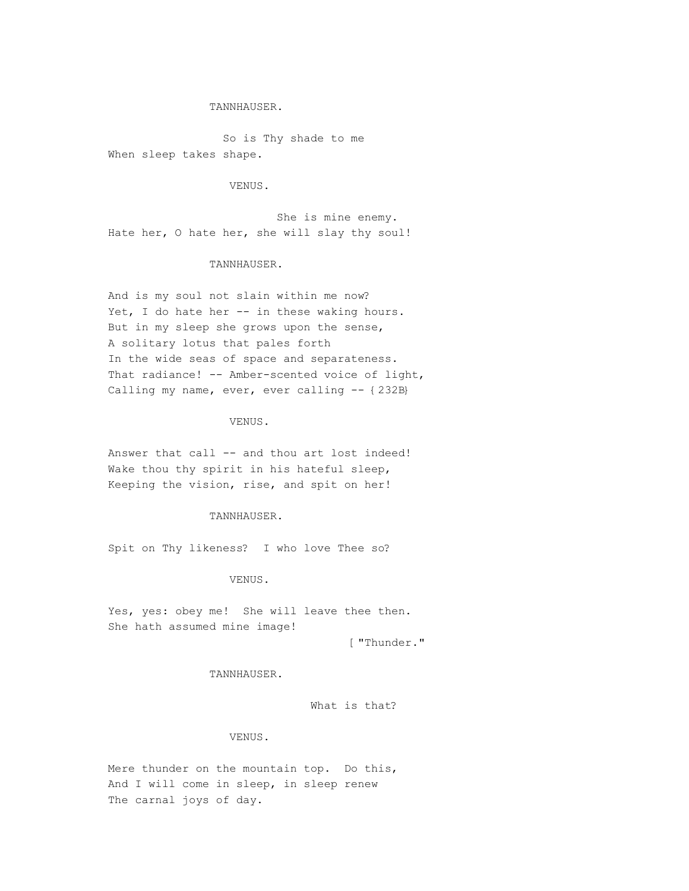#### TANNHAUSER.

 So is Thy shade to me When sleep takes shape.

VENUS.

 She is mine enemy. Hate her, O hate her, she will slay thy soul!

## TANNHAUSER.

 And is my soul not slain within me now? Yet, I do hate her -- in these waking hours. But in my sleep she grows upon the sense, A solitary lotus that pales forth In the wide seas of space and separateness. That radiance! -- Amber-scented voice of light, Calling my name, ever, ever calling -- {232B}

VENUS.

 Answer that call -- and thou art lost indeed! Wake thou thy spirit in his hateful sleep, Keeping the vision, rise, and spit on her!

# TANNHAUSER.

Spit on Thy likeness? I who love Thee so?

VENUS.

Yes, yes: obey me! She will leave thee then. She hath assumed mine image!

[ "Thunder."

#### TANNHAUSER.

What is that?

VENUS.

 Mere thunder on the mountain top. Do this, And I will come in sleep, in sleep renew The carnal joys of day.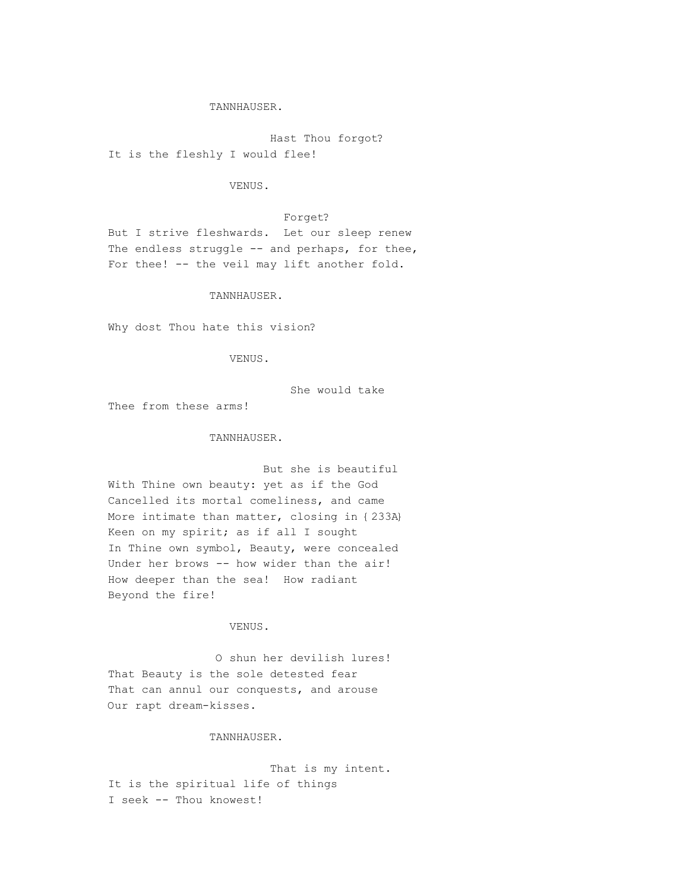TANNHAUSER.

 Hast Thou forgot? It is the fleshly I would flee!

# VENUS.

## Forget?

 But I strive fleshwards. Let our sleep renew The endless struggle -- and perhaps, for thee, For thee! -- the veil may lift another fold.

TANNHAUSER.

Why dost Thou hate this vision?

VENUS.

She would take

Thee from these arms!

TANNHAUSER.

 But she is beautiful With Thine own beauty: yet as if the God Cancelled its mortal comeliness, and came More intimate than matter, closing in {233A} Keen on my spirit; as if all I sought In Thine own symbol, Beauty, were concealed Under her brows -- how wider than the air! How deeper than the sea! How radiant Beyond the fire!

VENUS.

 O shun her devilish lures! That Beauty is the sole detested fear That can annul our conquests, and arouse Our rapt dream-kisses.

TANNHAUSER.

 That is my intent. It is the spiritual life of things I seek -- Thou knowest!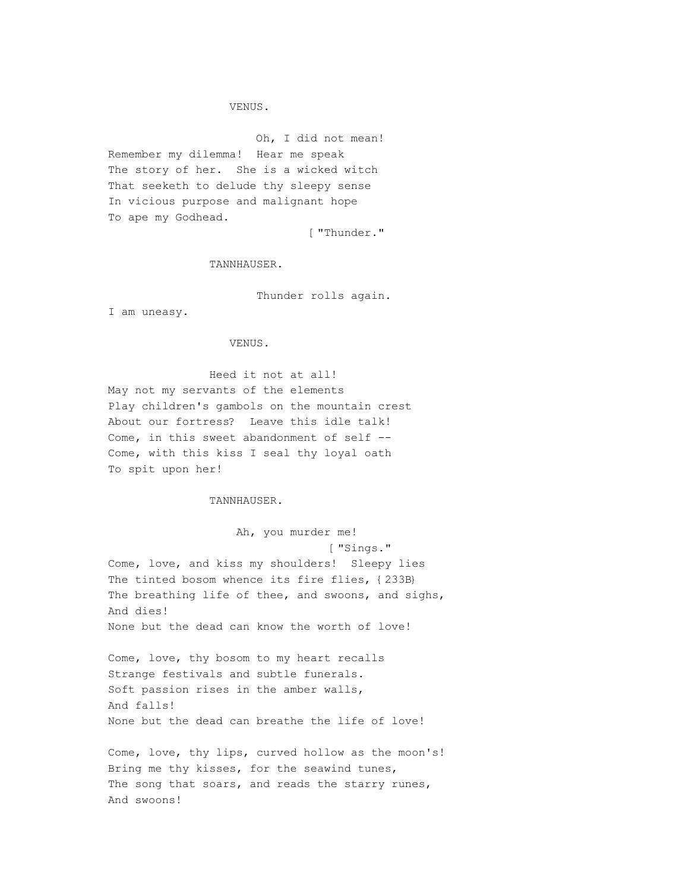### VENUS.

 Oh, I did not mean! Remember my dilemma! Hear me speak The story of her. She is a wicked witch That seeketh to delude thy sleepy sense In vicious purpose and malignant hope To ape my Godhead.

[ "Thunder."

### TANNHAUSER.

Thunder rolls again.

I am uneasy.

VENUS.

 Heed it not at all! May not my servants of the elements Play children's gambols on the mountain crest About our fortress? Leave this idle talk! Come, in this sweet abandonment of self -- Come, with this kiss I seal thy loyal oath To spit upon her!

TANNHAUSER.

 Ah, you murder me! ["Sings." Come, love, and kiss my shoulders! Sleepy lies The tinted bosom whence its fire flies, {233B} The breathing life of thee, and swoons, and sighs, And dies! None but the dead can know the worth of love!

 Come, love, thy bosom to my heart recalls Strange festivals and subtle funerals. Soft passion rises in the amber walls, And falls! None but the dead can breathe the life of love!

 Come, love, thy lips, curved hollow as the moon's! Bring me thy kisses, for the seawind tunes, The song that soars, and reads the starry runes, And swoons!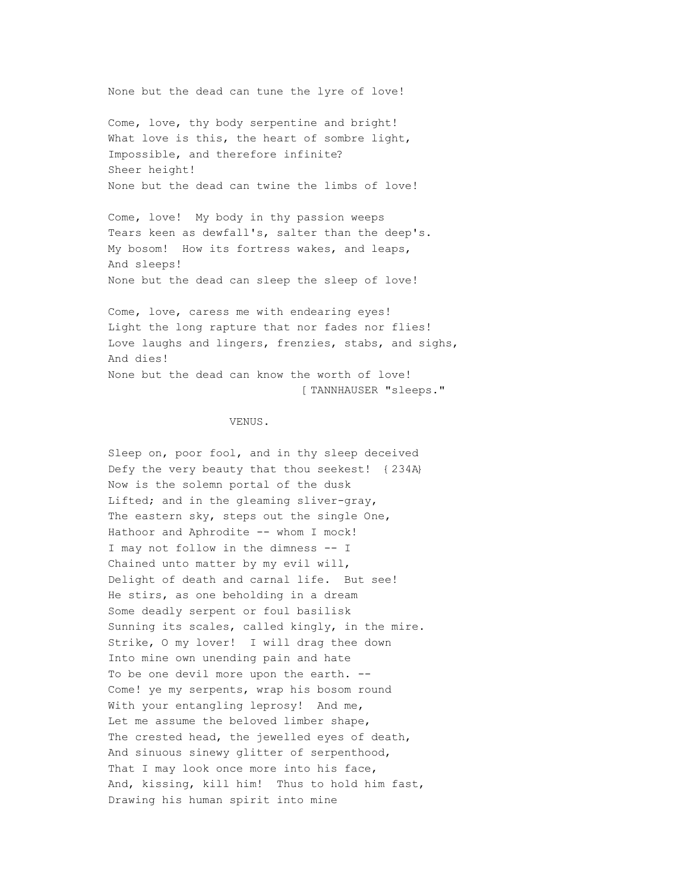None but the dead can tune the lyre of love!

 Come, love, thy body serpentine and bright! What love is this, the heart of sombre light, Impossible, and therefore infinite? Sheer height! None but the dead can twine the limbs of love!

 Come, love! My body in thy passion weeps Tears keen as dewfall's, salter than the deep's. My bosom! How its fortress wakes, and leaps, And sleeps! None but the dead can sleep the sleep of love!

 Come, love, caress me with endearing eyes! Light the long rapture that nor fades nor flies! Love laughs and lingers, frenzies, stabs, and sighs, And dies! None but the dead can know the worth of love! [TANNHAUSER "sleeps."

#### VENUS.

 Sleep on, poor fool, and in thy sleep deceived Defy the very beauty that thou seekest! {234A} Now is the solemn portal of the dusk Lifted; and in the gleaming sliver-gray, The eastern sky, steps out the single One, Hathoor and Aphrodite -- whom I mock! I may not follow in the dimness -- I Chained unto matter by my evil will, Delight of death and carnal life. But see! He stirs, as one beholding in a dream Some deadly serpent or foul basilisk Sunning its scales, called kingly, in the mire. Strike, O my lover! I will drag thee down Into mine own unending pain and hate To be one devil more upon the earth. -- Come! ye my serpents, wrap his bosom round With your entangling leprosy! And me, Let me assume the beloved limber shape, The crested head, the jewelled eyes of death, And sinuous sinewy glitter of serpenthood, That I may look once more into his face, And, kissing, kill him! Thus to hold him fast, Drawing his human spirit into mine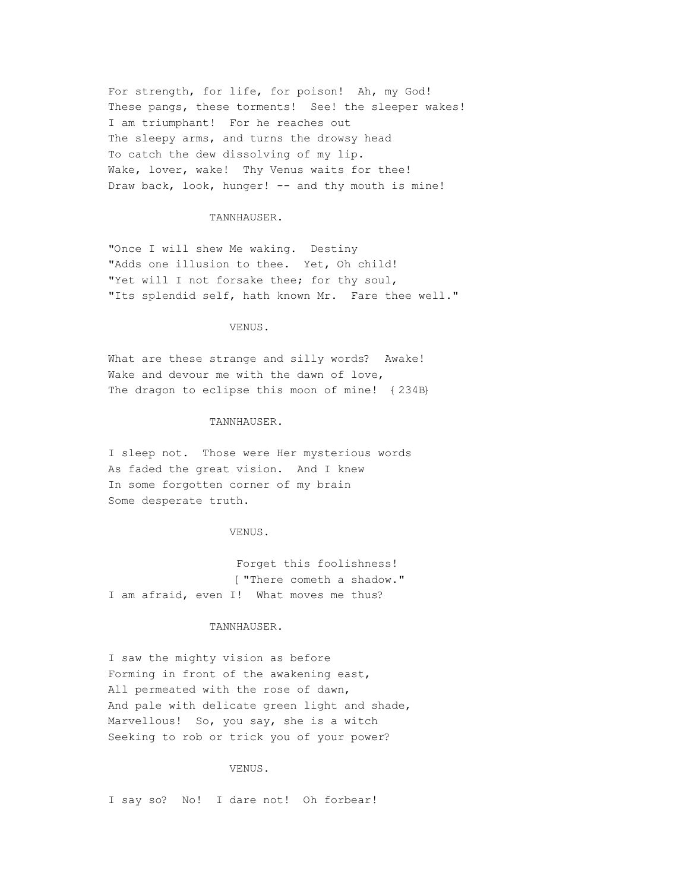For strength, for life, for poison! Ah, my God! These pangs, these torments! See! the sleeper wakes! I am triumphant! For he reaches out The sleepy arms, and turns the drowsy head To catch the dew dissolving of my lip. Wake, lover, wake! Thy Venus waits for thee! Draw back, look, hunger! -- and thy mouth is mine!

## TANNHAUSER.

 "Once I will shew Me waking. Destiny "Adds one illusion to thee. Yet, Oh child! "Yet will I not forsake thee; for thy soul, "Its splendid self, hath known Mr. Fare thee well."

#### VENUS.

What are these strange and silly words? Awake! Wake and devour me with the dawn of love, The dragon to eclipse this moon of mine! { 234B}

#### TANNHAUSER.

 I sleep not. Those were Her mysterious words As faded the great vision. And I knew In some forgotten corner of my brain Some desperate truth.

# VENUS.

 Forget this foolishness! ["There cometh a shadow." I am afraid, even I! What moves me thus?

#### TANNHAUSER.

 I saw the mighty vision as before Forming in front of the awakening east, All permeated with the rose of dawn, And pale with delicate green light and shade, Marvellous! So, you say, she is a witch Seeking to rob or trick you of your power?

## VENUS.

I say so? No! I dare not! Oh forbear!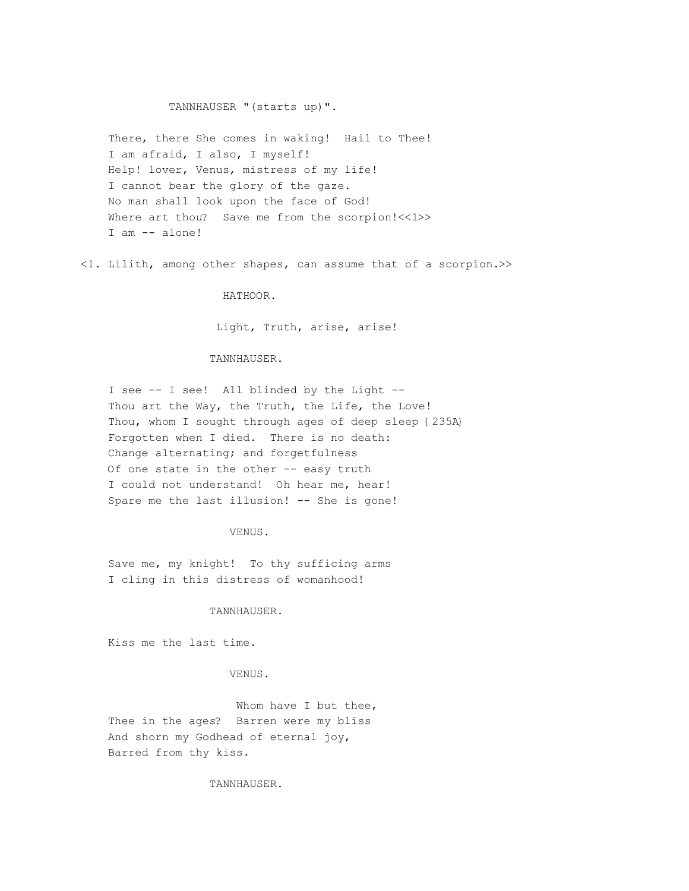### TANNHAUSER "(starts up)".

There, there She comes in waking! Hail to Thee! I am afraid, I also, I myself! Help! lover, Venus, mistress of my life! I cannot bear the glory of the gaze. No man shall look upon the face of God! Where art thou? Save me from the scorpion!<<1>> I am -- alone!

<1. Lilith, among other shapes, can assume that of a scorpion.>>

HATHOOR.

Light, Truth, arise, arise!

## TANNHAUSER.

 I see -- I see! All blinded by the Light -- Thou art the Way, the Truth, the Life, the Love! Thou, whom I sought through ages of deep sleep {235A} Forgotten when I died. There is no death: Change alternating; and forgetfulness Of one state in the other -- easy truth I could not understand! Oh hear me, hear! Spare me the last illusion! -- She is gone!

# VENUS.

 Save me, my knight! To thy sufficing arms I cling in this distress of womanhood!

#### TANNHAUSER.

Kiss me the last time.

## VENUS.

Whom have I but thee, Thee in the ages? Barren were my bliss And shorn my Godhead of eternal joy, Barred from thy kiss.

#### TANNHAUSER.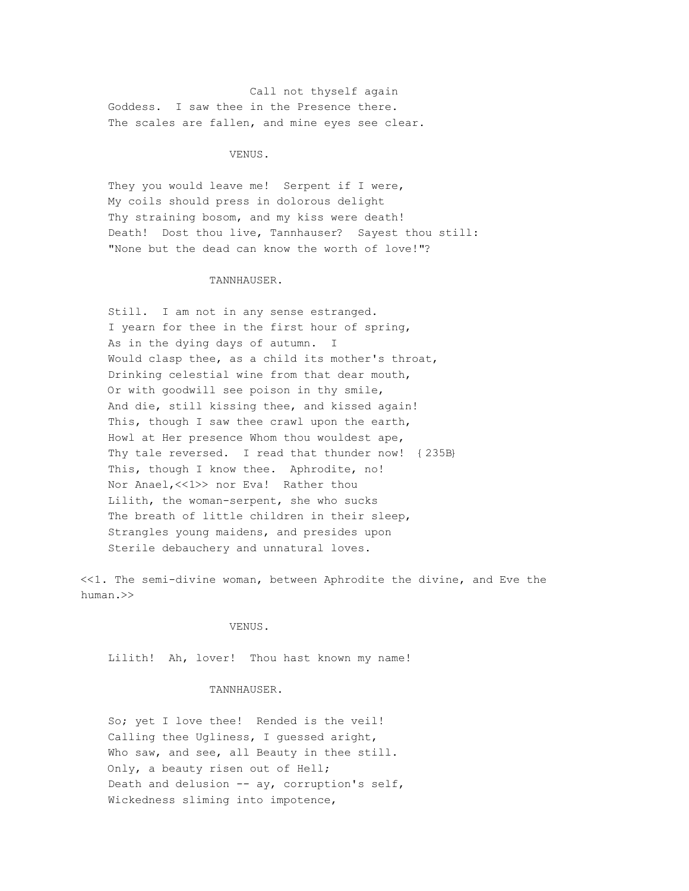Call not thyself again Goddess. I saw thee in the Presence there. The scales are fallen, and mine eyes see clear.

# VENUS.

They you would leave me! Serpent if I were, My coils should press in dolorous delight Thy straining bosom, and my kiss were death! Death! Dost thou live, Tannhauser? Sayest thou still: "None but the dead can know the worth of love!"?

## TANNHAUSER.

 Still. I am not in any sense estranged. I yearn for thee in the first hour of spring, As in the dying days of autumn. I Would clasp thee, as a child its mother's throat, Drinking celestial wine from that dear mouth, Or with goodwill see poison in thy smile, And die, still kissing thee, and kissed again! This, though I saw thee crawl upon the earth, Howl at Her presence Whom thou wouldest ape, Thy tale reversed. I read that thunder now! {235B} This, though I know thee. Aphrodite, no! Nor Anael,<<1>> nor Eva! Rather thou Lilith, the woman-serpent, she who sucks The breath of little children in their sleep, Strangles young maidens, and presides upon Sterile debauchery and unnatural loves.

<<1. The semi-divine woman, between Aphrodite the divine, and Eve the human.>>

#### VENUS.

Lilith! Ah, lover! Thou hast known my name!

#### TANNHAUSER.

 So; yet I love thee! Rended is the veil! Calling thee Ugliness, I guessed aright, Who saw, and see, all Beauty in thee still. Only, a beauty risen out of Hell; Death and delusion -- ay, corruption's self, Wickedness sliming into impotence,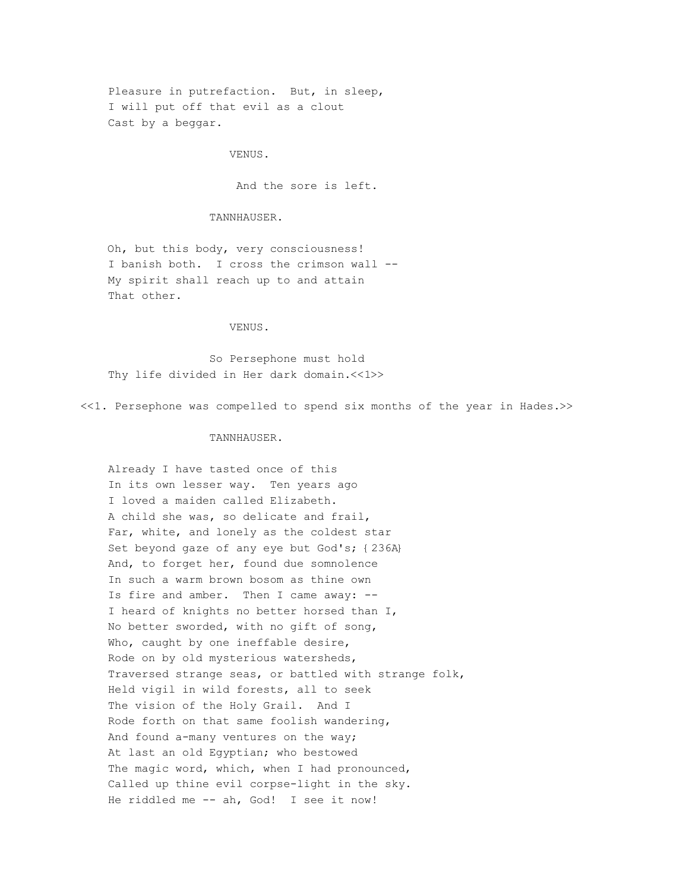Pleasure in putrefaction. But, in sleep, I will put off that evil as a clout Cast by a beggar.

VENUS.

And the sore is left.

# TANNHAUSER.

 Oh, but this body, very consciousness! I banish both. I cross the crimson wall -- My spirit shall reach up to and attain That other.

VENUS.

 So Persephone must hold Thy life divided in Her dark domain.<<1>>

<<1. Persephone was compelled to spend six months of the year in Hades.>>

#### TANNHAUSER.

 Already I have tasted once of this In its own lesser way. Ten years ago I loved a maiden called Elizabeth. A child she was, so delicate and frail, Far, white, and lonely as the coldest star Set beyond gaze of any eye but God's; {236A} And, to forget her, found due somnolence In such a warm brown bosom as thine own Is fire and amber. Then I came away: -- I heard of knights no better horsed than I, No better sworded, with no gift of song, Who, caught by one ineffable desire, Rode on by old mysterious watersheds, Traversed strange seas, or battled with strange folk, Held vigil in wild forests, all to seek The vision of the Holy Grail. And I Rode forth on that same foolish wandering, And found a-many ventures on the way; At last an old Egyptian; who bestowed The magic word, which, when I had pronounced, Called up thine evil corpse-light in the sky. He riddled me -- ah, God! I see it now!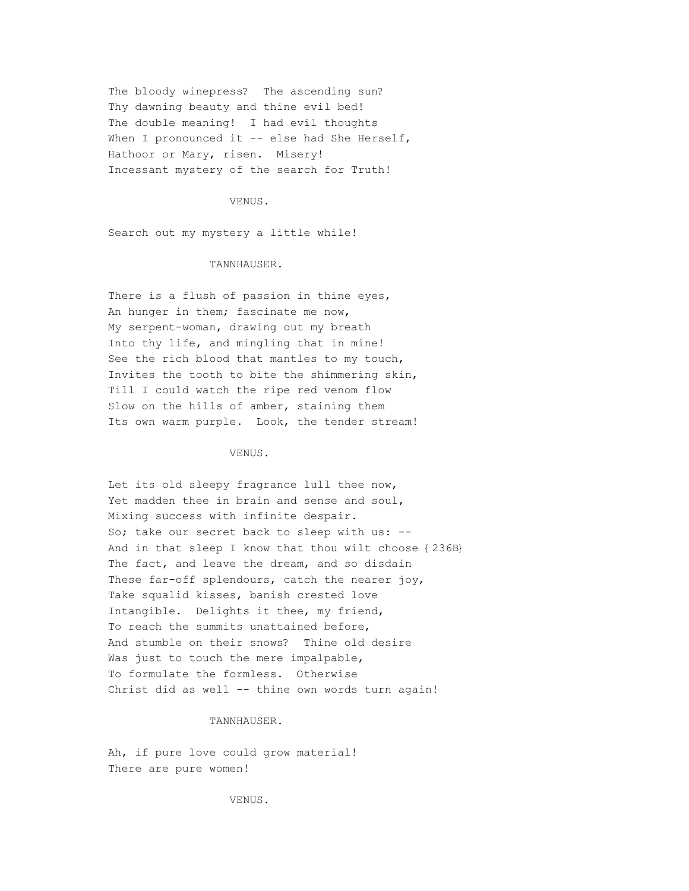The bloody winepress? The ascending sun? Thy dawning beauty and thine evil bed! The double meaning! I had evil thoughts When I pronounced it  $-$  else had She Herself, Hathoor or Mary, risen. Misery! Incessant mystery of the search for Truth!

#### VENUS.

Search out my mystery a little while!

## TANNHAUSER.

There is a flush of passion in thine eyes, An hunger in them; fascinate me now, My serpent-woman, drawing out my breath Into thy life, and mingling that in mine! See the rich blood that mantles to my touch, Invites the tooth to bite the shimmering skin, Till I could watch the ripe red venom flow Slow on the hills of amber, staining them Its own warm purple. Look, the tender stream!

VENUS.

 Let its old sleepy fragrance lull thee now, Yet madden thee in brain and sense and soul, Mixing success with infinite despair. So; take our secret back to sleep with us: -- And in that sleep I know that thou wilt choose {236B} The fact, and leave the dream, and so disdain These far-off splendours, catch the nearer joy, Take squalid kisses, banish crested love Intangible. Delights it thee, my friend, To reach the summits unattained before, And stumble on their snows? Thine old desire Was just to touch the mere impalpable, To formulate the formless. Otherwise Christ did as well -- thine own words turn again!

## TANNHAUSER.

 Ah, if pure love could grow material! There are pure women!

VENUS.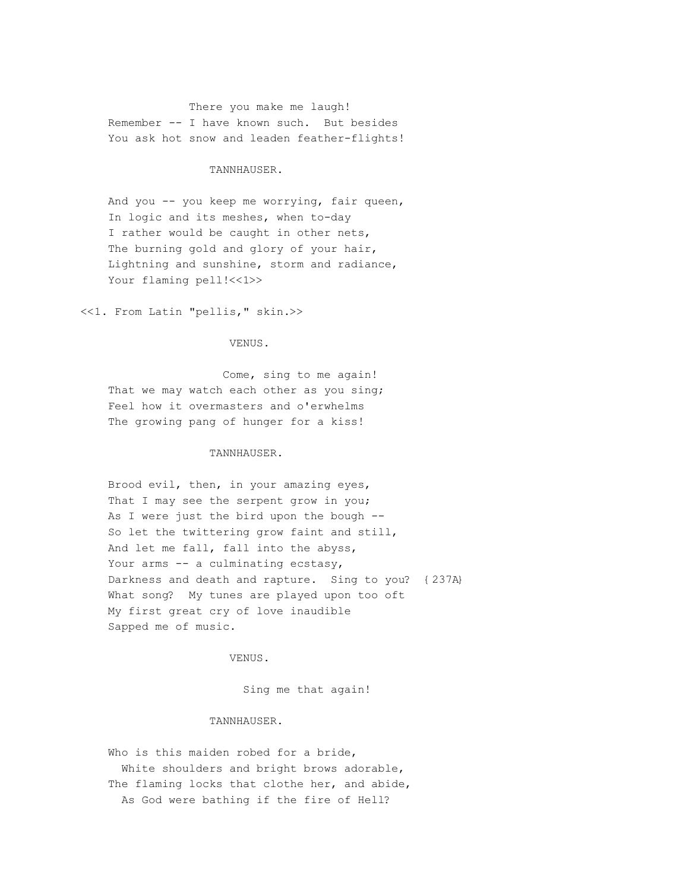There you make me laugh! Remember -- I have known such. But besides You ask hot snow and leaden feather-flights!

#### TANNHAUSER.

 And you -- you keep me worrying, fair queen, In logic and its meshes, when to-day I rather would be caught in other nets, The burning gold and glory of your hair, Lightning and sunshine, storm and radiance, Your flaming pell!<<1>>

<<1. From Latin "pellis," skin.>>

VENUS.

 Come, sing to me again! That we may watch each other as you sing; Feel how it overmasters and o'erwhelms The growing pang of hunger for a kiss!

TANNHAUSER.

 Brood evil, then, in your amazing eyes, That I may see the serpent grow in you; As I were just the bird upon the bough -- So let the twittering grow faint and still, And let me fall, fall into the abyss, Your arms -- a culminating ecstasy, Darkness and death and rapture. Sing to you? {237A} What song? My tunes are played upon too oft My first great cry of love inaudible Sapped me of music.

VENUS.

Sing me that again!

# TANNHAUSER.

Who is this maiden robed for a bride, White shoulders and bright brows adorable, The flaming locks that clothe her, and abide, As God were bathing if the fire of Hell?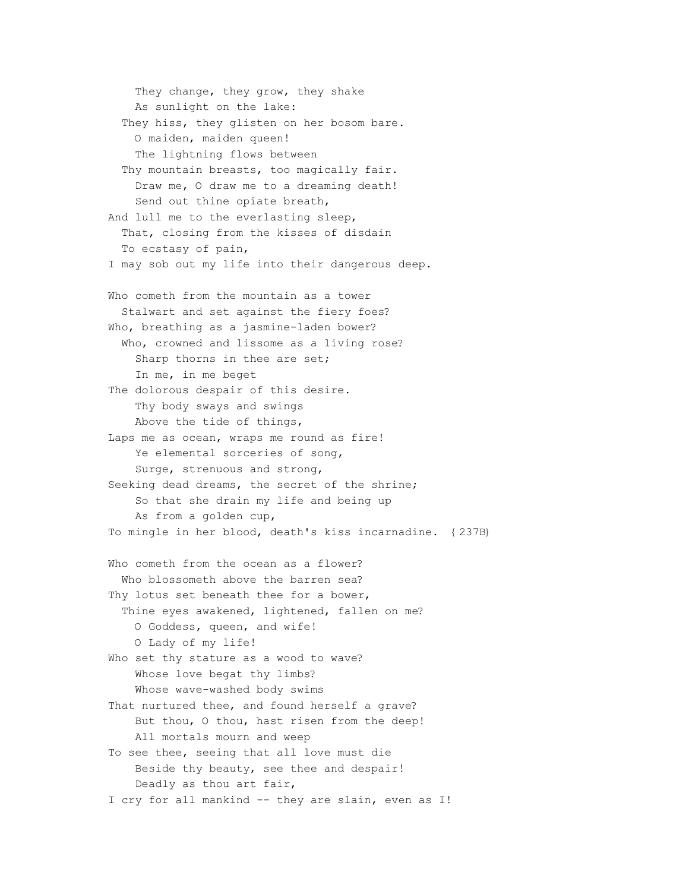They change, they grow, they shake As sunlight on the lake: They hiss, they glisten on her bosom bare. O maiden, maiden queen! The lightning flows between Thy mountain breasts, too magically fair. Draw me, O draw me to a dreaming death! Send out thine opiate breath, And lull me to the everlasting sleep, That, closing from the kisses of disdain To ecstasy of pain, I may sob out my life into their dangerous deep. Who cometh from the mountain as a tower Stalwart and set against the fiery foes? Who, breathing as a jasmine-laden bower? Who, crowned and lissome as a living rose? Sharp thorns in thee are set; In me, in me beget The dolorous despair of this desire. Thy body sways and swings Above the tide of things, Laps me as ocean, wraps me round as fire! Ye elemental sorceries of song, Surge, strenuous and strong, Seeking dead dreams, the secret of the shrine; So that she drain my life and being up As from a golden cup, To mingle in her blood, death's kiss incarnadine. {237B} Who cometh from the ocean as a flower? Who blossometh above the barren sea? Thy lotus set beneath thee for a bower, Thine eyes awakened, lightened, fallen on me? O Goddess, queen, and wife! O Lady of my life! Who set thy stature as a wood to wave? Whose love begat thy limbs? Whose wave-washed body swims That nurtured thee, and found herself a grave? But thou, O thou, hast risen from the deep! All mortals mourn and weep To see thee, seeing that all love must die Beside thy beauty, see thee and despair! Deadly as thou art fair, I cry for all mankind -- they are slain, even as I!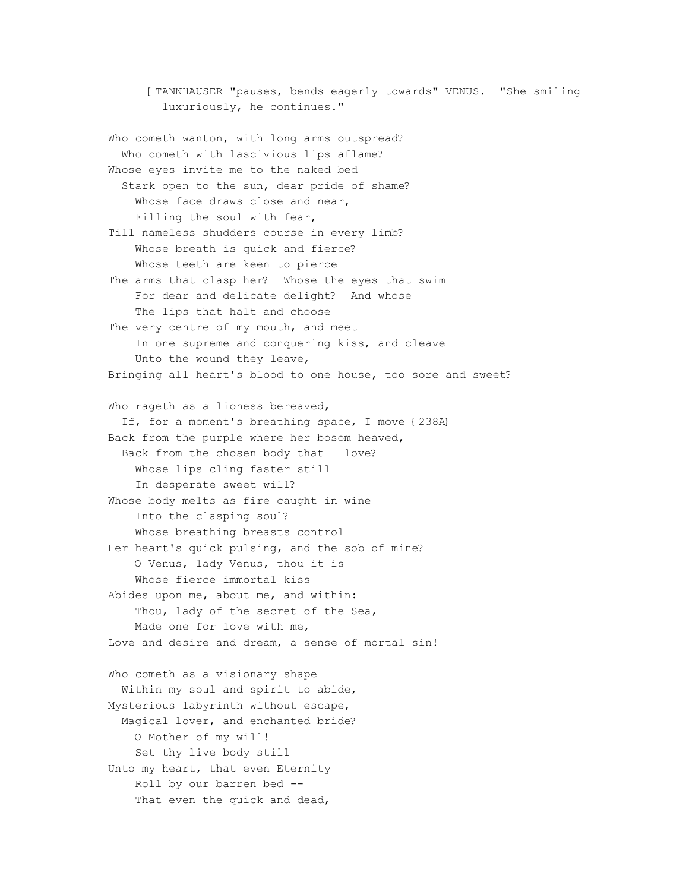[TANNHAUSER "pauses, bends eagerly towards" VENUS. "She smiling luxuriously, he continues." Who cometh wanton, with long arms outspread? Who cometh with lascivious lips aflame? Whose eyes invite me to the naked bed Stark open to the sun, dear pride of shame? Whose face draws close and near, Filling the soul with fear, Till nameless shudders course in every limb? Whose breath is quick and fierce? Whose teeth are keen to pierce The arms that clasp her? Whose the eyes that swim For dear and delicate delight? And whose The lips that halt and choose The very centre of my mouth, and meet In one supreme and conquering kiss, and cleave Unto the wound they leave, Bringing all heart's blood to one house, too sore and sweet? Who rageth as a lioness bereaved, If, for a moment's breathing space, I move {238A} Back from the purple where her bosom heaved, Back from the chosen body that I love? Whose lips cling faster still In desperate sweet will? Whose body melts as fire caught in wine Into the clasping soul? Whose breathing breasts control Her heart's quick pulsing, and the sob of mine? O Venus, lady Venus, thou it is Whose fierce immortal kiss Abides upon me, about me, and within: Thou, lady of the secret of the Sea, Made one for love with me, Love and desire and dream, a sense of mortal sin! Who cometh as a visionary shape Within my soul and spirit to abide, Mysterious labyrinth without escape, Magical lover, and enchanted bride? O Mother of my will! Set thy live body still Unto my heart, that even Eternity Roll by our barren bed -- That even the quick and dead,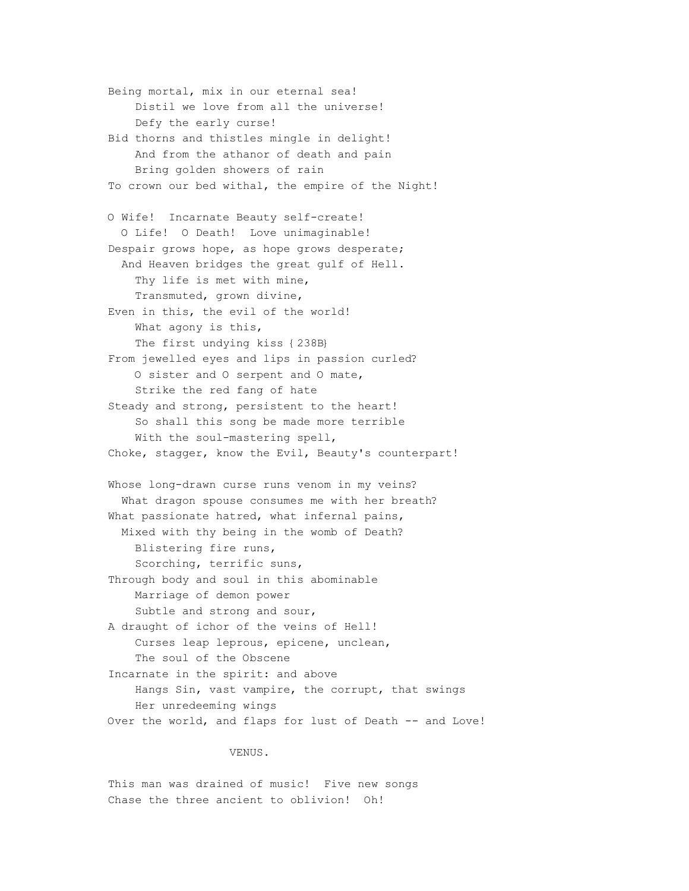Being mortal, mix in our eternal sea! Distil we love from all the universe! Defy the early curse! Bid thorns and thistles mingle in delight! And from the athanor of death and pain Bring golden showers of rain To crown our bed withal, the empire of the Night! O Wife! Incarnate Beauty self-create! O Life! O Death! Love unimaginable! Despair grows hope, as hope grows desperate; And Heaven bridges the great gulf of Hell. Thy life is met with mine, Transmuted, grown divine, Even in this, the evil of the world! What agony is this, The first undying kiss {238B} From jewelled eyes and lips in passion curled? O sister and O serpent and O mate, Strike the red fang of hate Steady and strong, persistent to the heart! So shall this song be made more terrible With the soul-mastering spell, Choke, stagger, know the Evil, Beauty's counterpart! Whose long-drawn curse runs venom in my veins? What dragon spouse consumes me with her breath? What passionate hatred, what infernal pains, Mixed with thy being in the womb of Death? Blistering fire runs, Scorching, terrific suns, Through body and soul in this abominable Marriage of demon power Subtle and strong and sour, A draught of ichor of the veins of Hell! Curses leap leprous, epicene, unclean, The soul of the Obscene Incarnate in the spirit: and above Hangs Sin, vast vampire, the corrupt, that swings Her unredeeming wings Over the world, and flaps for lust of Death -- and Love!

## VENUS.

 This man was drained of music! Five new songs Chase the three ancient to oblivion! Oh!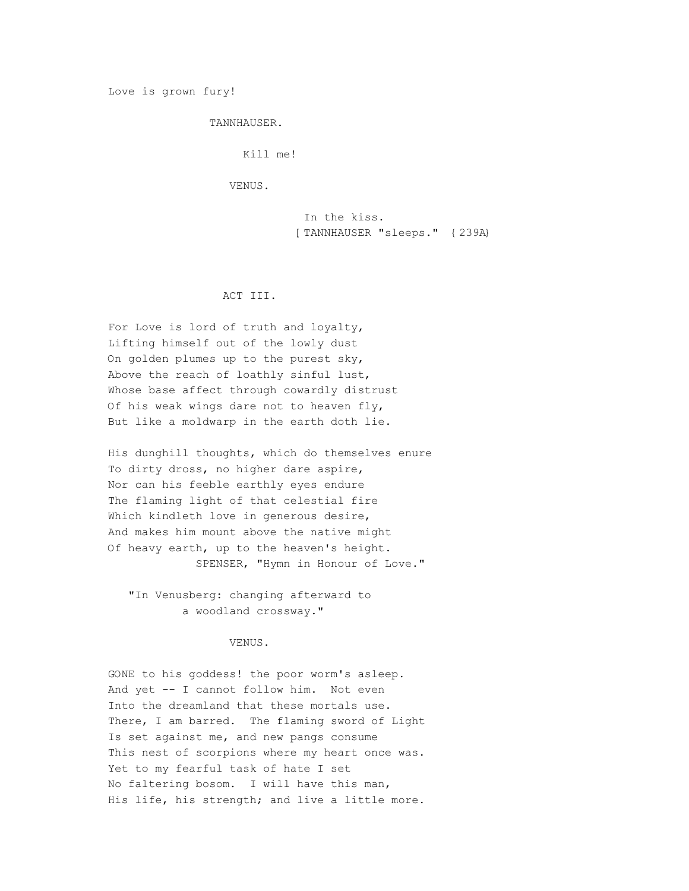Love is grown fury!

TANNHAUSER.

Kill me!

VENUS.

 In the kiss. [TANNHAUSER "sleeps." {239A}

# ACT III.

 For Love is lord of truth and loyalty, Lifting himself out of the lowly dust On golden plumes up to the purest sky, Above the reach of loathly sinful lust, Whose base affect through cowardly distrust Of his weak wings dare not to heaven fly, But like a moldwarp in the earth doth lie.

 His dunghill thoughts, which do themselves enure To dirty dross, no higher dare aspire, Nor can his feeble earthly eyes endure The flaming light of that celestial fire Which kindleth love in generous desire, And makes him mount above the native might Of heavy earth, up to the heaven's height. SPENSER, "Hymn in Honour of Love."

 "In Venusberg: changing afterward to a woodland crossway."

VENUS.

 GONE to his goddess! the poor worm's asleep. And yet -- I cannot follow him. Not even Into the dreamland that these mortals use. There, I am barred. The flaming sword of Light Is set against me, and new pangs consume This nest of scorpions where my heart once was. Yet to my fearful task of hate I set No faltering bosom. I will have this man, His life, his strength; and live a little more.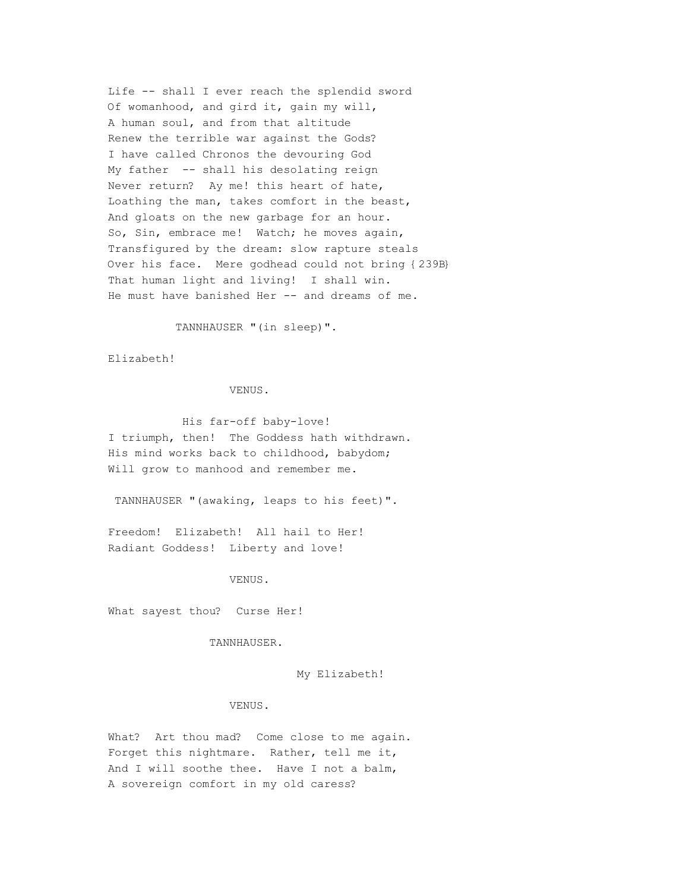Life -- shall I ever reach the splendid sword Of womanhood, and gird it, gain my will, A human soul, and from that altitude Renew the terrible war against the Gods? I have called Chronos the devouring God My father -- shall his desolating reign Never return? Ay me! this heart of hate, Loathing the man, takes comfort in the beast, And gloats on the new garbage for an hour. So, Sin, embrace me! Watch; he moves again, Transfigured by the dream: slow rapture steals Over his face. Mere godhead could not bring {239B} That human light and living! I shall win. He must have banished Her -- and dreams of me.

TANNHAUSER "(in sleep)".

Elizabeth!

VENUS.

 His far-off baby-love! I triumph, then! The Goddess hath withdrawn. His mind works back to childhood, babydom; Will grow to manhood and remember me.

TANNHAUSER "(awaking, leaps to his feet)".

 Freedom! Elizabeth! All hail to Her! Radiant Goddess! Liberty and love!

VENUS.

What sayest thou? Curse Her!

TANNHAUSER.

My Elizabeth!

# VENUS.

What? Art thou mad? Come close to me again. Forget this nightmare. Rather, tell me it, And I will soothe thee. Have I not a balm, A sovereign comfort in my old caress?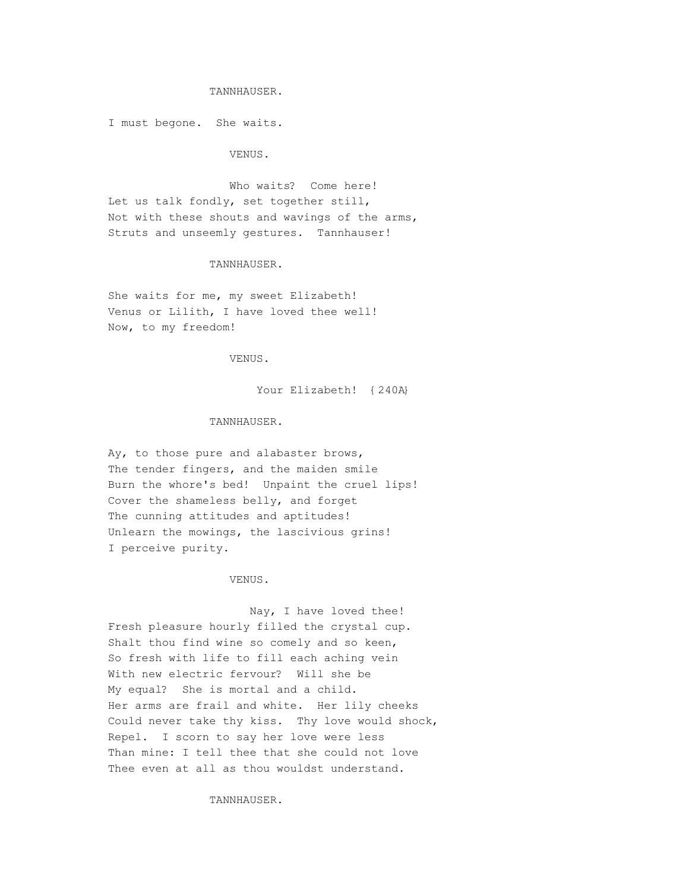## TANNHAUSER.

I must begone. She waits.

# VENUS.

 Who waits? Come here! Let us talk fondly, set together still, Not with these shouts and wavings of the arms, Struts and unseemly gestures. Tannhauser!

## TANNHAUSER.

 She waits for me, my sweet Elizabeth! Venus or Lilith, I have loved thee well! Now, to my freedom!

#### VENUS.

# Your Elizabeth! { 240A}

# TANNHAUSER.

 Ay, to those pure and alabaster brows, The tender fingers, and the maiden smile Burn the whore's bed! Unpaint the cruel lips! Cover the shameless belly, and forget The cunning attitudes and aptitudes! Unlearn the mowings, the lascivious grins! I perceive purity.

### VENUS.

 Nay, I have loved thee! Fresh pleasure hourly filled the crystal cup. Shalt thou find wine so comely and so keen, So fresh with life to fill each aching vein With new electric fervour? Will she be My equal? She is mortal and a child. Her arms are frail and white. Her lily cheeks Could never take thy kiss. Thy love would shock, Repel. I scorn to say her love were less Than mine: I tell thee that she could not love Thee even at all as thou wouldst understand.

# TANNHAUSER.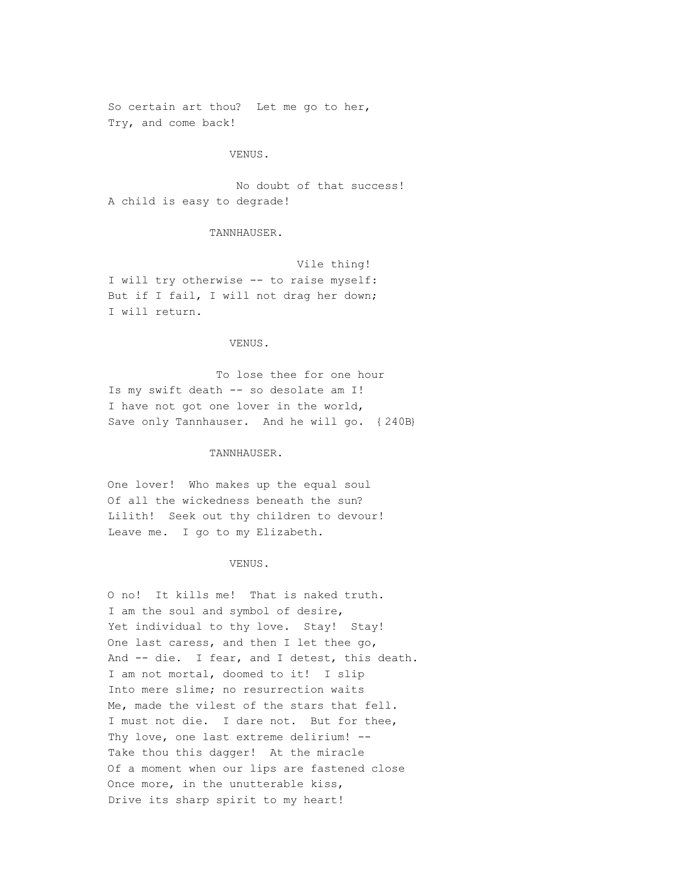So certain art thou? Let me go to her, Try, and come back!

# VENUS.

 No doubt of that success! A child is easy to degrade!

TANNHAUSER.

 Vile thing! I will try otherwise -- to raise myself: But if I fail, I will not drag her down; I will return.

VENUS.

 To lose thee for one hour Is my swift death -- so desolate am I! I have not got one lover in the world, Save only Tannhauser. And he will go. {240B}

TANNHAUSER.

 One lover! Who makes up the equal soul Of all the wickedness beneath the sun? Lilith! Seek out thy children to devour! Leave me. I go to my Elizabeth.

VENUS.

 O no! It kills me! That is naked truth. I am the soul and symbol of desire, Yet individual to thy love. Stay! Stay! One last caress, and then I let thee go, And -- die. I fear, and I detest, this death. I am not mortal, doomed to it! I slip Into mere slime; no resurrection waits Me, made the vilest of the stars that fell. I must not die. I dare not. But for thee, Thy love, one last extreme delirium! -- Take thou this dagger! At the miracle Of a moment when our lips are fastened close Once more, in the unutterable kiss, Drive its sharp spirit to my heart!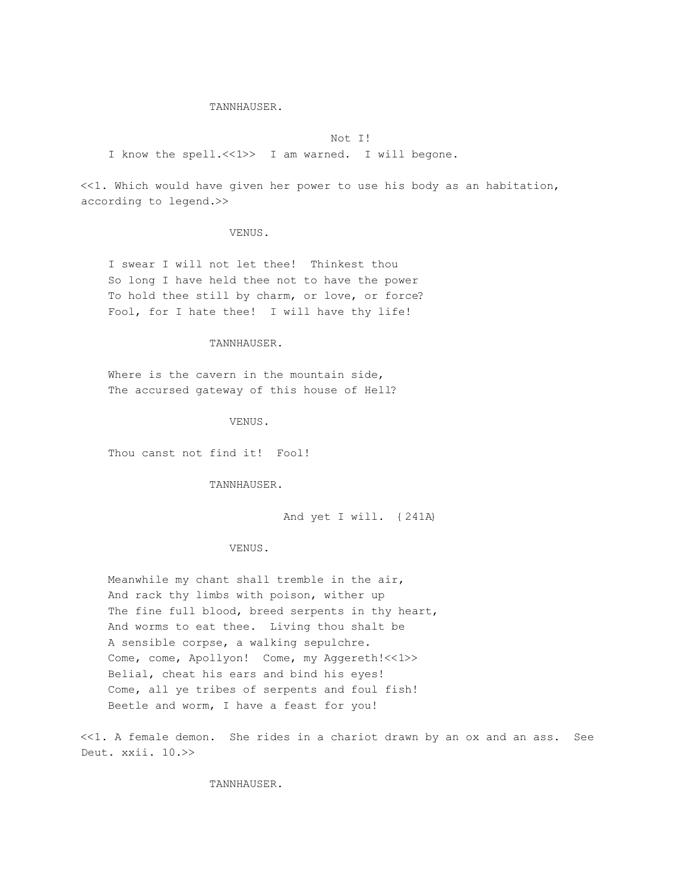#### TANNHAUSER.

#### Not I!

I know the spell.<<1>> I am warned. I will begone.

<<1. Which would have given her power to use his body as an habitation, according to legend.>>

#### VENUS.

I swear I will not let thee! Thinkest thou So long I have held thee not to have the power To hold thee still by charm, or love, or force? Fool, for I hate thee! I will have thy life!

## TANNHAUSER.

Where is the cavern in the mountain side, The accursed gateway of this house of Hell?

VENUS.

Thou canst not find it! Fool!

TANNHAUSER.

And yet I will. {241A}

#### VENUS.

 Meanwhile my chant shall tremble in the air, And rack thy limbs with poison, wither up The fine full blood, breed serpents in thy heart, And worms to eat thee. Living thou shalt be A sensible corpse, a walking sepulchre. Come, come, Apollyon! Come, my Aggereth!<<1>> Belial, cheat his ears and bind his eyes! Come, all ye tribes of serpents and foul fish! Beetle and worm, I have a feast for you!

<<1. A female demon. She rides in a chariot drawn by an ox and an ass. See Deut. xxii. 10.>>

### TANNHAUSER.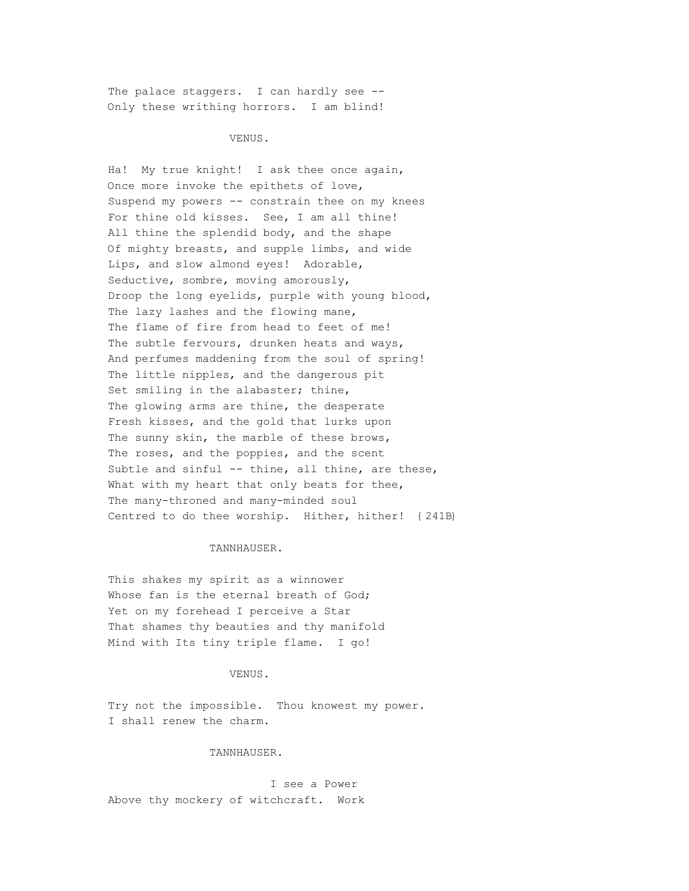The palace staggers. I can hardly see --Only these writhing horrors. I am blind!

VENUS.

 Ha! My true knight! I ask thee once again, Once more invoke the epithets of love, Suspend my powers -- constrain thee on my knees For thine old kisses. See, I am all thine! All thine the splendid body, and the shape Of mighty breasts, and supple limbs, and wide Lips, and slow almond eyes! Adorable, Seductive, sombre, moving amorously, Droop the long eyelids, purple with young blood, The lazy lashes and the flowing mane, The flame of fire from head to feet of me! The subtle fervours, drunken heats and ways, And perfumes maddening from the soul of spring! The little nipples, and the dangerous pit Set smiling in the alabaster; thine, The glowing arms are thine, the desperate Fresh kisses, and the gold that lurks upon The sunny skin, the marble of these brows, The roses, and the poppies, and the scent Subtle and sinful -- thine, all thine, are these, What with my heart that only beats for thee, The many-throned and many-minded soul Centred to do thee worship. Hither, hither! {241B}

### TANNHAUSER.

 This shakes my spirit as a winnower Whose fan is the eternal breath of God; Yet on my forehead I perceive a Star That shames thy beauties and thy manifold Mind with Its tiny triple flame. I go!

#### VENUS.

 Try not the impossible. Thou knowest my power. I shall renew the charm.

### TANNHAUSER.

 I see a Power Above thy mockery of witchcraft. Work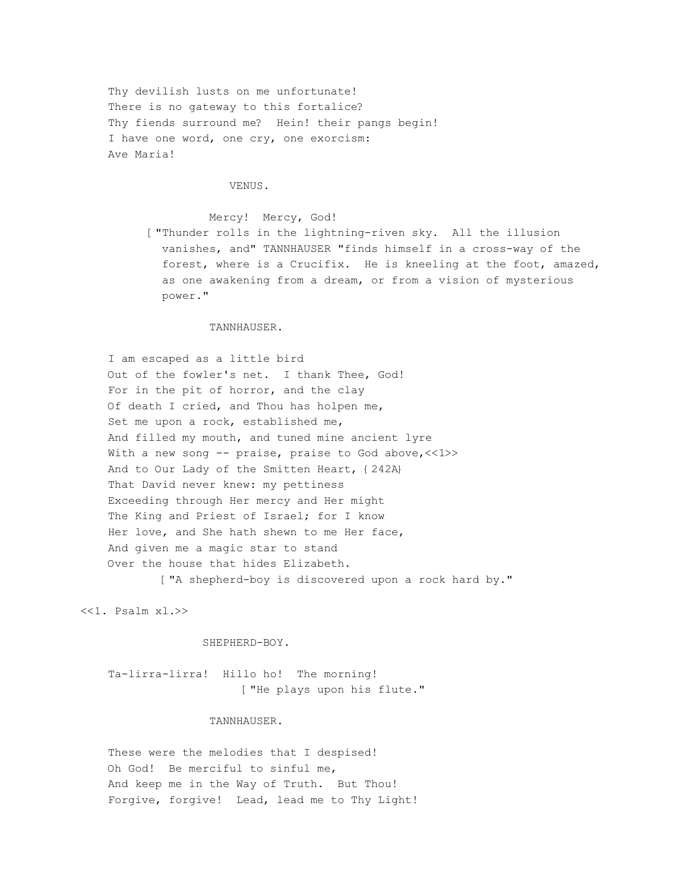Thy devilish lusts on me unfortunate! There is no gateway to this fortalice? Thy fiends surround me? Hein! their pangs begin! I have one word, one cry, one exorcism: Ave Maria!

VENUS.

 Mercy! Mercy, God! ["Thunder rolls in the lightning-riven sky. All the illusion vanishes, and" TANNHAUSER "finds himself in a cross-way of the forest, where is a Crucifix. He is kneeling at the foot, amazed, as one awakening from a dream, or from a vision of mysterious power."

TANNHAUSER.

 I am escaped as a little bird Out of the fowler's net. I thank Thee, God! For in the pit of horror, and the clay Of death I cried, and Thou has holpen me, Set me upon a rock, established me, And filled my mouth, and tuned mine ancient lyre With a new song -- praise, praise to God above, << 1>> And to Our Lady of the Smitten Heart, {242A} That David never knew: my pettiness Exceeding through Her mercy and Her might The King and Priest of Israel; for I know Her love, and She hath shewn to me Her face, And given me a magic star to stand Over the house that hides Elizabeth. ["A shepherd-boy is discovered upon a rock hard by."

<<1. Psalm xl.>>

SHEPHERD-BOY.

 Ta-lirra-lirra! Hillo ho! The morning! ["He plays upon his flute."

#### TANNHAUSER.

 These were the melodies that I despised! Oh God! Be merciful to sinful me, And keep me in the Way of Truth. But Thou! Forgive, forgive! Lead, lead me to Thy Light!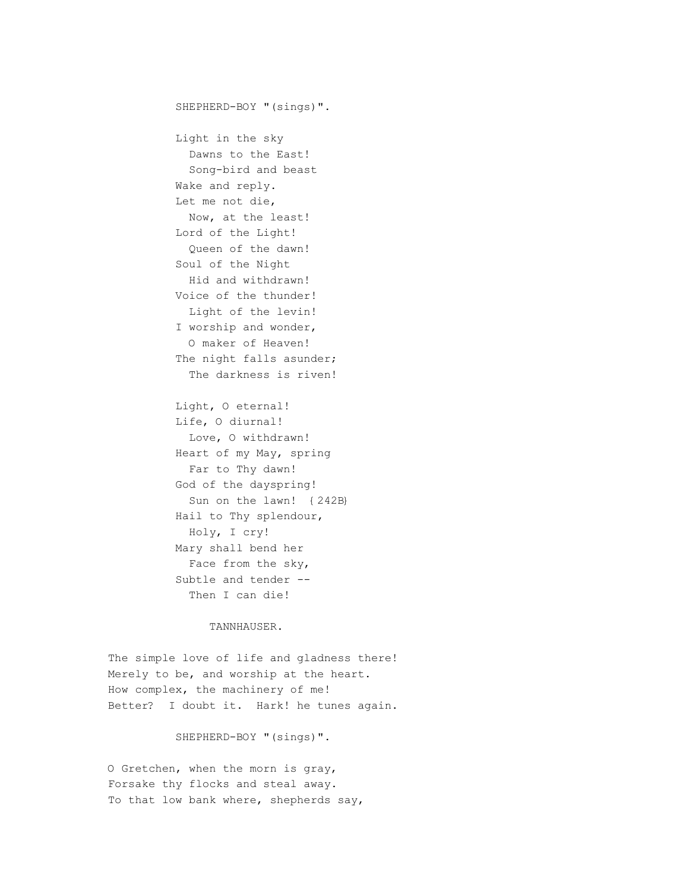```
 SHEPHERD-BOY "(sings)".
 Light in the sky
   Dawns to the East!
   Song-bird and beast
 Wake and reply.
 Let me not die,
  Now, at the least!
 Lord of the Light!
   Queen of the dawn!
 Soul of the Night
   Hid and withdrawn!
 Voice of the thunder!
  Light of the levin!
 I worship and wonder,
   O maker of Heaven!
The night falls asunder;
   The darkness is riven!
 Light, O eternal!
 Life, O diurnal!
  Love, O withdrawn!
 Heart of my May, spring
   Far to Thy dawn!
 God of the dayspring!
   Sun on the lawn! {242B}
 Hail to Thy splendour,
   Holy, I cry!
 Mary shall bend her
   Face from the sky,
 Subtle and tender --
   Then I can die!
```
#### TANNHAUSER.

The simple love of life and gladness there! Merely to be, and worship at the heart. How complex, the machinery of me! Better? I doubt it. Hark! he tunes again.

# SHEPHERD-BOY "(sings)".

 O Gretchen, when the morn is gray, Forsake thy flocks and steal away. To that low bank where, shepherds say,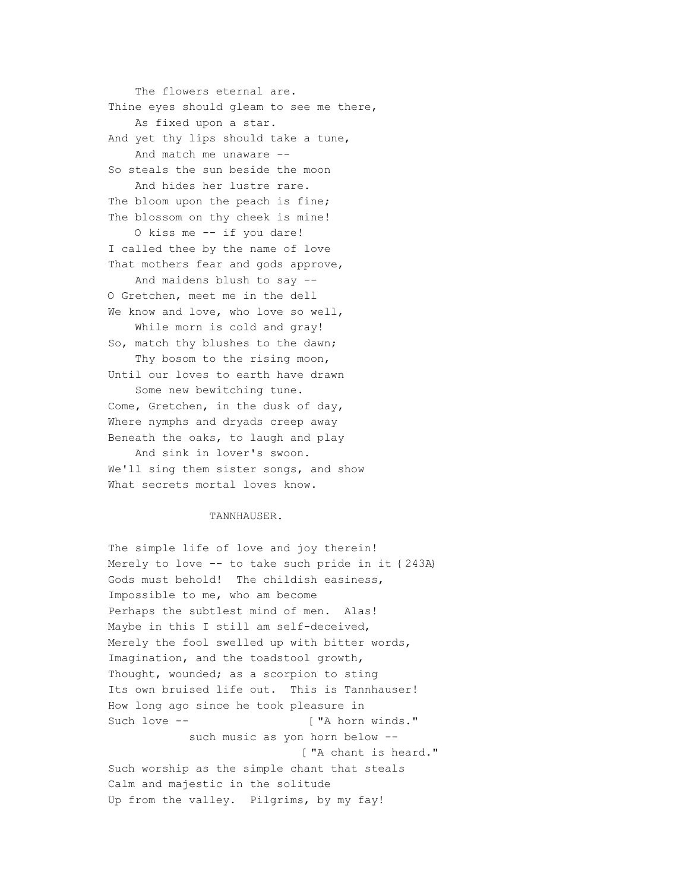The flowers eternal are. Thine eyes should gleam to see me there, As fixed upon a star. And yet thy lips should take a tune, And match me unaware -- So steals the sun beside the moon And hides her lustre rare. The bloom upon the peach is fine; The blossom on thy cheek is mine! O kiss me -- if you dare! I called thee by the name of love That mothers fear and gods approve, And maidens blush to say -- O Gretchen, meet me in the dell We know and love, who love so well, While morn is cold and gray! So, match thy blushes to the dawn; Thy bosom to the rising moon, Until our loves to earth have drawn Some new bewitching tune. Come, Gretchen, in the dusk of day, Where nymphs and dryads creep away Beneath the oaks, to laugh and play And sink in lover's swoon.

 We'll sing them sister songs, and show What secrets mortal loves know.

### TANNHAUSER.

 The simple life of love and joy therein! Merely to love -- to take such pride in it {243A} Gods must behold! The childish easiness, Impossible to me, who am become Perhaps the subtlest mind of men. Alas! Maybe in this I still am self-deceived, Merely the fool swelled up with bitter words, Imagination, and the toadstool growth, Thought, wounded; as a scorpion to sting Its own bruised life out. This is Tannhauser! How long ago since he took pleasure in Such love -- ["A horn winds." such music as yon horn below -- ["A chant is heard." Such worship as the simple chant that steals Calm and majestic in the solitude Up from the valley. Pilgrims, by my fay!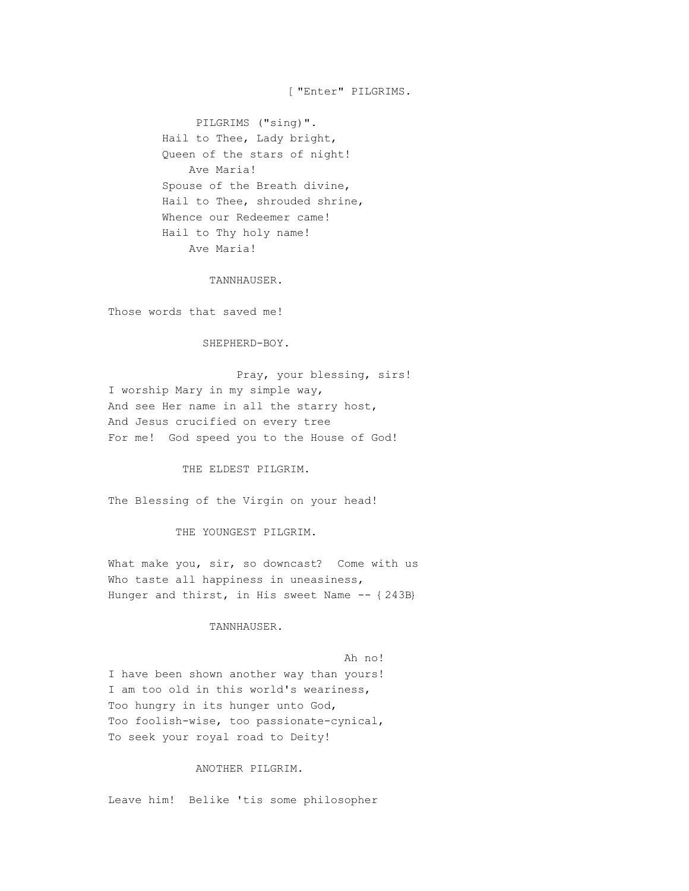["Enter" PILGRIMS.

 PILGRIMS ("sing)". Hail to Thee, Lady bright, Queen of the stars of night! Ave Maria! Spouse of the Breath divine, Hail to Thee, shrouded shrine, Whence our Redeemer came! Hail to Thy holy name! Ave Maria!

TANNHAUSER.

Those words that saved me!

SHEPHERD-BOY.

 Pray, your blessing, sirs! I worship Mary in my simple way, And see Her name in all the starry host, And Jesus crucified on every tree For me! God speed you to the House of God!

THE ELDEST PILGRIM.

The Blessing of the Virgin on your head!

THE YOUNGEST PILGRIM.

What make you, sir, so downcast? Come with us Who taste all happiness in uneasiness, Hunger and thirst, in His sweet Name  $--$  {243B}

#### TANNHAUSER.

 Ah no! I have been shown another way than yours! I am too old in this world's weariness, Too hungry in its hunger unto God, Too foolish-wise, too passionate-cynical, To seek your royal road to Deity!

# ANOTHER PILGRIM.

Leave him! Belike 'tis some philosopher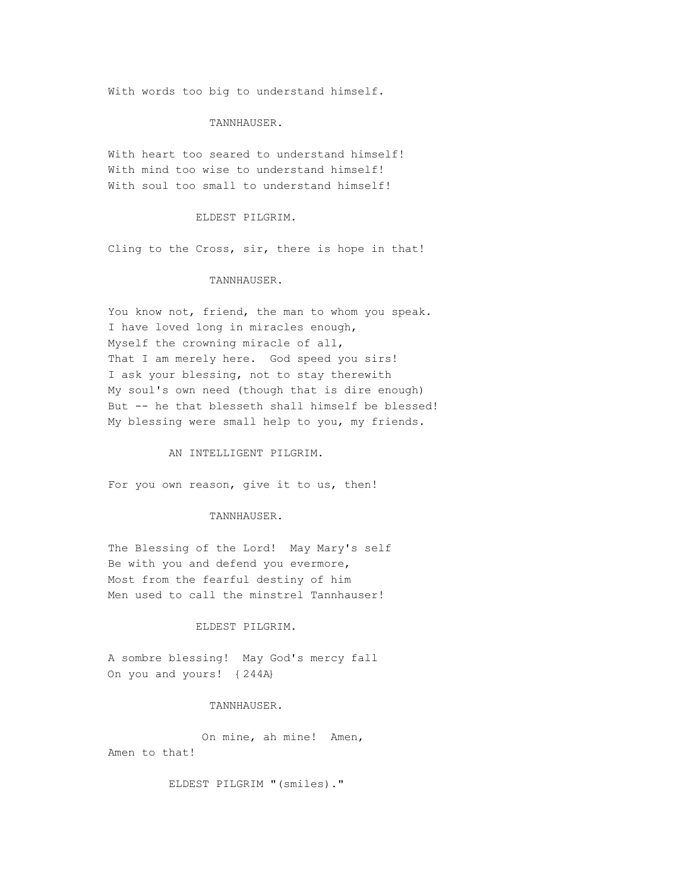With words too big to understand himself.

#### TANNHAUSER.

 With heart too seared to understand himself! With mind too wise to understand himself! With soul too small to understand himself!

# ELDEST PILGRIM.

Cling to the Cross, sir, there is hope in that!

## TANNHAUSER.

You know not, friend, the man to whom you speak. I have loved long in miracles enough, Myself the crowning miracle of all, That I am merely here. God speed you sirs! I ask your blessing, not to stay therewith My soul's own need (though that is dire enough) But -- he that blesseth shall himself be blessed! My blessing were small help to you, my friends.

AN INTELLIGENT PILGRIM.

For you own reason, give it to us, then!

### TANNHAUSER.

 The Blessing of the Lord! May Mary's self Be with you and defend you evermore, Most from the fearful destiny of him Men used to call the minstrel Tannhauser!

## ELDEST PILGRIM.

 A sombre blessing! May God's mercy fall On you and yours! {244A}

# TANNHAUSER.

 On mine, ah mine! Amen, Amen to that!

ELDEST PILGRIM "(smiles)."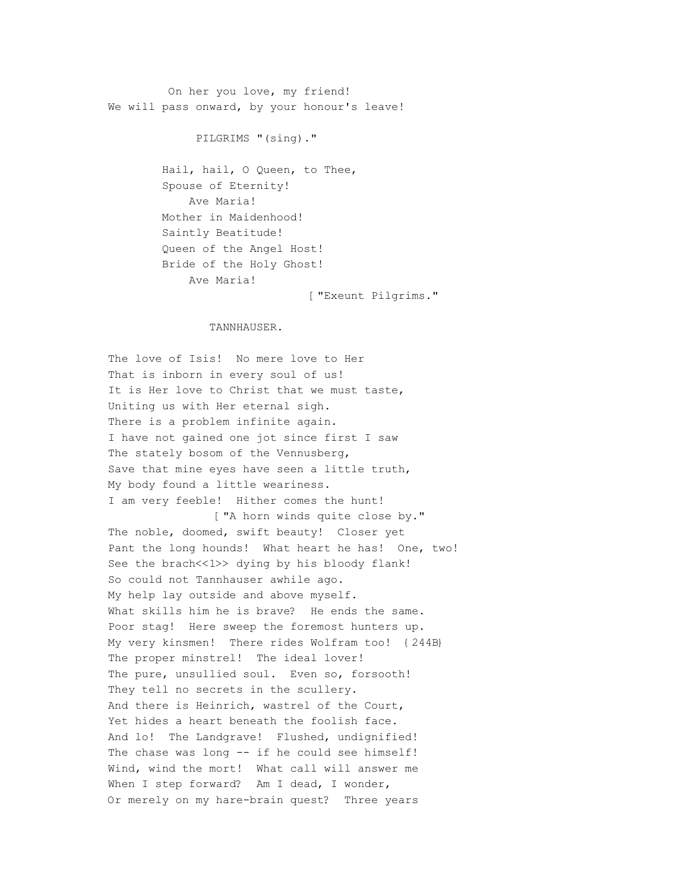On her you love, my friend! We will pass onward, by your honour's leave!

PILGRIMS "(sing)."

 Hail, hail, O Queen, to Thee, Spouse of Eternity! Ave Maria! Mother in Maidenhood! Saintly Beatitude! Queen of the Angel Host! Bride of the Holy Ghost! Ave Maria!

["Exeunt Pilgrims."

# TANNHAUSER.

 The love of Isis! No mere love to Her That is inborn in every soul of us! It is Her love to Christ that we must taste, Uniting us with Her eternal sigh. There is a problem infinite again. I have not gained one jot since first I saw The stately bosom of the Vennusberg, Save that mine eyes have seen a little truth, My body found a little weariness. I am very feeble! Hither comes the hunt! [ "A horn winds quite close by." The noble, doomed, swift beauty! Closer yet Pant the long hounds! What heart he has! One, two! See the brach<<1>> dying by his bloody flank! So could not Tannhauser awhile ago. My help lay outside and above myself. What skills him he is brave? He ends the same. Poor stag! Here sweep the foremost hunters up. My very kinsmen! There rides Wolfram too! {244B} The proper minstrel! The ideal lover! The pure, unsullied soul. Even so, forsooth! They tell no secrets in the scullery. And there is Heinrich, wastrel of the Court, Yet hides a heart beneath the foolish face. And lo! The Landgrave! Flushed, undignified! The chase was long -- if he could see himself! Wind, wind the mort! What call will answer me When I step forward? Am I dead, I wonder, Or merely on my hare-brain quest? Three years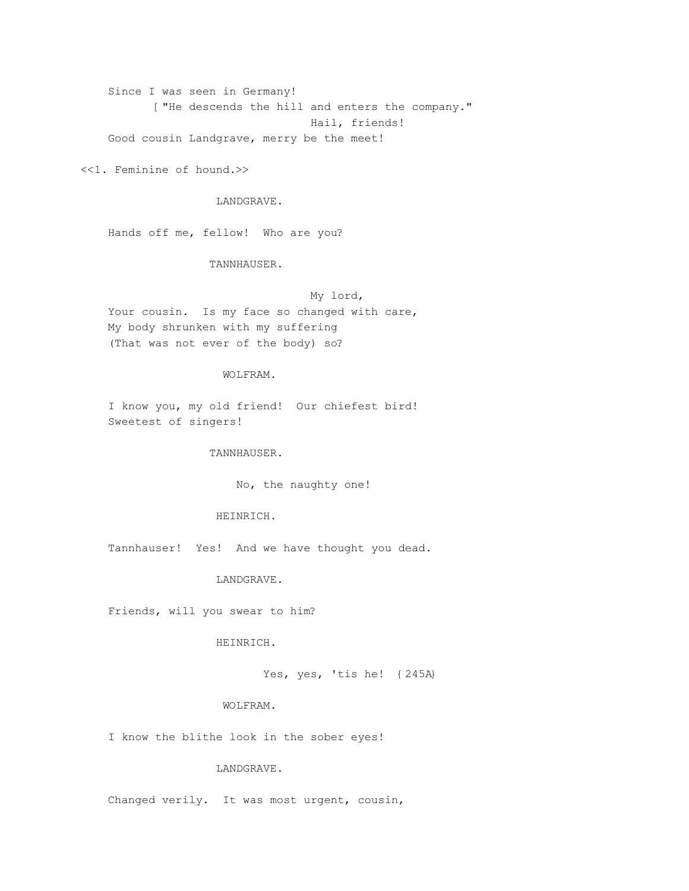Since I was seen in Germany! ["He descends the hill and enters the company." Hail, friends! Good cousin Landgrave, merry be the meet!

<<1. Feminine of hound.>>

### LANDGRAVE.

Hands off me, fellow! Who are you?

## TANNHAUSER.

My lord,

Your cousin. Is my face so changed with care, My body shrunken with my suffering (That was not ever of the body) so?

# WOLFRAM.

 I know you, my old friend! Our chiefest bird! Sweetest of singers!

TANNHAUSER.

No, the naughty one!

HEINRICH.

Tannhauser! Yes! And we have thought you dead.

LANDGRAVE.

Friends, will you swear to him?

HEINRICH.

Yes, yes, 'tis he! {245A}

# WOLFRAM.

I know the blithe look in the sober eyes!

# LANDGRAVE.

Changed verily. It was most urgent, cousin,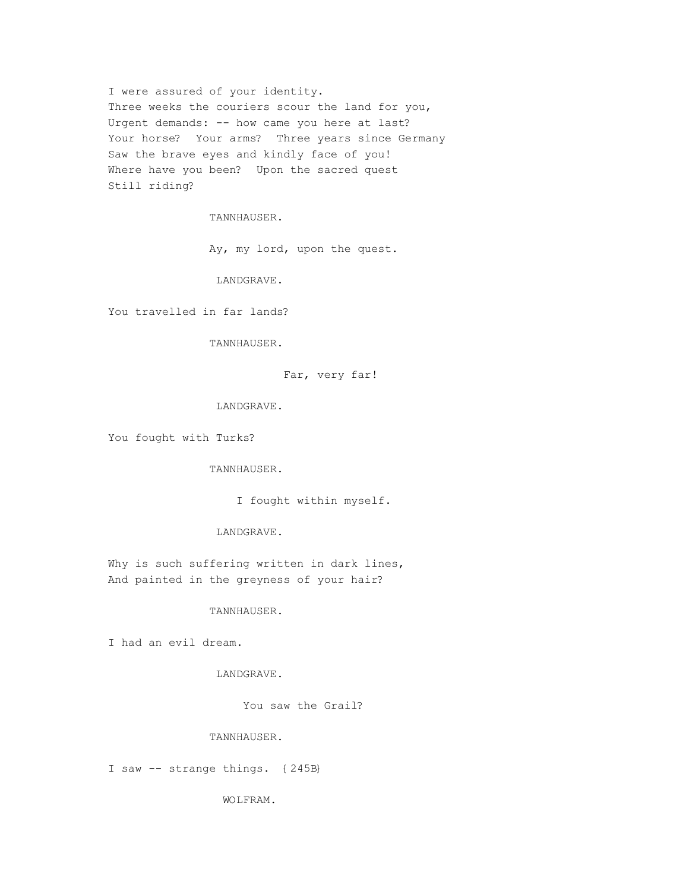I were assured of your identity. Three weeks the couriers scour the land for you, Urgent demands: -- how came you here at last? Your horse? Your arms? Three years since Germany Saw the brave eyes and kindly face of you! Where have you been? Upon the sacred quest Still riding?

## TANNHAUSER.

Ay, my lord, upon the quest.

LANDGRAVE.

You travelled in far lands?

TANNHAUSER.

Far, very far!

LANDGRAVE.

You fought with Turks?

TANNHAUSER.

I fought within myself.

# LANDGRAVE.

Why is such suffering written in dark lines, And painted in the greyness of your hair?

## TANNHAUSER.

I had an evil dream.

# LANDGRAVE.

You saw the Grail?

# TANNHAUSER.

I saw -- strange things. {245B}

WOLFRAM.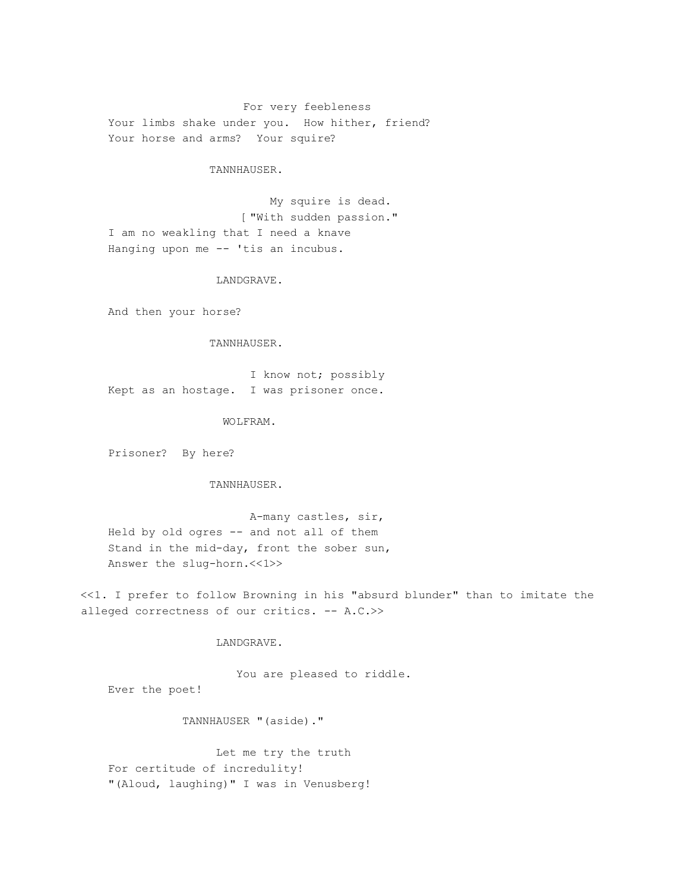For very feebleness Your limbs shake under you. How hither, friend? Your horse and arms? Your squire?

#### TANNHAUSER.

 My squire is dead. ["With sudden passion." I am no weakling that I need a knave Hanging upon me -- 'tis an incubus.

# LANDGRAVE.

And then your horse?

TANNHAUSER.

 I know not; possibly Kept as an hostage. I was prisoner once.

WOLFRAM.

Prisoner? By here?

TANNHAUSER.

 A-many castles, sir, Held by old ogres -- and not all of them Stand in the mid-day, front the sober sun, Answer the slug-horn.<<1>>

<<1. I prefer to follow Browning in his "absurd blunder" than to imitate the alleged correctness of our critics. -- A.C.>>

LANDGRAVE.

You are pleased to riddle.

Ever the poet!

TANNHAUSER "(aside)."

 Let me try the truth For certitude of incredulity! "(Aloud, laughing)" I was in Venusberg!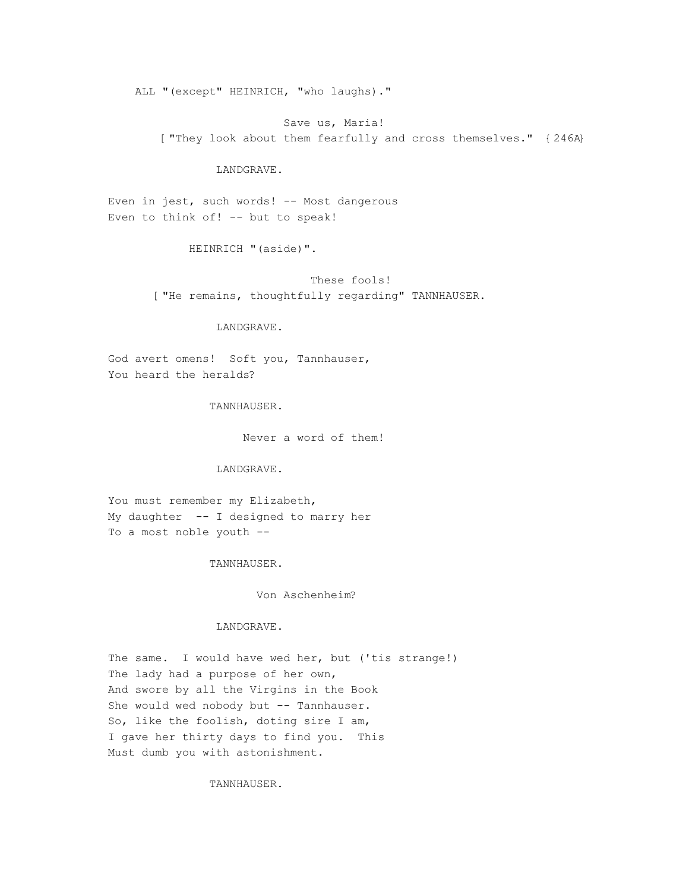ALL "(except" HEINRICH, "who laughs)."

 Save us, Maria! ["They look about them fearfully and cross themselves." {246A}

LANDGRAVE.

 Even in jest, such words! -- Most dangerous Even to think of! -- but to speak!

HEINRICH "(aside)".

 These fools! ["He remains, thoughtfully regarding" TANNHAUSER.

LANDGRAVE.

 God avert omens! Soft you, Tannhauser, You heard the heralds?

TANNHAUSER.

Never a word of them!

LANDGRAVE.

You must remember my Elizabeth, My daughter -- I designed to marry her To a most noble youth --

TANNHAUSER.

Von Aschenheim?

### LANDGRAVE.

 The same. I would have wed her, but ('tis strange!) The lady had a purpose of her own, And swore by all the Virgins in the Book She would wed nobody but -- Tannhauser. So, like the foolish, doting sire I am, I gave her thirty days to find you. This Must dumb you with astonishment.

TANNHAUSER.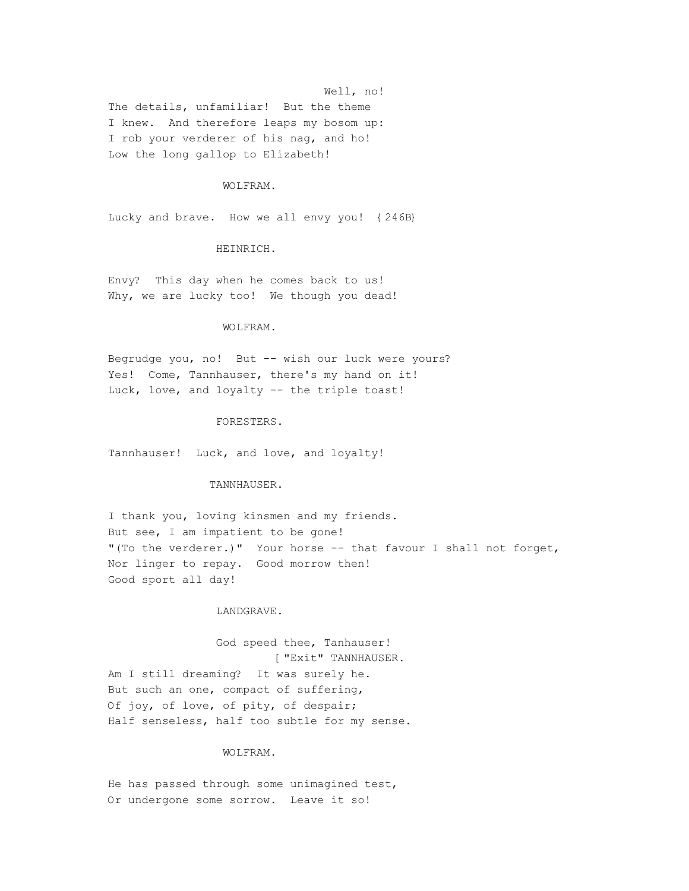Well, no!

The details, unfamiliar! But the theme I knew. And therefore leaps my bosom up: I rob your verderer of his nag, and ho! Low the long gallop to Elizabeth!

## WOLFRAM.

Lucky and brave. How we all envy you! {246B}

### HEINRICH.

 Envy? This day when he comes back to us! Why, we are lucky too! We though you dead!

## WOLFRAM.

Begrudge you, no! But -- wish our luck were yours? Yes! Come, Tannhauser, there's my hand on it! Luck, love, and loyalty -- the triple toast!

### FORESTERS.

Tannhauser! Luck, and love, and loyalty!

### TANNHAUSER.

 I thank you, loving kinsmen and my friends. But see, I am impatient to be gone! "(To the verderer.)" Your horse -- that favour I shall not forget, Nor linger to repay. Good morrow then! Good sport all day!

## LANDGRAVE.

 God speed thee, Tanhauser! ["Exit" TANNHAUSER. Am I still dreaming? It was surely he. But such an one, compact of suffering, Of joy, of love, of pity, of despair; Half senseless, half too subtle for my sense.

#### WOLFRAM.

 He has passed through some unimagined test, Or undergone some sorrow. Leave it so!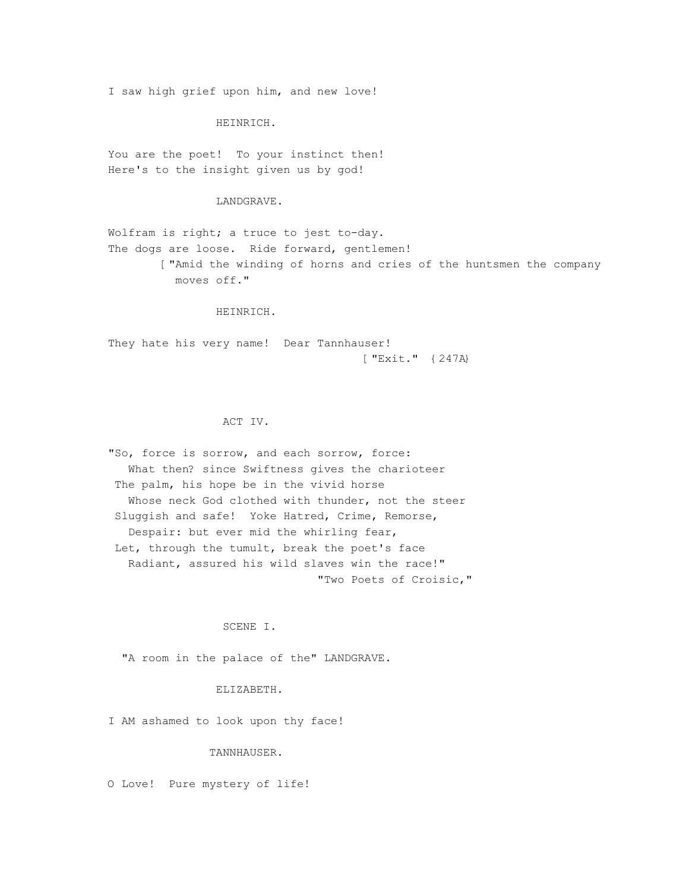I saw high grief upon him, and new love!

HEINRICH.

You are the poet! To your instinct then! Here's to the insight given us by god!

#### LANDGRAVE.

 Wolfram is right; a truce to jest to-day. The dogs are loose. Ride forward, gentlemen! ["Amid the winding of horns and cries of the huntsmen the company moves off."

HEINRICH.

 They hate his very name! Dear Tannhauser! [ "Exit." {247A}

# ACT IV.

 "So, force is sorrow, and each sorrow, force: What then? since Swiftness gives the charioteer The palm, his hope be in the vivid horse Whose neck God clothed with thunder, not the steer Sluggish and safe! Yoke Hatred, Crime, Remorse, Despair: but ever mid the whirling fear, Let, through the tumult, break the poet's face Radiant, assured his wild slaves win the race!" "Two Poets of Croisic,"

### SCENE I.

"A room in the palace of the" LANDGRAVE.

## ELIZABETH.

I AM ashamed to look upon thy face!

## TANNHAUSER.

O Love! Pure mystery of life!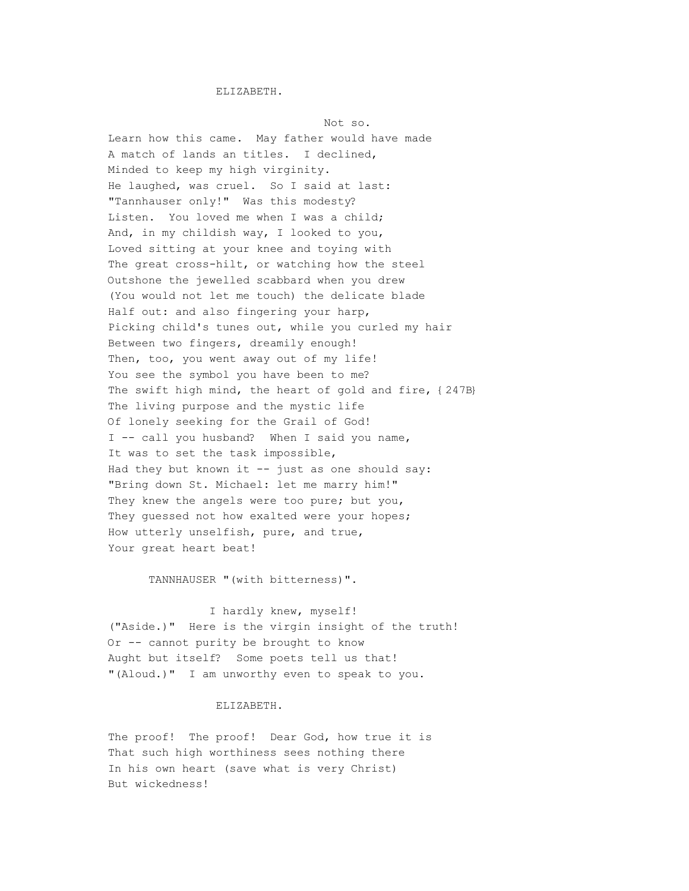#### ELIZABETH.

Not so.

 Learn how this came. May father would have made A match of lands an titles. I declined, Minded to keep my high virginity. He laughed, was cruel. So I said at last: "Tannhauser only!" Was this modesty? Listen. You loved me when I was a child; And, in my childish way, I looked to you, Loved sitting at your knee and toying with The great cross-hilt, or watching how the steel Outshone the jewelled scabbard when you drew (You would not let me touch) the delicate blade Half out: and also fingering your harp, Picking child's tunes out, while you curled my hair Between two fingers, dreamily enough! Then, too, you went away out of my life! You see the symbol you have been to me? The swift high mind, the heart of gold and fire, {247B} The living purpose and the mystic life Of lonely seeking for the Grail of God! I -- call you husband? When I said you name, It was to set the task impossible, Had they but known it -- just as one should say: "Bring down St. Michael: let me marry him!" They knew the angels were too pure; but you, They quessed not how exalted were your hopes; How utterly unselfish, pure, and true, Your great heart beat!

TANNHAUSER "(with bitterness)".

 I hardly knew, myself! ("Aside.)" Here is the virgin insight of the truth! Or -- cannot purity be brought to know Aught but itself? Some poets tell us that! "(Aloud.)" I am unworthy even to speak to you.

# ELIZABETH.

The proof! The proof! Dear God, how true it is That such high worthiness sees nothing there In his own heart (save what is very Christ) But wickedness!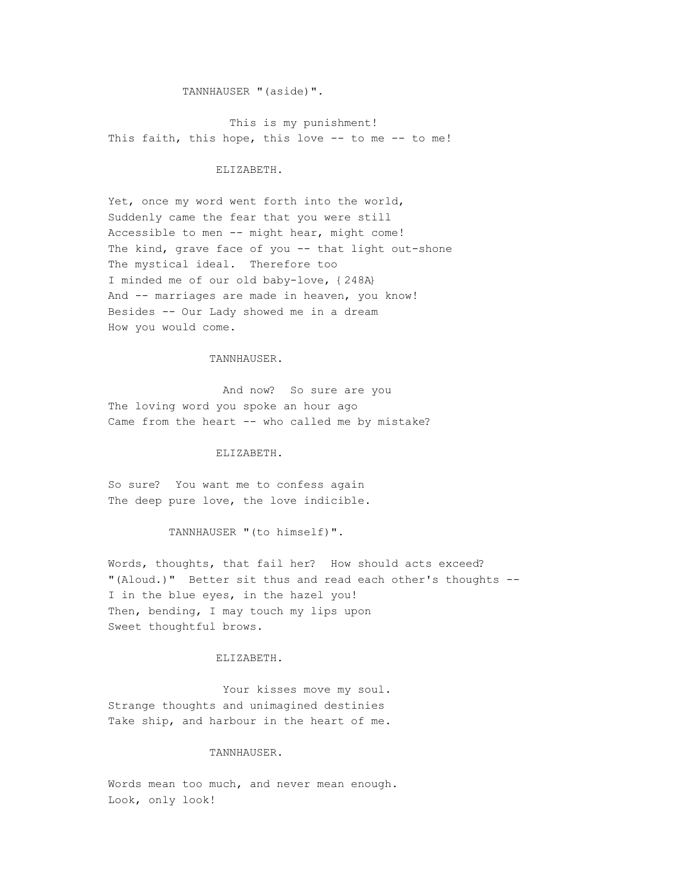# TANNHAUSER "(aside)".

 This is my punishment! This faith, this hope, this love -- to me -- to me!

#### ELIZABETH.

 Yet, once my word went forth into the world, Suddenly came the fear that you were still Accessible to men -- might hear, might come! The kind, grave face of you -- that light out-shone The mystical ideal. Therefore too I minded me of our old baby-love, {248A} And -- marriages are made in heaven, you know! Besides -- Our Lady showed me in a dream How you would come.

# TANNHAUSER.

 And now? So sure are you The loving word you spoke an hour ago Came from the heart -- who called me by mistake?

ELIZABETH.

 So sure? You want me to confess again The deep pure love, the love indicible.

TANNHAUSER "(to himself)".

 Words, thoughts, that fail her? How should acts exceed? "(Aloud.)" Better sit thus and read each other's thoughts -- I in the blue eyes, in the hazel you! Then, bending, I may touch my lips upon Sweet thoughtful brows.

# ELIZABETH.

 Your kisses move my soul. Strange thoughts and unimagined destinies Take ship, and harbour in the heart of me.

### TANNHAUSER.

 Words mean too much, and never mean enough. Look, only look!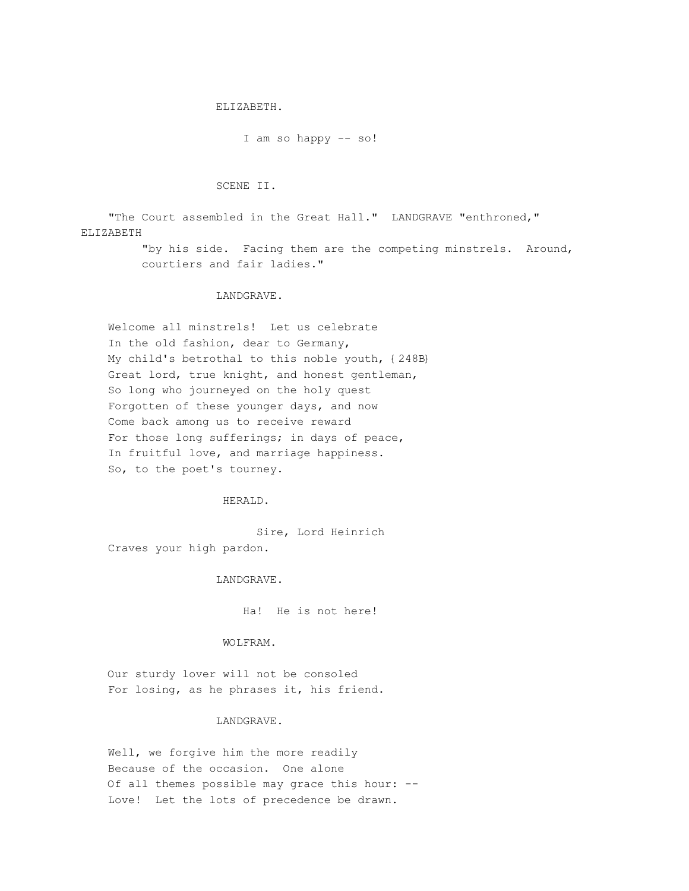#### ELIZABETH.

I am so happy -- so!

# SCENE II.

 "The Court assembled in the Great Hall." LANDGRAVE "enthroned," ELIZABETH

> "by his side. Facing them are the competing minstrels. Around, courtiers and fair ladies."

## LANDGRAVE.

 Welcome all minstrels! Let us celebrate In the old fashion, dear to Germany, My child's betrothal to this noble youth, {248B} Great lord, true knight, and honest gentleman, So long who journeyed on the holy quest Forgotten of these younger days, and now Come back among us to receive reward For those long sufferings; in days of peace, In fruitful love, and marriage happiness. So, to the poet's tourney.

HERALD.

 Sire, Lord Heinrich Craves your high pardon.

LANDGRAVE.

Ha! He is not here!

WOLFRAM.

 Our sturdy lover will not be consoled For losing, as he phrases it, his friend.

### LANDGRAVE.

Well, we forgive him the more readily Because of the occasion. One alone Of all themes possible may grace this hour: -- Love! Let the lots of precedence be drawn.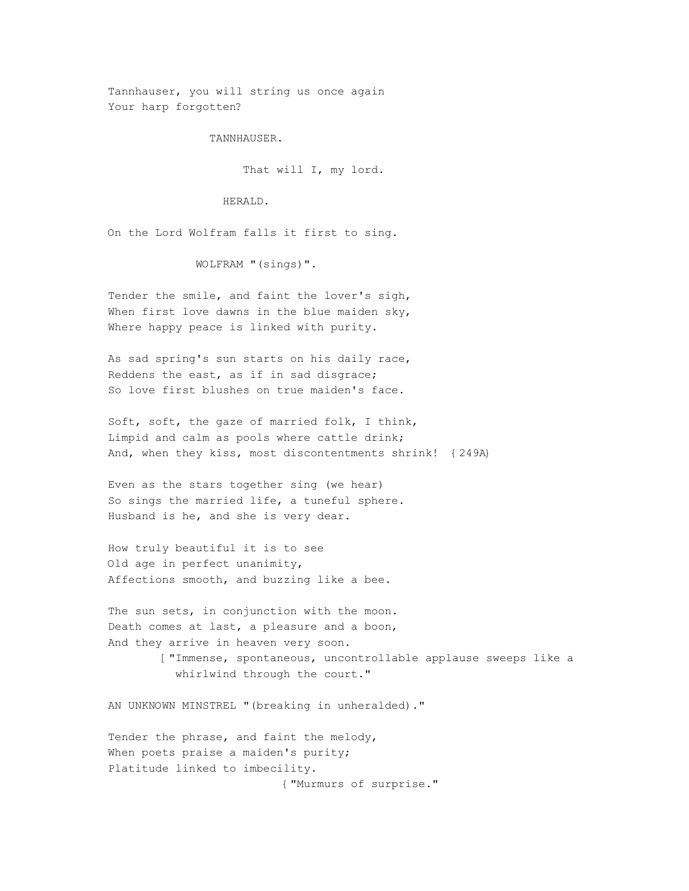Tannhauser, you will string us once again Your harp forgotten?

TANNHAUSER.

That will I, my lord.

HERALD.

On the Lord Wolfram falls it first to sing.

WOLFRAM "(sings)".

 Tender the smile, and faint the lover's sigh, When first love dawns in the blue maiden sky, Where happy peace is linked with purity.

 As sad spring's sun starts on his daily race, Reddens the east, as if in sad disgrace; So love first blushes on true maiden's face.

 Soft, soft, the gaze of married folk, I think, Limpid and calm as pools where cattle drink; And, when they kiss, most discontentments shrink! {249A}

 Even as the stars together sing (we hear) So sings the married life, a tuneful sphere. Husband is he, and she is very dear.

 How truly beautiful it is to see Old age in perfect unanimity, Affections smooth, and buzzing like a bee.

The sun sets, in conjunction with the moon. Death comes at last, a pleasure and a boon, And they arrive in heaven very soon. ["Immense, spontaneous, uncontrollable applause sweeps like a

whirlwind through the court."

AN UNKNOWN MINSTREL "(breaking in unheralded)."

 Tender the phrase, and faint the melody, When poets praise a maiden's purity; Platitude linked to imbecility. {"Murmurs of surprise."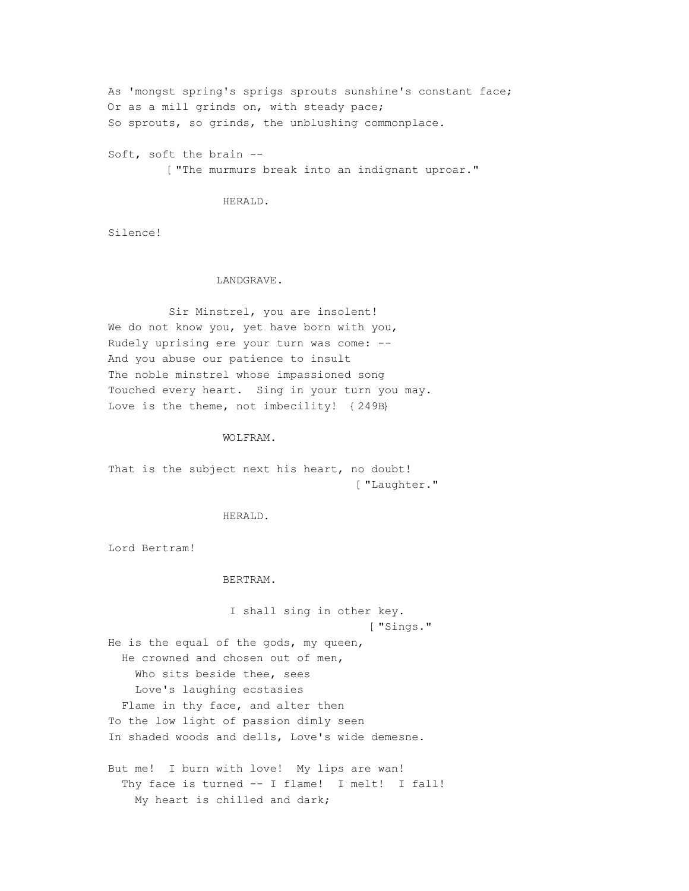As 'mongst spring's sprigs sprouts sunshine's constant face; Or as a mill grinds on, with steady pace; So sprouts, so grinds, the unblushing commonplace.

 Soft, soft the brain -- [ "The murmurs break into an indignant uproar."

HERALD.

Silence!

# LANDGRAVE.

 Sir Minstrel, you are insolent! We do not know you, yet have born with you, Rudely uprising ere your turn was come: -- And you abuse our patience to insult The noble minstrel whose impassioned song Touched every heart. Sing in your turn you may. Love is the theme, not imbecility! {249B}

WOLFRAM.

That is the subject next his heart, no doubt! [ "Laughter."

HERALD.

Lord Bertram!

BERTRAM.

 I shall sing in other key. ["Sings." He is the equal of the gods, my queen, He crowned and chosen out of men, Who sits beside thee, sees Love's laughing ecstasies Flame in thy face, and alter then To the low light of passion dimly seen In shaded woods and dells, Love's wide demesne. But me! I burn with love! My lips are wan! Thy face is turned -- I flame! I melt! I fall! My heart is chilled and dark;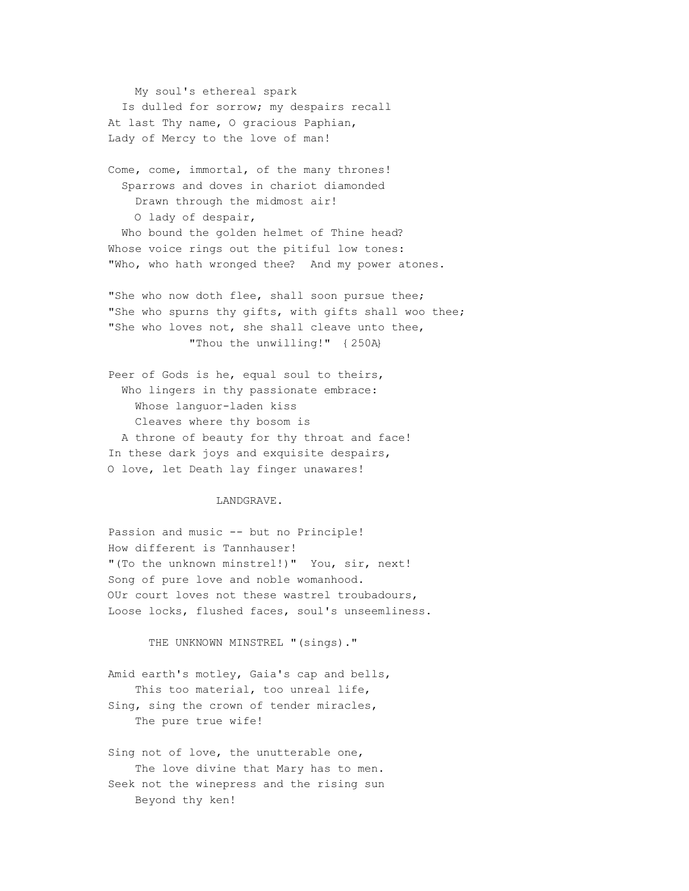My soul's ethereal spark Is dulled for sorrow; my despairs recall At last Thy name, O gracious Paphian, Lady of Mercy to the love of man!

Come, come, immortal, of the many thrones! Sparrows and doves in chariot diamonded Drawn through the midmost air! O lady of despair, Who bound the golden helmet of Thine head?

 Whose voice rings out the pitiful low tones: "Who, who hath wronged thee? And my power atones.

"She who now doth flee, shall soon pursue thee; "She who spurns thy gifts, with gifts shall woo thee; "She who loves not, she shall cleave unto thee, "Thou the unwilling!" {250A}

 Peer of Gods is he, equal soul to theirs, Who lingers in thy passionate embrace: Whose languor-laden kiss Cleaves where thy bosom is A throne of beauty for thy throat and face! In these dark joys and exquisite despairs, O love, let Death lay finger unawares!

### LANDGRAVE.

 Passion and music -- but no Principle! How different is Tannhauser! "(To the unknown minstrel!)" You, sir, next! Song of pure love and noble womanhood. OUr court loves not these wastrel troubadours, Loose locks, flushed faces, soul's unseemliness.

THE UNKNOWN MINSTREL "(sings)."

 Amid earth's motley, Gaia's cap and bells, This too material, too unreal life, Sing, sing the crown of tender miracles, The pure true wife!

 Sing not of love, the unutterable one, The love divine that Mary has to men. Seek not the winepress and the rising sun Beyond thy ken!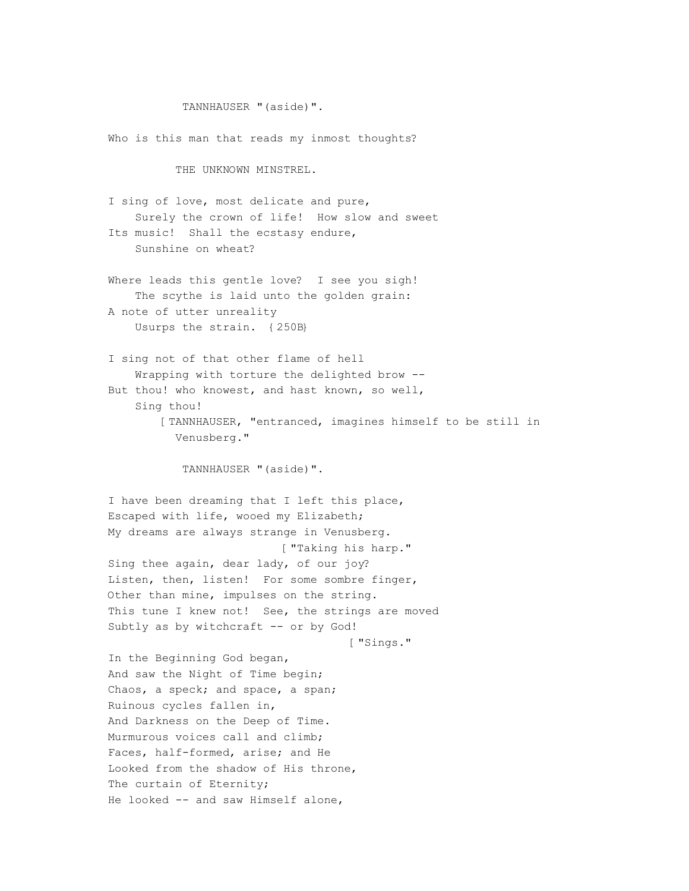#### TANNHAUSER "(aside)".

Who is this man that reads my inmost thoughts? THE UNKNOWN MINSTREL. I sing of love, most delicate and pure, Surely the crown of life! How slow and sweet Its music! Shall the ecstasy endure, Sunshine on wheat? Where leads this gentle love? I see you sigh! The scythe is laid unto the golden grain: A note of utter unreality Usurps the strain. {250B} I sing not of that other flame of hell Wrapping with torture the delighted brow -- But thou! who knowest, and hast known, so well, Sing thou! [TANNHAUSER, "entranced, imagines himself to be still in Venusberg." TANNHAUSER "(aside)". I have been dreaming that I left this place, Escaped with life, wooed my Elizabeth; My dreams are always strange in Venusberg. ["Taking his harp." Sing thee again, dear lady, of our joy? Listen, then, listen! For some sombre finger, Other than mine, impulses on the string.

This tune I knew not! See, the strings are moved Subtly as by witchcraft -- or by God!

[ "Sings."

 In the Beginning God began, And saw the Night of Time begin; Chaos, a speck; and space, a span; Ruinous cycles fallen in, And Darkness on the Deep of Time. Murmurous voices call and climb; Faces, half-formed, arise; and He Looked from the shadow of His throne, The curtain of Eternity; He looked -- and saw Himself alone,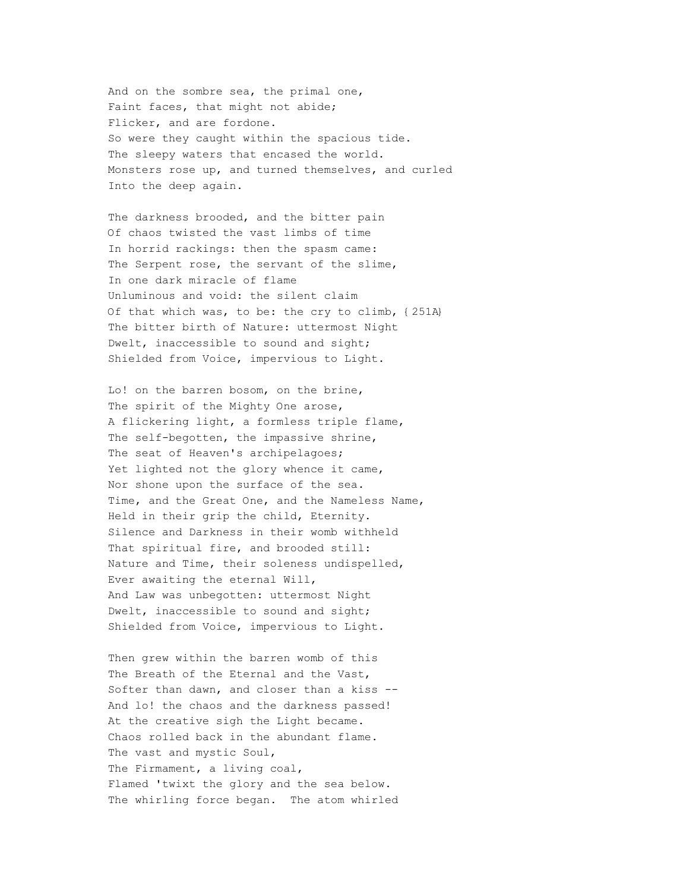And on the sombre sea, the primal one, Faint faces, that might not abide; Flicker, and are fordone. So were they caught within the spacious tide. The sleepy waters that encased the world. Monsters rose up, and turned themselves, and curled Into the deep again.

The darkness brooded, and the bitter pain Of chaos twisted the vast limbs of time In horrid rackings: then the spasm came: The Serpent rose, the servant of the slime, In one dark miracle of flame Unluminous and void: the silent claim Of that which was, to be: the cry to climb, {251A} The bitter birth of Nature: uttermost Night Dwelt, inaccessible to sound and sight; Shielded from Voice, impervious to Light.

 Lo! on the barren bosom, on the brine, The spirit of the Mighty One arose, A flickering light, a formless triple flame, The self-begotten, the impassive shrine, The seat of Heaven's archipelagoes; Yet lighted not the glory whence it came, Nor shone upon the surface of the sea. Time, and the Great One, and the Nameless Name, Held in their grip the child, Eternity. Silence and Darkness in their womb withheld That spiritual fire, and brooded still: Nature and Time, their soleness undispelled, Ever awaiting the eternal Will, And Law was unbegotten: uttermost Night Dwelt, inaccessible to sound and sight; Shielded from Voice, impervious to Light.

 Then grew within the barren womb of this The Breath of the Eternal and the Vast, Softer than dawn, and closer than a kiss -- And lo! the chaos and the darkness passed! At the creative sigh the Light became. Chaos rolled back in the abundant flame. The vast and mystic Soul, The Firmament, a living coal, Flamed 'twixt the glory and the sea below. The whirling force began. The atom whirled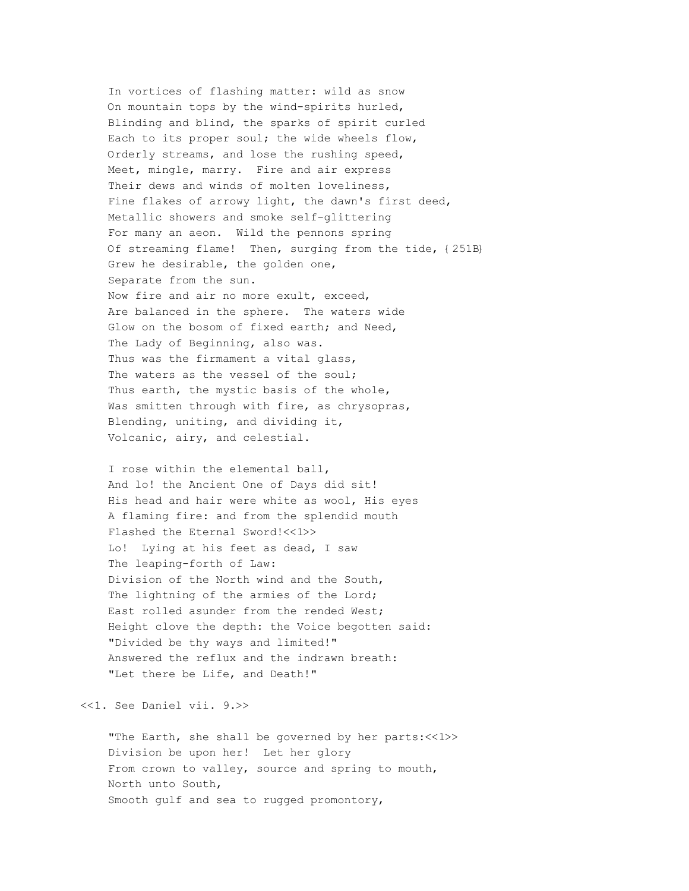In vortices of flashing matter: wild as snow On mountain tops by the wind-spirits hurled, Blinding and blind, the sparks of spirit curled Each to its proper soul; the wide wheels flow, Orderly streams, and lose the rushing speed, Meet, mingle, marry. Fire and air express Their dews and winds of molten loveliness, Fine flakes of arrowy light, the dawn's first deed, Metallic showers and smoke self-glittering For many an aeon. Wild the pennons spring Of streaming flame! Then, surging from the tide, {251B} Grew he desirable, the golden one, Separate from the sun. Now fire and air no more exult, exceed, Are balanced in the sphere. The waters wide Glow on the bosom of fixed earth; and Need, The Lady of Beginning, also was. Thus was the firmament a vital glass, The waters as the vessel of the soul; Thus earth, the mystic basis of the whole, Was smitten through with fire, as chrysopras, Blending, uniting, and dividing it, Volcanic, airy, and celestial.

 I rose within the elemental ball, And lo! the Ancient One of Days did sit! His head and hair were white as wool, His eyes A flaming fire: and from the splendid mouth Flashed the Eternal Sword!<<1>> Lo! Lying at his feet as dead, I saw The leaping-forth of Law: Division of the North wind and the South, The lightning of the armies of the Lord; East rolled asunder from the rended West; Height clove the depth: the Voice begotten said: "Divided be thy ways and limited!" Answered the reflux and the indrawn breath: "Let there be Life, and Death!"

# <<1. See Daniel vii. 9.>>

 "The Earth, she shall be governed by her parts:<<1>> Division be upon her! Let her glory From crown to valley, source and spring to mouth, North unto South, Smooth gulf and sea to rugged promontory,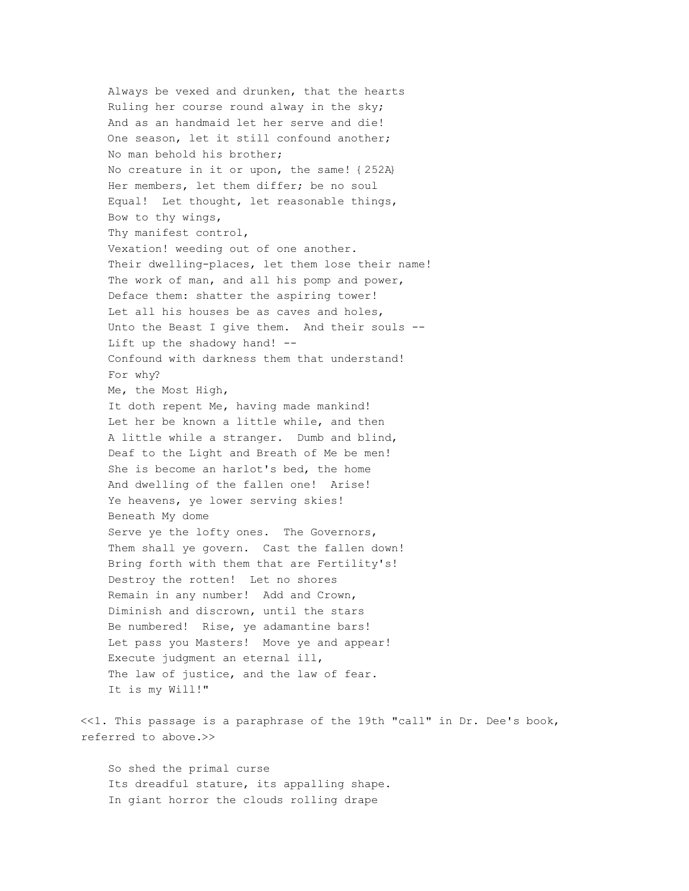Always be vexed and drunken, that the hearts Ruling her course round alway in the sky; And as an handmaid let her serve and die! One season, let it still confound another; No man behold his brother; No creature in it or upon, the same! {252A} Her members, let them differ; be no soul Equal! Let thought, let reasonable things, Bow to thy wings, Thy manifest control, Vexation! weeding out of one another. Their dwelling-places, let them lose their name! The work of man, and all his pomp and power, Deface them: shatter the aspiring tower! Let all his houses be as caves and holes, Unto the Beast I give them. And their souls -- Lift up the shadowy hand! -- Confound with darkness them that understand! For why? Me, the Most High, It doth repent Me, having made mankind! Let her be known a little while, and then A little while a stranger. Dumb and blind, Deaf to the Light and Breath of Me be men! She is become an harlot's bed, the home And dwelling of the fallen one! Arise! Ye heavens, ye lower serving skies! Beneath My dome Serve ye the lofty ones. The Governors, Them shall ye govern. Cast the fallen down! Bring forth with them that are Fertility's! Destroy the rotten! Let no shores Remain in any number! Add and Crown, Diminish and discrown, until the stars Be numbered! Rise, ye adamantine bars! Let pass you Masters! Move ye and appear! Execute judgment an eternal ill, The law of justice, and the law of fear. It is my Will!"

<<1. This passage is a paraphrase of the 19th "call" in Dr. Dee's book, referred to above.>>

 So shed the primal curse Its dreadful stature, its appalling shape. In giant horror the clouds rolling drape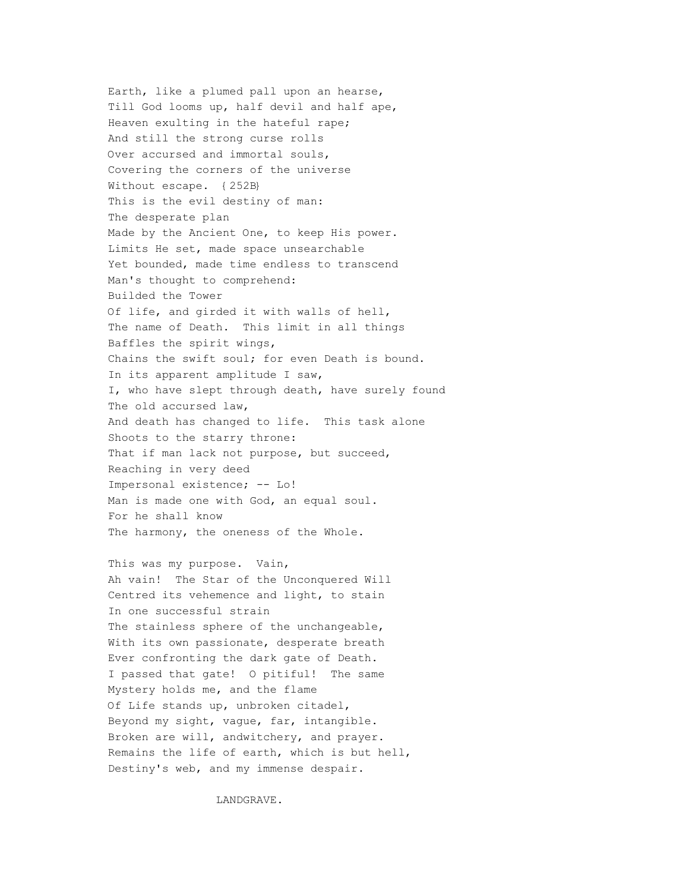Earth, like a plumed pall upon an hearse, Till God looms up, half devil and half ape, Heaven exulting in the hateful rape; And still the strong curse rolls Over accursed and immortal souls, Covering the corners of the universe Without escape. {252B} This is the evil destiny of man: The desperate plan Made by the Ancient One, to keep His power. Limits He set, made space unsearchable Yet bounded, made time endless to transcend Man's thought to comprehend: Builded the Tower Of life, and girded it with walls of hell, The name of Death. This limit in all things Baffles the spirit wings, Chains the swift soul; for even Death is bound. In its apparent amplitude I saw, I, who have slept through death, have surely found The old accursed law, And death has changed to life. This task alone Shoots to the starry throne: That if man lack not purpose, but succeed, Reaching in very deed Impersonal existence; -- Lo! Man is made one with God, an equal soul. For he shall know The harmony, the oneness of the Whole.

 This was my purpose. Vain, Ah vain! The Star of the Unconquered Will Centred its vehemence and light, to stain In one successful strain The stainless sphere of the unchangeable, With its own passionate, desperate breath Ever confronting the dark gate of Death. I passed that gate! O pitiful! The same Mystery holds me, and the flame Of Life stands up, unbroken citadel, Beyond my sight, vague, far, intangible. Broken are will, andwitchery, and prayer. Remains the life of earth, which is but hell, Destiny's web, and my immense despair.

LANDGRAVE.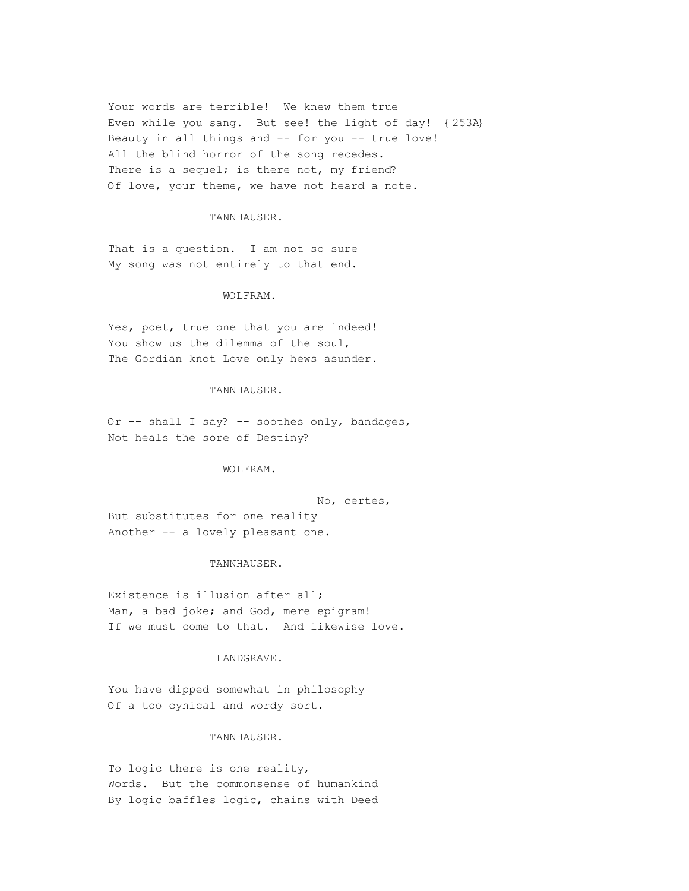Your words are terrible! We knew them true Even while you sang. But see! the light of day! {253A} Beauty in all things and -- for you -- true love! All the blind horror of the song recedes. There is a sequel; is there not, my friend? Of love, your theme, we have not heard a note.

# TANNHAUSER.

That is a question. I am not so sure My song was not entirely to that end.

### WOLFRAM.

Yes, poet, true one that you are indeed! You show us the dilemma of the soul, The Gordian knot Love only hews asunder.

# TANNHAUSER.

Or -- shall I say? -- soothes only, bandages, Not heals the sore of Destiny?

## WOLFRAM.

 No, certes, But substitutes for one reality Another -- a lovely pleasant one.

# TANNHAUSER.

 Existence is illusion after all; Man, a bad joke; and God, mere epigram! If we must come to that. And likewise love.

# LANDGRAVE.

 You have dipped somewhat in philosophy Of a too cynical and wordy sort.

# TANNHAUSER.

 To logic there is one reality, Words. But the commonsense of humankind By logic baffles logic, chains with Deed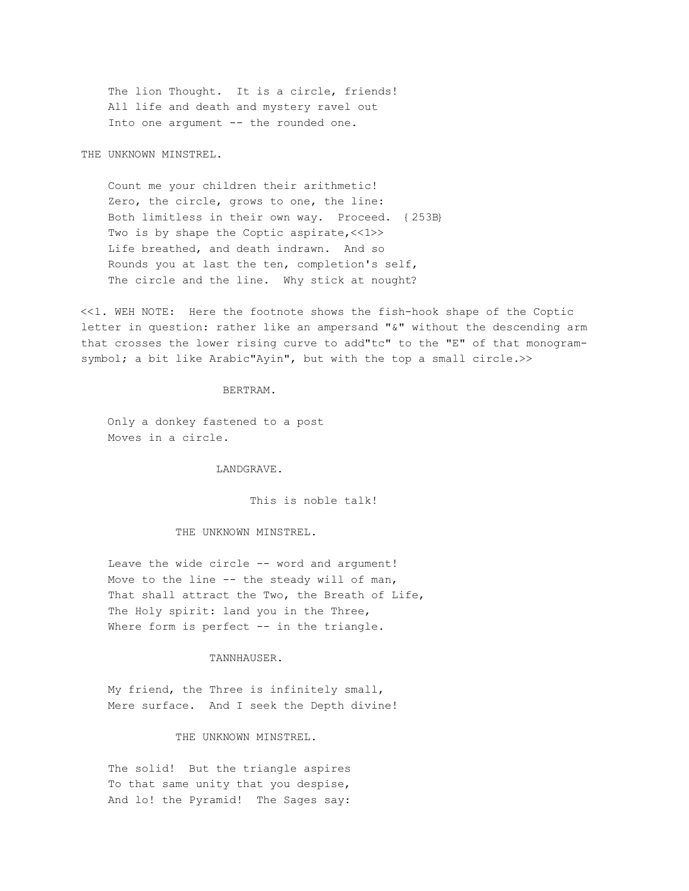The lion Thought. It is a circle, friends! All life and death and mystery ravel out Into one argument -- the rounded one.

## THE UNKNOWN MINSTREL.

 Count me your children their arithmetic! Zero, the circle, grows to one, the line: Both limitless in their own way. Proceed. {253B} Two is by shape the Coptic aspirate,<<1>> Life breathed, and death indrawn. And so Rounds you at last the ten, completion's self, The circle and the line. Why stick at nought?

<<1. WEH NOTE: Here the footnote shows the fish-hook shape of the Coptic letter in question: rather like an ampersand "&" without the descending arm that crosses the lower rising curve to add"tc" to the "E" of that monogramsymbol; a bit like Arabic"Ayin", but with the top a small circle.>>

# BERTRAM.

 Only a donkey fastened to a post Moves in a circle.

LANDGRAVE.

This is noble talk!

# THE UNKNOWN MINSTREL.

Leave the wide circle -- word and argument! Move to the line -- the steady will of man, That shall attract the Two, the Breath of Life, The Holy spirit: land you in the Three, Where form is perfect -- in the triangle.

# TANNHAUSER.

 My friend, the Three is infinitely small, Mere surface. And I seek the Depth divine!

# THE UNKNOWN MINSTREL.

 The solid! But the triangle aspires To that same unity that you despise, And lo! the Pyramid! The Sages say: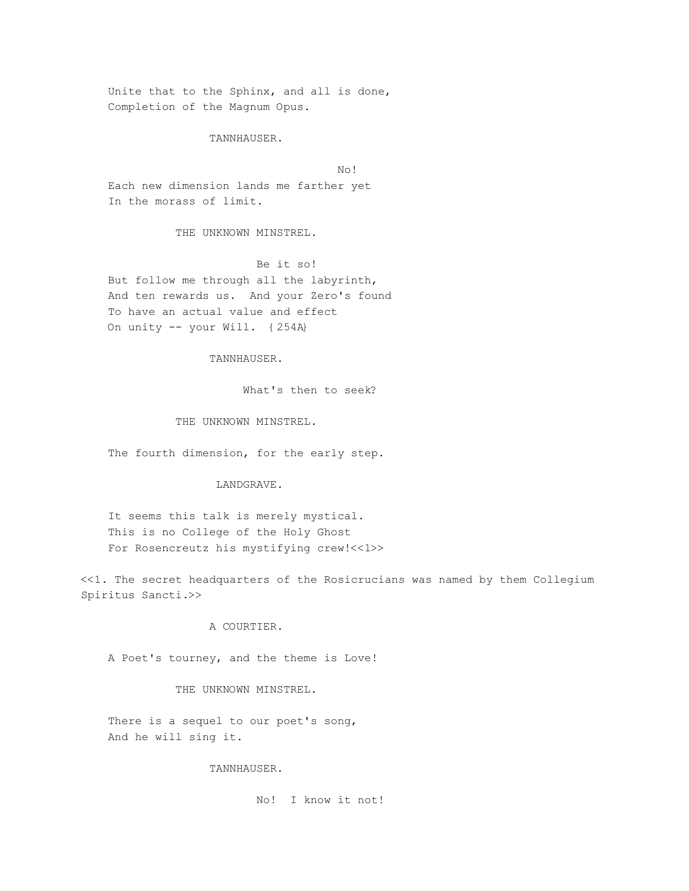Unite that to the Sphinx, and all is done, Completion of the Magnum Opus.

TANNHAUSER.

No!

 Each new dimension lands me farther yet In the morass of limit.

THE UNKNOWN MINSTREL.

 Be it so! But follow me through all the labyrinth, And ten rewards us. And your Zero's found To have an actual value and effect On unity -- your Will. {254A}

## TANNHAUSER.

What's then to seek?

# THE UNKNOWN MINSTREL.

The fourth dimension, for the early step.

## LANDGRAVE.

 It seems this talk is merely mystical. This is no College of the Holy Ghost For Rosencreutz his mystifying crew!<<1>>

<<1. The secret headquarters of the Rosicrucians was named by them Collegium Spiritus Sancti.>>

# A COURTIER.

A Poet's tourney, and the theme is Love!

## THE UNKNOWN MINSTREL.

There is a sequel to our poet's song, And he will sing it.

# TANNHAUSER.

No! I know it not!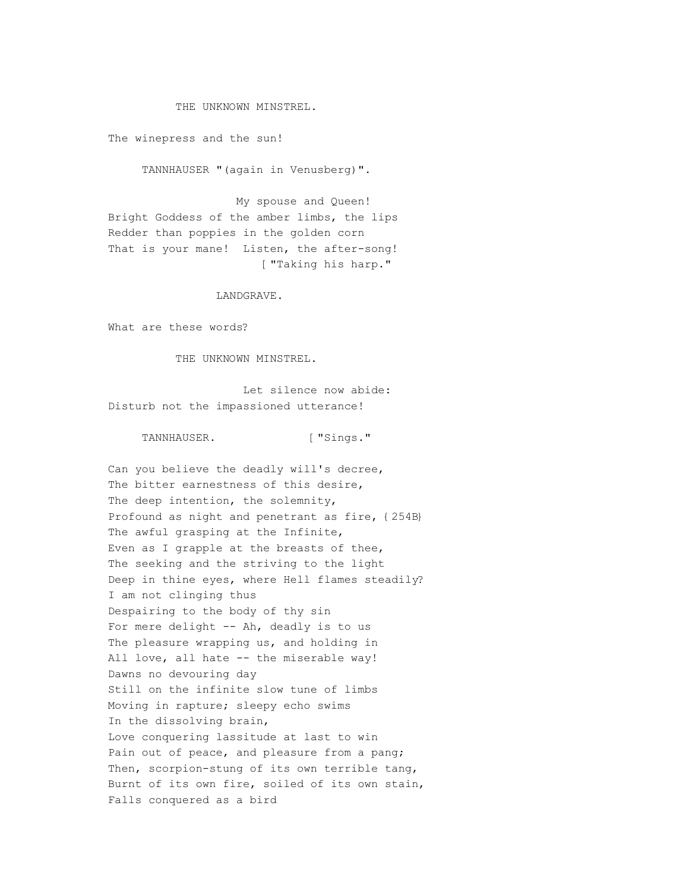#### THE UNKNOWN MINSTREL.

The winepress and the sun!

TANNHAUSER "(again in Venusberg)".

 My spouse and Queen! Bright Goddess of the amber limbs, the lips Redder than poppies in the golden corn That is your mane! Listen, the after-song! ["Taking his harp."

LANDGRAVE.

What are these words?

THE UNKNOWN MINSTREL.

 Let silence now abide: Disturb not the impassioned utterance!

TANNHAUSER. ["Sings."

 Can you believe the deadly will's decree, The bitter earnestness of this desire, The deep intention, the solemnity, Profound as night and penetrant as fire, {254B} The awful grasping at the Infinite, Even as I grapple at the breasts of thee, The seeking and the striving to the light Deep in thine eyes, where Hell flames steadily? I am not clinging thus Despairing to the body of thy sin For mere delight -- Ah, deadly is to us The pleasure wrapping us, and holding in All love, all hate -- the miserable way! Dawns no devouring day Still on the infinite slow tune of limbs Moving in rapture; sleepy echo swims In the dissolving brain, Love conquering lassitude at last to win Pain out of peace, and pleasure from a pang; Then, scorpion-stung of its own terrible tang, Burnt of its own fire, soiled of its own stain, Falls conquered as a bird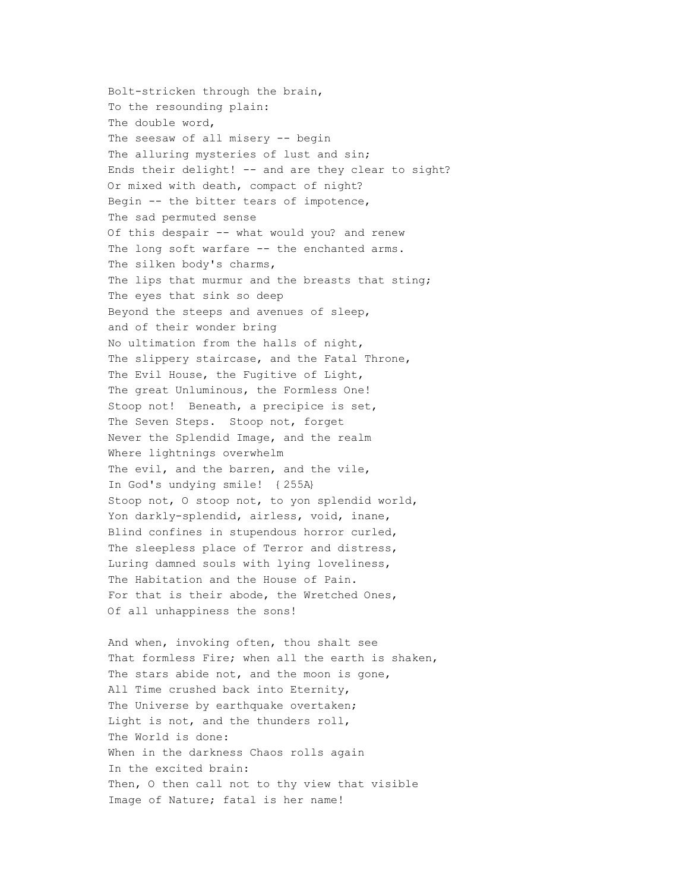Bolt-stricken through the brain, To the resounding plain: The double word, The seesaw of all misery -- begin The alluring mysteries of lust and sin; Ends their delight! -- and are they clear to sight? Or mixed with death, compact of night? Begin -- the bitter tears of impotence, The sad permuted sense Of this despair -- what would you? and renew The long soft warfare -- the enchanted arms. The silken body's charms, The lips that murmur and the breasts that sting; The eyes that sink so deep Beyond the steeps and avenues of sleep, and of their wonder bring No ultimation from the halls of night, The slippery staircase, and the Fatal Throne, The Evil House, the Fugitive of Light, The great Unluminous, the Formless One! Stoop not! Beneath, a precipice is set, The Seven Steps. Stoop not, forget Never the Splendid Image, and the realm Where lightnings overwhelm The evil, and the barren, and the vile, In God's undying smile! {255A} Stoop not, O stoop not, to yon splendid world, Yon darkly-splendid, airless, void, inane, Blind confines in stupendous horror curled, The sleepless place of Terror and distress, Luring damned souls with lying loveliness, The Habitation and the House of Pain. For that is their abode, the Wretched Ones, Of all unhappiness the sons!

 And when, invoking often, thou shalt see That formless Fire; when all the earth is shaken, The stars abide not, and the moon is gone, All Time crushed back into Eternity, The Universe by earthquake overtaken; Light is not, and the thunders roll, The World is done: When in the darkness Chaos rolls again In the excited brain: Then, O then call not to thy view that visible Image of Nature; fatal is her name!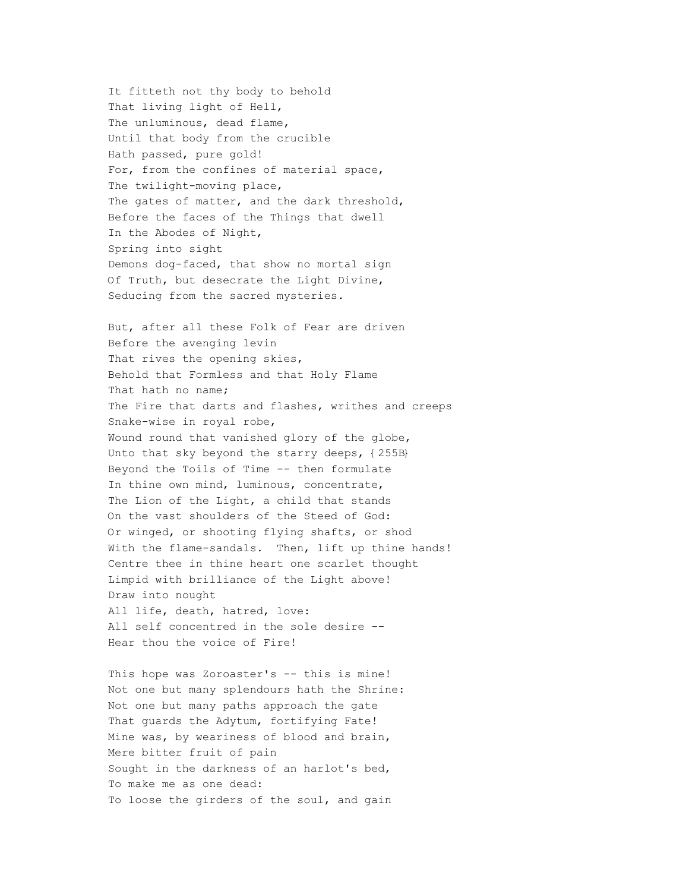It fitteth not thy body to behold That living light of Hell, The unluminous, dead flame, Until that body from the crucible Hath passed, pure gold! For, from the confines of material space, The twilight-moving place, The gates of matter, and the dark threshold, Before the faces of the Things that dwell In the Abodes of Night, Spring into sight Demons dog-faced, that show no mortal sign Of Truth, but desecrate the Light Divine, Seducing from the sacred mysteries.

 But, after all these Folk of Fear are driven Before the avenging levin That rives the opening skies, Behold that Formless and that Holy Flame That hath no name; The Fire that darts and flashes, writhes and creeps Snake-wise in royal robe, Wound round that vanished glory of the globe, Unto that sky beyond the starry deeps, {255B} Beyond the Toils of Time -- then formulate In thine own mind, luminous, concentrate, The Lion of the Light, a child that stands On the vast shoulders of the Steed of God: Or winged, or shooting flying shafts, or shod With the flame-sandals. Then, lift up thine hands! Centre thee in thine heart one scarlet thought Limpid with brilliance of the Light above! Draw into nought All life, death, hatred, love: All self concentred in the sole desire -- Hear thou the voice of Fire!

This hope was Zoroaster's -- this is mine! Not one but many splendours hath the Shrine: Not one but many paths approach the gate That guards the Adytum, fortifying Fate! Mine was, by weariness of blood and brain, Mere bitter fruit of pain Sought in the darkness of an harlot's bed, To make me as one dead: To loose the girders of the soul, and gain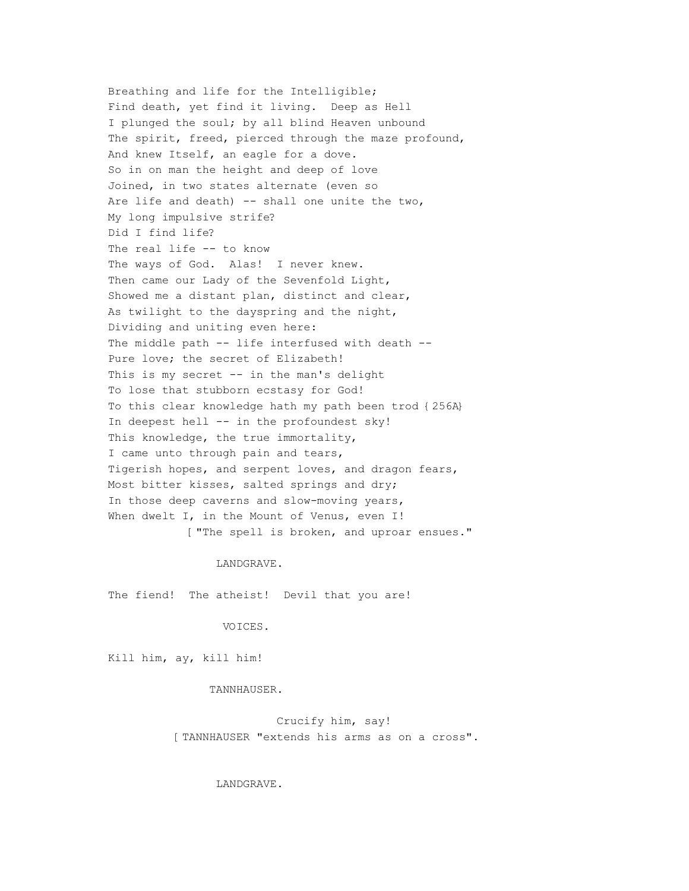Breathing and life for the Intelligible; Find death, yet find it living. Deep as Hell I plunged the soul; by all blind Heaven unbound The spirit, freed, pierced through the maze profound, And knew Itself, an eagle for a dove. So in on man the height and deep of love Joined, in two states alternate (even so Are life and death) -- shall one unite the two, My long impulsive strife? Did I find life? The real life -- to know The ways of God. Alas! I never knew. Then came our Lady of the Sevenfold Light, Showed me a distant plan, distinct and clear, As twilight to the dayspring and the night, Dividing and uniting even here: The middle path -- life interfused with death -- Pure love; the secret of Elizabeth! This is my secret -- in the man's delight To lose that stubborn ecstasy for God! To this clear knowledge hath my path been trod {256A} In deepest hell -- in the profoundest sky! This knowledge, the true immortality, I came unto through pain and tears, Tigerish hopes, and serpent loves, and dragon fears, Most bitter kisses, salted springs and dry; In those deep caverns and slow-moving years, When dwelt I, in the Mount of Venus, even I! ["The spell is broken, and uproar ensues."

LANDGRAVE.

The fiend! The atheist! Devil that you are!

VOICES.

Kill him, ay, kill him!

TANNHAUSER.

 Crucify him, say! [TANNHAUSER "extends his arms as on a cross".

LANDGRAVE.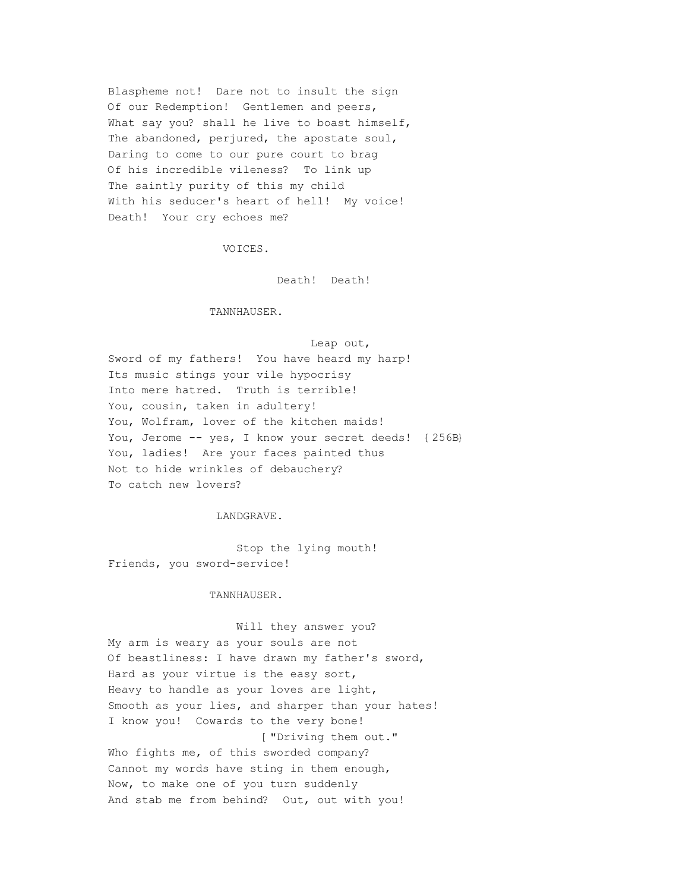Blaspheme not! Dare not to insult the sign Of our Redemption! Gentlemen and peers, What say you? shall he live to boast himself, The abandoned, perjured, the apostate soul, Daring to come to our pure court to brag Of his incredible vileness? To link up The saintly purity of this my child With his seducer's heart of hell! My voice! Death! Your cry echoes me?

VOICES.

Death! Death!

TANNHAUSER.

Leap out,

 Sword of my fathers! You have heard my harp! Its music stings your vile hypocrisy Into mere hatred. Truth is terrible! You, cousin, taken in adultery! You, Wolfram, lover of the kitchen maids! You, Jerome -- yes, I know your secret deeds! { 256B} You, ladies! Are your faces painted thus Not to hide wrinkles of debauchery? To catch new lovers?

LANDGRAVE.

 Stop the lying mouth! Friends, you sword-service!

TANNHAUSER.

 Will they answer you? My arm is weary as your souls are not Of beastliness: I have drawn my father's sword, Hard as your virtue is the easy sort, Heavy to handle as your loves are light, Smooth as your lies, and sharper than your hates! I know you! Cowards to the very bone! ["Driving them out." Who fights me, of this sworded company? Cannot my words have sting in them enough, Now, to make one of you turn suddenly And stab me from behind? Out, out with you!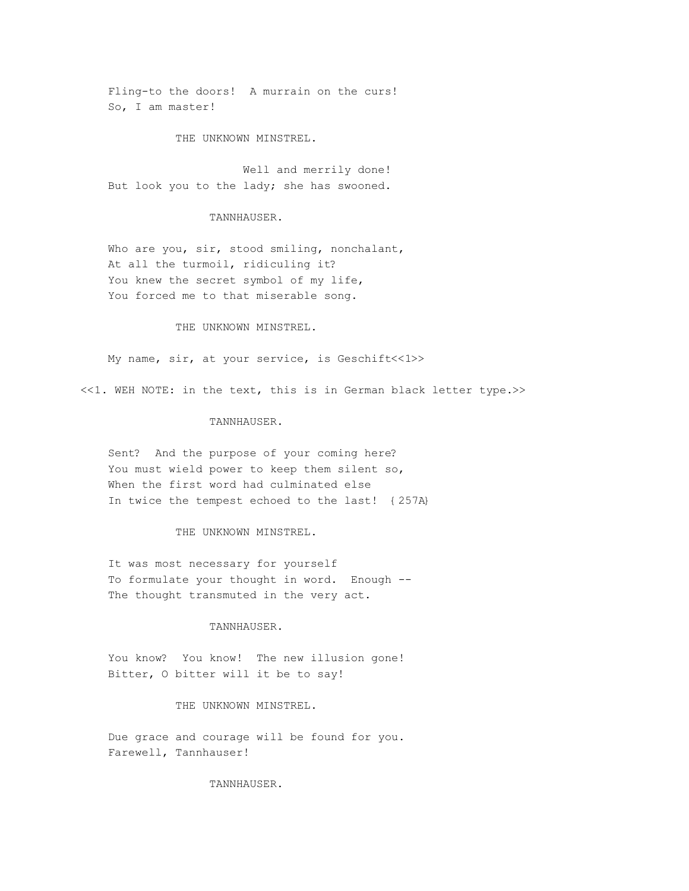Fling-to the doors! A murrain on the curs! So, I am master!

THE UNKNOWN MINSTREL.

 Well and merrily done! But look you to the lady; she has swooned.

## TANNHAUSER.

Who are you, sir, stood smiling, nonchalant, At all the turmoil, ridiculing it? You knew the secret symbol of my life, You forced me to that miserable song.

## THE UNKNOWN MINSTREL.

My name, sir, at your service, is Geschift << 1>>

<<1. WEH NOTE: in the text, this is in German black letter type.>>

### TANNHAUSER.

 Sent? And the purpose of your coming here? You must wield power to keep them silent so, When the first word had culminated else In twice the tempest echoed to the last! {257A}

# THE UNKNOWN MINSTREL.

 It was most necessary for yourself To formulate your thought in word. Enough -- The thought transmuted in the very act.

### TANNHAUSER.

 You know? You know! The new illusion gone! Bitter, O bitter will it be to say!

# THE UNKNOWN MINSTREL.

 Due grace and courage will be found for you. Farewell, Tannhauser!

#### TANNHAUSER.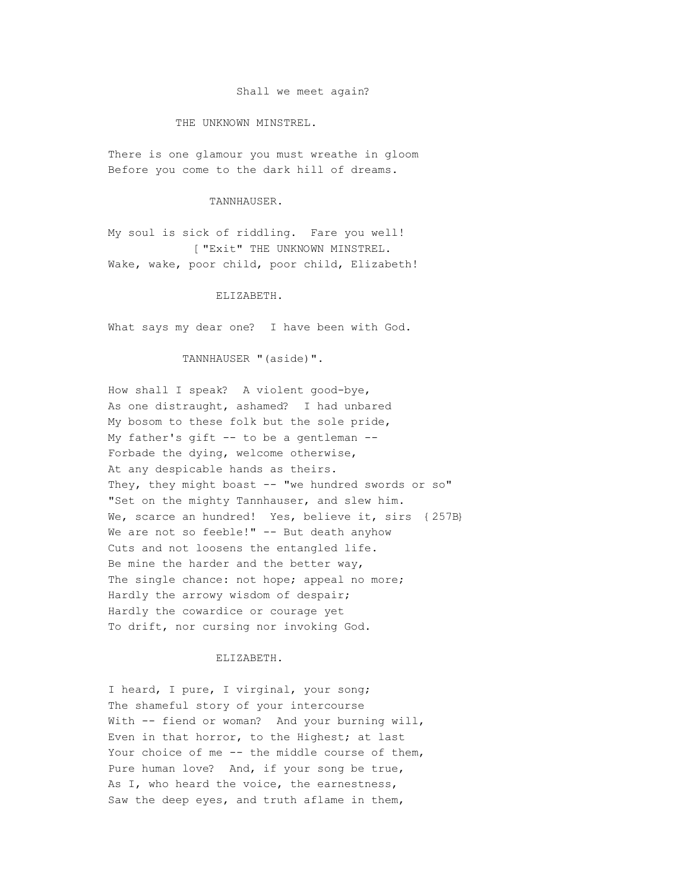#### Shall we meet again?

#### THE UNKNOWN MINSTREL.

 There is one glamour you must wreathe in gloom Before you come to the dark hill of dreams.

#### TANNHAUSER.

 My soul is sick of riddling. Fare you well! ["Exit" THE UNKNOWN MINSTREL. Wake, wake, poor child, poor child, Elizabeth!

### ELIZABETH.

What says my dear one? I have been with God.

## TANNHAUSER "(aside)".

 How shall I speak? A violent good-bye, As one distraught, ashamed? I had unbared My bosom to these folk but the sole pride, My father's gift -- to be a gentleman -- Forbade the dying, welcome otherwise, At any despicable hands as theirs. They, they might boast -- "we hundred swords or so" "Set on the mighty Tannhauser, and slew him. We, scarce an hundred! Yes, believe it, sirs { 257B} We are not so feeble!" -- But death anyhow Cuts and not loosens the entangled life. Be mine the harder and the better way, The single chance: not hope; appeal no more; Hardly the arrowy wisdom of despair; Hardly the cowardice or courage yet To drift, nor cursing nor invoking God.

# ELIZABETH.

 I heard, I pure, I virginal, your song; The shameful story of your intercourse With -- fiend or woman? And your burning will, Even in that horror, to the Highest; at last Your choice of me -- the middle course of them, Pure human love? And, if your song be true, As I, who heard the voice, the earnestness, Saw the deep eyes, and truth aflame in them,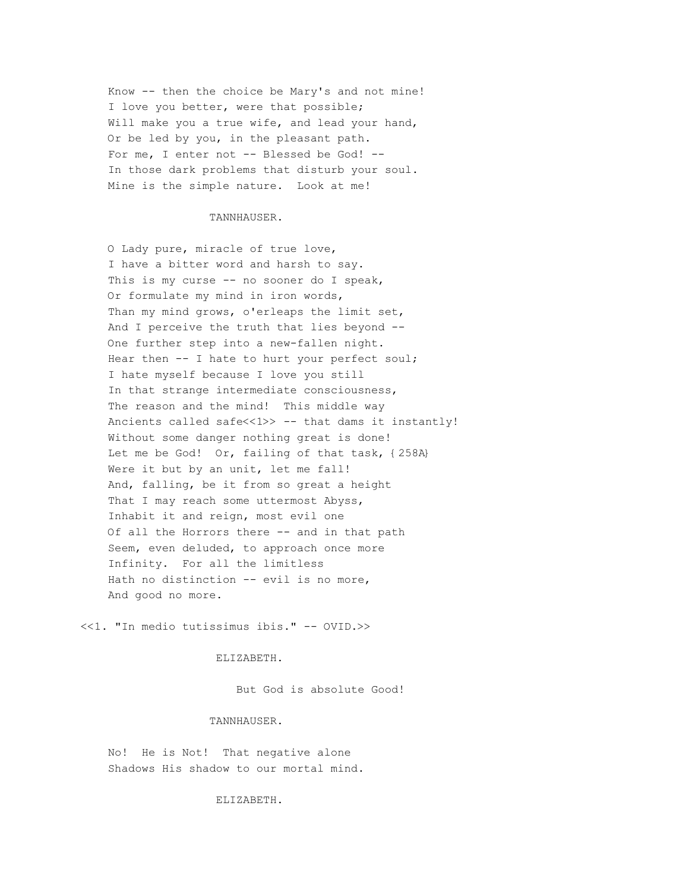Know -- then the choice be Mary's and not mine! I love you better, were that possible; Will make you a true wife, and lead your hand, Or be led by you, in the pleasant path. For me, I enter not -- Blessed be God! -- In those dark problems that disturb your soul. Mine is the simple nature. Look at me!

### TANNHAUSER.

 O Lady pure, miracle of true love, I have a bitter word and harsh to say. This is my curse -- no sooner do I speak, Or formulate my mind in iron words, Than my mind grows, o'erleaps the limit set, And I perceive the truth that lies beyond -- One further step into a new-fallen night. Hear then -- I hate to hurt your perfect soul; I hate myself because I love you still In that strange intermediate consciousness, The reason and the mind! This middle way Ancients called safe<<1>> -- that dams it instantly! Without some danger nothing great is done! Let me be God! Or, failing of that task, {258A} Were it but by an unit, let me fall! And, falling, be it from so great a height That I may reach some uttermost Abyss, Inhabit it and reign, most evil one Of all the Horrors there -- and in that path Seem, even deluded, to approach once more Infinity. For all the limitless Hath no distinction -- evil is no more, And good no more.

<<1. "In medio tutissimus ibis." -- OVID.>>

### ELIZABETH.

But God is absolute Good!

#### TANNHAUSER.

 No! He is Not! That negative alone Shadows His shadow to our mortal mind.

ELIZABETH.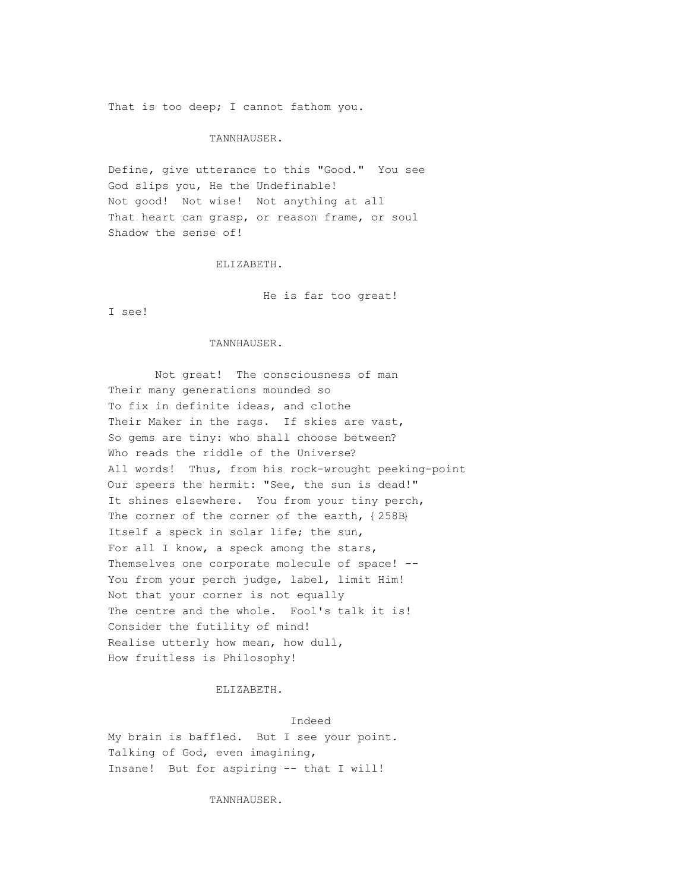That is too deep; I cannot fathom you.

# TANNHAUSER.

 Define, give utterance to this "Good." You see God slips you, He the Undefinable! Not good! Not wise! Not anything at all That heart can grasp, or reason frame, or soul Shadow the sense of!

ELIZABETH.

He is far too great!

I see!

# TANNHAUSER.

 Not great! The consciousness of man Their many generations mounded so To fix in definite ideas, and clothe Their Maker in the rags. If skies are vast, So gems are tiny: who shall choose between? Who reads the riddle of the Universe? All words! Thus, from his rock-wrought peeking-point Our speers the hermit: "See, the sun is dead!" It shines elsewhere. You from your tiny perch, The corner of the corner of the earth, {258B} Itself a speck in solar life; the sun, For all I know, a speck among the stars, Themselves one corporate molecule of space! -- You from your perch judge, label, limit Him! Not that your corner is not equally The centre and the whole. Fool's talk it is! Consider the futility of mind! Realise utterly how mean, how dull, How fruitless is Philosophy!

### ELIZABETH.

 Indeed My brain is baffled. But I see your point. Talking of God, even imagining, Insane! But for aspiring -- that I will!

TANNHAUSER.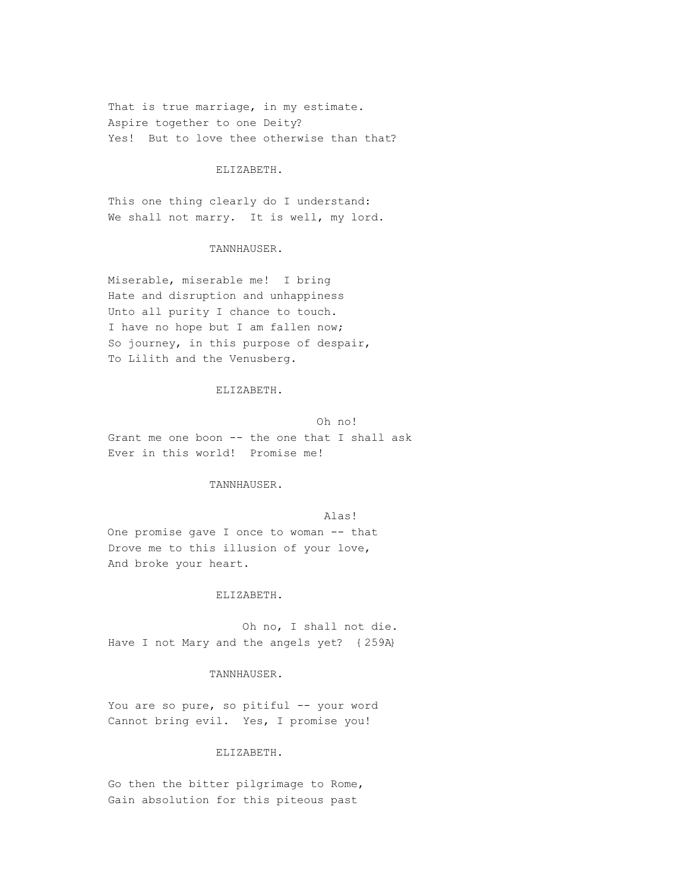That is true marriage, in my estimate. Aspire together to one Deity? Yes! But to love thee otherwise than that?

# ELIZABETH.

 This one thing clearly do I understand: We shall not marry. It is well, my lord.

# TANNHAUSER.

 Miserable, miserable me! I bring Hate and disruption and unhappiness Unto all purity I chance to touch. I have no hope but I am fallen now; So journey, in this purpose of despair, To Lilith and the Venusberg.

# ELIZABETH.

 Oh no! Grant me one boon -- the one that I shall ask Ever in this world! Promise me!

# TANNHAUSER.

#### Alas!

One promise gave I once to woman -- that Drove me to this illusion of your love, And broke your heart.

# ELIZABETH.

 Oh no, I shall not die. Have I not Mary and the angels yet? {259A}

# TANNHAUSER.

You are so pure, so pitiful -- your word Cannot bring evil. Yes, I promise you!

# ELIZABETH.

 Go then the bitter pilgrimage to Rome, Gain absolution for this piteous past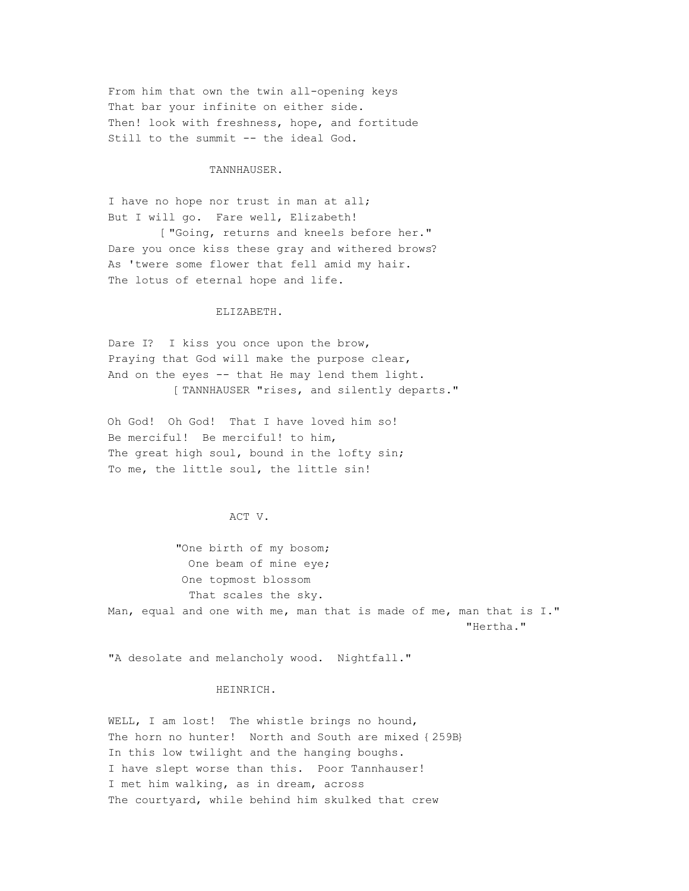From him that own the twin all-opening keys That bar your infinite on either side. Then! look with freshness, hope, and fortitude Still to the summit -- the ideal God.

#### TANNHAUSER.

I have no hope nor trust in man at all; But I will go. Fare well, Elizabeth!

 ["Going, returns and kneels before her." Dare you once kiss these gray and withered brows? As 'twere some flower that fell amid my hair. The lotus of eternal hope and life.

ELIZABETH.

Dare I? I kiss you once upon the brow, Praying that God will make the purpose clear, And on the eyes -- that He may lend them light. [TANNHAUSER "rises, and silently departs."

 Oh God! Oh God! That I have loved him so! Be merciful! Be merciful! to him, The great high soul, bound in the lofty sin; To me, the little soul, the little sin!

ACT V.

 "One birth of my bosom; One beam of mine eye; One topmost blossom That scales the sky. Man, equal and one with me, man that is made of me, man that is I." "Hertha."

"A desolate and melancholy wood. Nightfall."

HEINRICH.

WELL, I am lost! The whistle brings no hound, The horn no hunter! North and South are mixed {259B} In this low twilight and the hanging boughs. I have slept worse than this. Poor Tannhauser! I met him walking, as in dream, across The courtyard, while behind him skulked that crew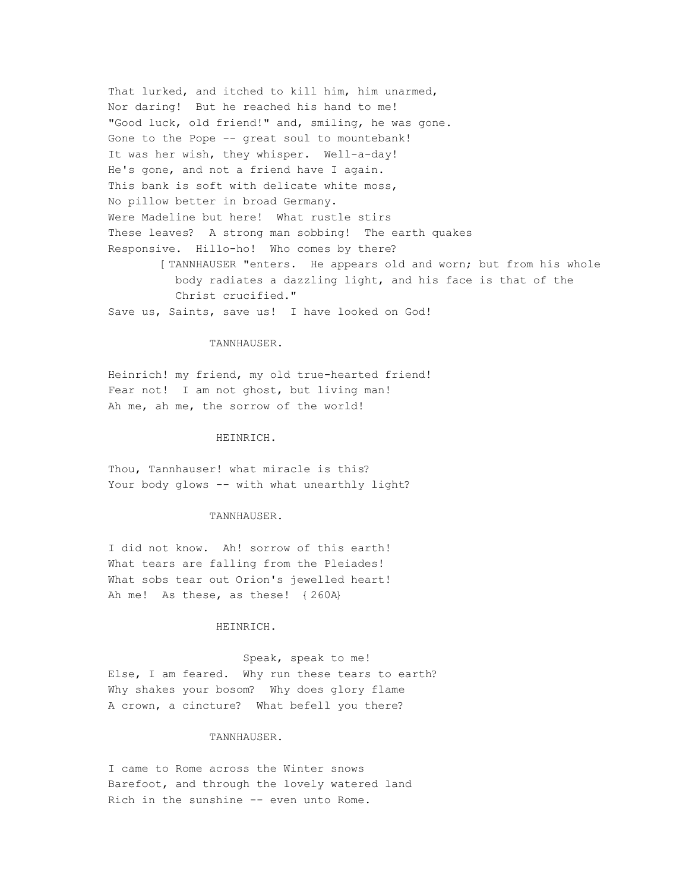That lurked, and itched to kill him, him unarmed, Nor daring! But he reached his hand to me! "Good luck, old friend!" and, smiling, he was gone. Gone to the Pope -- great soul to mountebank! It was her wish, they whisper. Well-a-day! He's gone, and not a friend have I again. This bank is soft with delicate white moss, No pillow better in broad Germany. Were Madeline but here! What rustle stirs These leaves? A strong man sobbing! The earth quakes Responsive. Hillo-ho! Who comes by there? [TANNHAUSER "enters. He appears old and worn; but from his whole body radiates a dazzling light, and his face is that of the Christ crucified."

Save us, Saints, save us! I have looked on God!

# TANNHAUSER.

 Heinrich! my friend, my old true-hearted friend! Fear not! I am not ghost, but living man! Ah me, ah me, the sorrow of the world!

### HEINRICH.

 Thou, Tannhauser! what miracle is this? Your body glows -- with what unearthly light?

#### TANNHAUSER.

 I did not know. Ah! sorrow of this earth! What tears are falling from the Pleiades! What sobs tear out Orion's jewelled heart! Ah me! As these, as these! {260A}

### HEINRICH.

 Speak, speak to me! Else, I am feared. Why run these tears to earth? Why shakes your bosom? Why does glory flame A crown, a cincture? What befell you there?

# TANNHAUSER.

 I came to Rome across the Winter snows Barefoot, and through the lovely watered land Rich in the sunshine -- even unto Rome.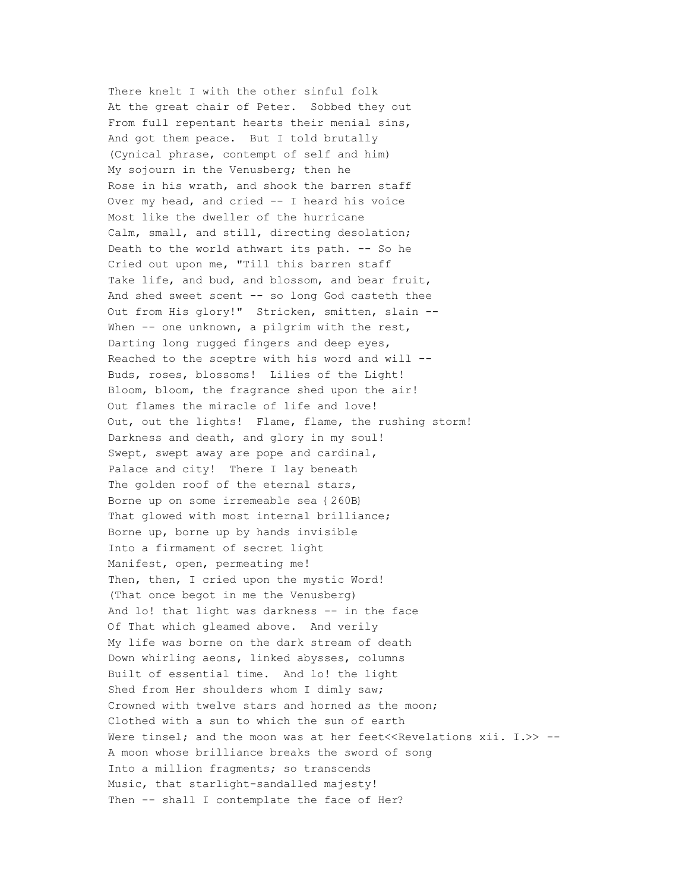There knelt I with the other sinful folk At the great chair of Peter. Sobbed they out From full repentant hearts their menial sins, And got them peace. But I told brutally (Cynical phrase, contempt of self and him) My sojourn in the Venusberg; then he Rose in his wrath, and shook the barren staff Over my head, and cried -- I heard his voice Most like the dweller of the hurricane Calm, small, and still, directing desolation; Death to the world athwart its path. -- So he Cried out upon me, "Till this barren staff Take life, and bud, and blossom, and bear fruit, And shed sweet scent -- so long God casteth thee Out from His glory!" Stricken, smitten, slain -- When -- one unknown, a pilgrim with the rest, Darting long rugged fingers and deep eyes, Reached to the sceptre with his word and will -- Buds, roses, blossoms! Lilies of the Light! Bloom, bloom, the fragrance shed upon the air! Out flames the miracle of life and love! Out, out the lights! Flame, flame, the rushing storm! Darkness and death, and glory in my soul! Swept, swept away are pope and cardinal, Palace and city! There I lay beneath The golden roof of the eternal stars, Borne up on some irremeable sea {260B} That glowed with most internal brilliance; Borne up, borne up by hands invisible Into a firmament of secret light Manifest, open, permeating me! Then, then, I cried upon the mystic Word! (That once begot in me the Venusberg) And lo! that light was darkness -- in the face Of That which gleamed above. And verily My life was borne on the dark stream of death Down whirling aeons, linked abysses, columns Built of essential time. And lo! the light Shed from Her shoulders whom I dimly saw; Crowned with twelve stars and horned as the moon; Clothed with a sun to which the sun of earth Were tinsel; and the moon was at her feet<<Revelations xii. I.>> -- A moon whose brilliance breaks the sword of song Into a million fragments; so transcends Music, that starlight-sandalled majesty! Then -- shall I contemplate the face of Her?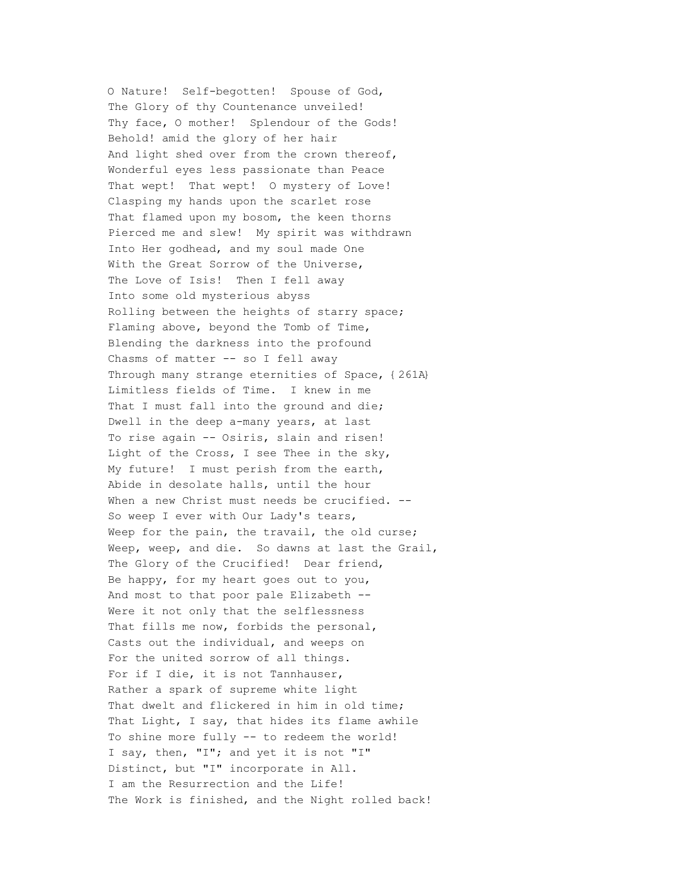O Nature! Self-begotten! Spouse of God, The Glory of thy Countenance unveiled! Thy face, O mother! Splendour of the Gods! Behold! amid the glory of her hair And light shed over from the crown thereof, Wonderful eyes less passionate than Peace That wept! That wept! O mystery of Love! Clasping my hands upon the scarlet rose That flamed upon my bosom, the keen thorns Pierced me and slew! My spirit was withdrawn Into Her godhead, and my soul made One With the Great Sorrow of the Universe, The Love of Isis! Then I fell away Into some old mysterious abyss Rolling between the heights of starry space; Flaming above, beyond the Tomb of Time, Blending the darkness into the profound Chasms of matter -- so I fell away Through many strange eternities of Space, {261A} Limitless fields of Time. I knew in me That I must fall into the ground and die; Dwell in the deep a-many years, at last To rise again -- Osiris, slain and risen! Light of the Cross, I see Thee in the sky, My future! I must perish from the earth, Abide in desolate halls, until the hour When a new Christ must needs be crucified. -- So weep I ever with Our Lady's tears, Weep for the pain, the travail, the old curse; Weep, weep, and die. So dawns at last the Grail, The Glory of the Crucified! Dear friend, Be happy, for my heart goes out to you, And most to that poor pale Elizabeth -- Were it not only that the selflessness That fills me now, forbids the personal, Casts out the individual, and weeps on For the united sorrow of all things. For if I die, it is not Tannhauser, Rather a spark of supreme white light That dwelt and flickered in him in old time; That Light, I say, that hides its flame awhile To shine more fully -- to redeem the world! I say, then, "I"; and yet it is not "I" Distinct, but "I" incorporate in All. I am the Resurrection and the Life! The Work is finished, and the Night rolled back!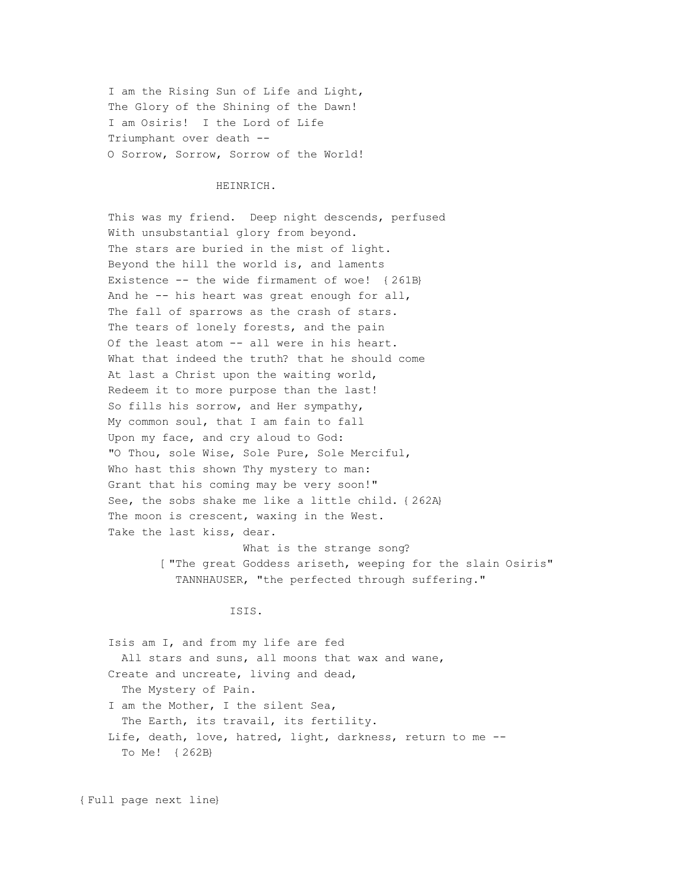I am the Rising Sun of Life and Light, The Glory of the Shining of the Dawn! I am Osiris! I the Lord of Life Triumphant over death -- O Sorrow, Sorrow, Sorrow of the World!

# HEINRICH.

 This was my friend. Deep night descends, perfused With unsubstantial glory from beyond. The stars are buried in the mist of light. Beyond the hill the world is, and laments Existence  $--$  the wide firmament of woe! {261B} And he -- his heart was great enough for all, The fall of sparrows as the crash of stars. The tears of lonely forests, and the pain Of the least atom -- all were in his heart. What that indeed the truth? that he should come At last a Christ upon the waiting world, Redeem it to more purpose than the last! So fills his sorrow, and Her sympathy, My common soul, that I am fain to fall Upon my face, and cry aloud to God: "O Thou, sole Wise, Sole Pure, Sole Merciful, Who hast this shown Thy mystery to man: Grant that his coming may be very soon!" See, the sobs shake me like a little child. {262A} The moon is crescent, waxing in the West. Take the last kiss, dear. What is the strange song?

> [ "The great Goddess ariseth, weeping for the slain Osiris" TANNHAUSER, "the perfected through suffering."

> > ISIS.

 Isis am I, and from my life are fed All stars and suns, all moons that wax and wane, Create and uncreate, living and dead, The Mystery of Pain. I am the Mother, I the silent Sea, The Earth, its travail, its fertility. Life, death, love, hatred, light, darkness, return to me -- To Me! {262B}

{Full page next line}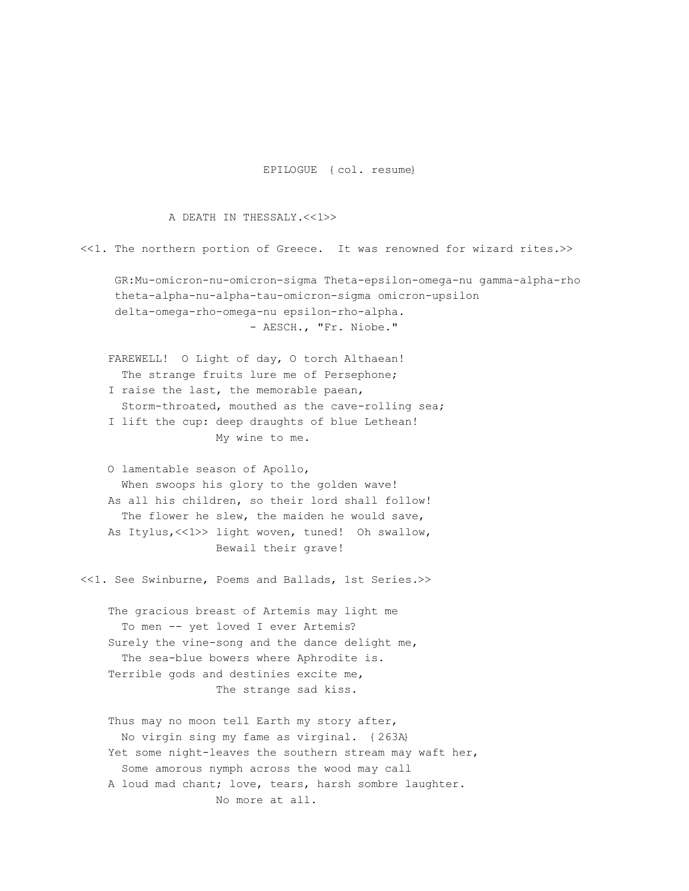EPILOGUE {col. resume}

### A DEATH IN THESSALY.<<1>>

<<1. The northern portion of Greece. It was renowned for wizard rites.>>

 GR:Mu-omicron-nu-omicron-sigma Theta-epsilon-omega-nu gamma-alpha-rho theta-alpha-nu-alpha-tau-omicron-sigma omicron-upsilon delta-omega-rho-omega-nu epsilon-rho-alpha. - AESCH., "Fr. Niobe."

FAREWELL! O Light of day, O torch Althaean! The strange fruits lure me of Persephone; I raise the last, the memorable paean, Storm-throated, mouthed as the cave-rolling sea; I lift the cup: deep draughts of blue Lethean! My wine to me.

 O lamentable season of Apollo, When swoops his glory to the golden wave! As all his children, so their lord shall follow! The flower he slew, the maiden he would save, As Itylus,<<1>> light woven, tuned! Oh swallow, Bewail their grave!

<<1. See Swinburne, Poems and Ballads, 1st Series.>>

 The gracious breast of Artemis may light me To men -- yet loved I ever Artemis? Surely the vine-song and the dance delight me, The sea-blue bowers where Aphrodite is. Terrible gods and destinies excite me, The strange sad kiss.

Thus may no moon tell Earth my story after, No virgin sing my fame as virginal. {263A} Yet some night-leaves the southern stream may waft her, Some amorous nymph across the wood may call A loud mad chant; love, tears, harsh sombre laughter. No more at all.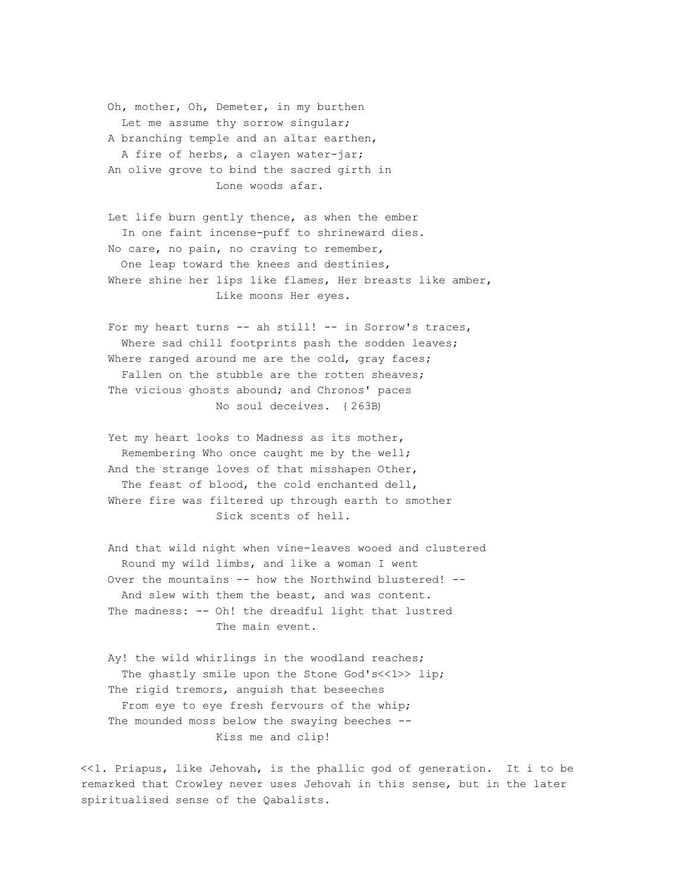Oh, mother, Oh, Demeter, in my burthen Let me assume thy sorrow singular; A branching temple and an altar earthen, A fire of herbs, a clayen water-jar; An olive grove to bind the sacred girth in Lone woods afar.

 Let life burn gently thence, as when the ember In one faint incense-puff to shrineward dies. No care, no pain, no craving to remember, One leap toward the knees and destinies, Where shine her lips like flames, Her breasts like amber, Like moons Her eyes.

For my heart turns -- ah still! -- in Sorrow's traces, Where sad chill footprints pash the sodden leaves; Where ranged around me are the cold, gray faces; Fallen on the stubble are the rotten sheaves; The vicious ghosts abound; and Chronos' paces No soul deceives. {263B}

Yet my heart looks to Madness as its mother, Remembering Who once caught me by the well; And the strange loves of that misshapen Other, The feast of blood, the cold enchanted dell, Where fire was filtered up through earth to smother Sick scents of hell.

 And that wild night when vine-leaves wooed and clustered Round my wild limbs, and like a woman I went Over the mountains -- how the Northwind blustered! -- And slew with them the beast, and was content. The madness: -- Oh! the dreadful light that lustred The main event.

Ay! the wild whirlings in the woodland reaches; The ghastly smile upon the Stone God's<<1>> lip; The rigid tremors, anguish that beseeches From eye to eye fresh fervours of the whip; The mounded moss below the swaying beeches --Kiss me and clip!

<<1. Priapus, like Jehovah, is the phallic god of generation. It i to be remarked that Crowley never uses Jehovah in this sense, but in the later spiritualised sense of the Qabalists.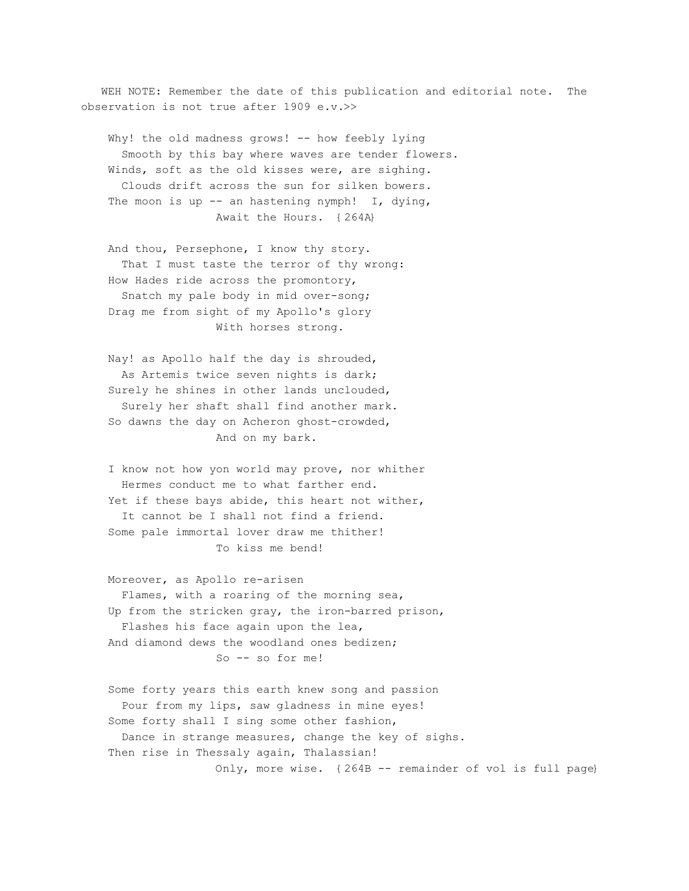WEH NOTE: Remember the date of this publication and editorial note. The observation is not true after 1909 e.v.>>

Why! the old madness grows! -- how feebly lying Smooth by this bay where waves are tender flowers. Winds, soft as the old kisses were, are sighing. Clouds drift across the sun for silken bowers. The moon is up -- an hastening nymph! I, dying, Await the Hours. {264A}

 And thou, Persephone, I know thy story. That I must taste the terror of thy wrong: How Hades ride across the promontory, Snatch my pale body in mid over-song; Drag me from sight of my Apollo's glory With horses strong.

 Nay! as Apollo half the day is shrouded, As Artemis twice seven nights is dark; Surely he shines in other lands unclouded, Surely her shaft shall find another mark. So dawns the day on Acheron ghost-crowded, And on my bark.

 I know not how yon world may prove, nor whither Hermes conduct me to what farther end. Yet if these bays abide, this heart not wither, It cannot be I shall not find a friend. Some pale immortal lover draw me thither! To kiss me bend!

 Moreover, as Apollo re-arisen Flames, with a roaring of the morning sea, Up from the stricken gray, the iron-barred prison, Flashes his face again upon the lea, And diamond dews the woodland ones bedizen; So -- so for me!

 Some forty years this earth knew song and passion Pour from my lips, saw gladness in mine eyes! Some forty shall I sing some other fashion, Dance in strange measures, change the key of sighs. Then rise in Thessaly again, Thalassian! Only, more wise. {264B -- remainder of vol is full page}